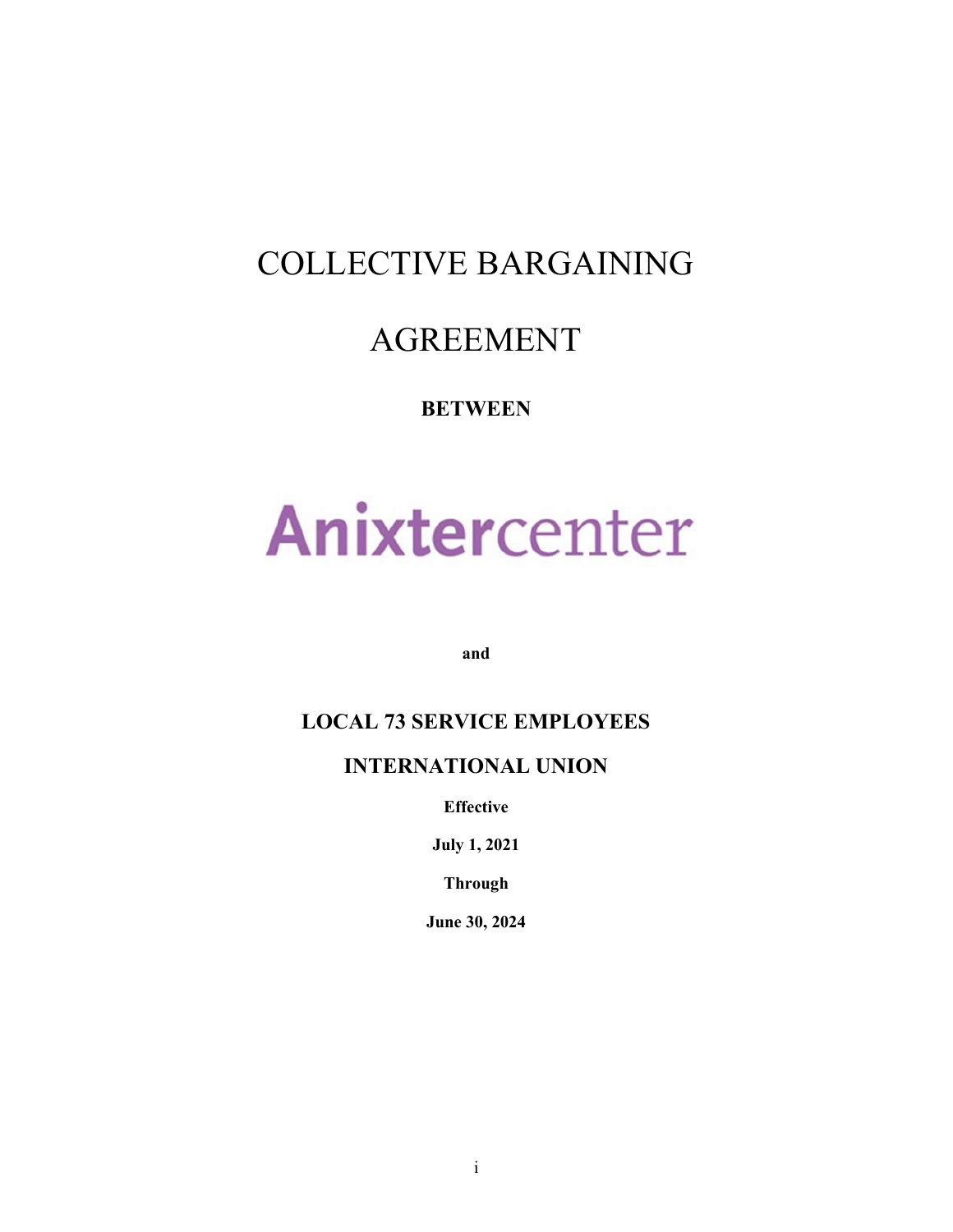# COLLECTIVE BARGAINING

# AGREEMENT

## **BETWEEN**

# Anixtercenter

and

## LOCAL 73 SERVICE EMPLOYEES

## INTERNATIONAL UNION

Effective

July 1, 2021

Through

June 30, 2024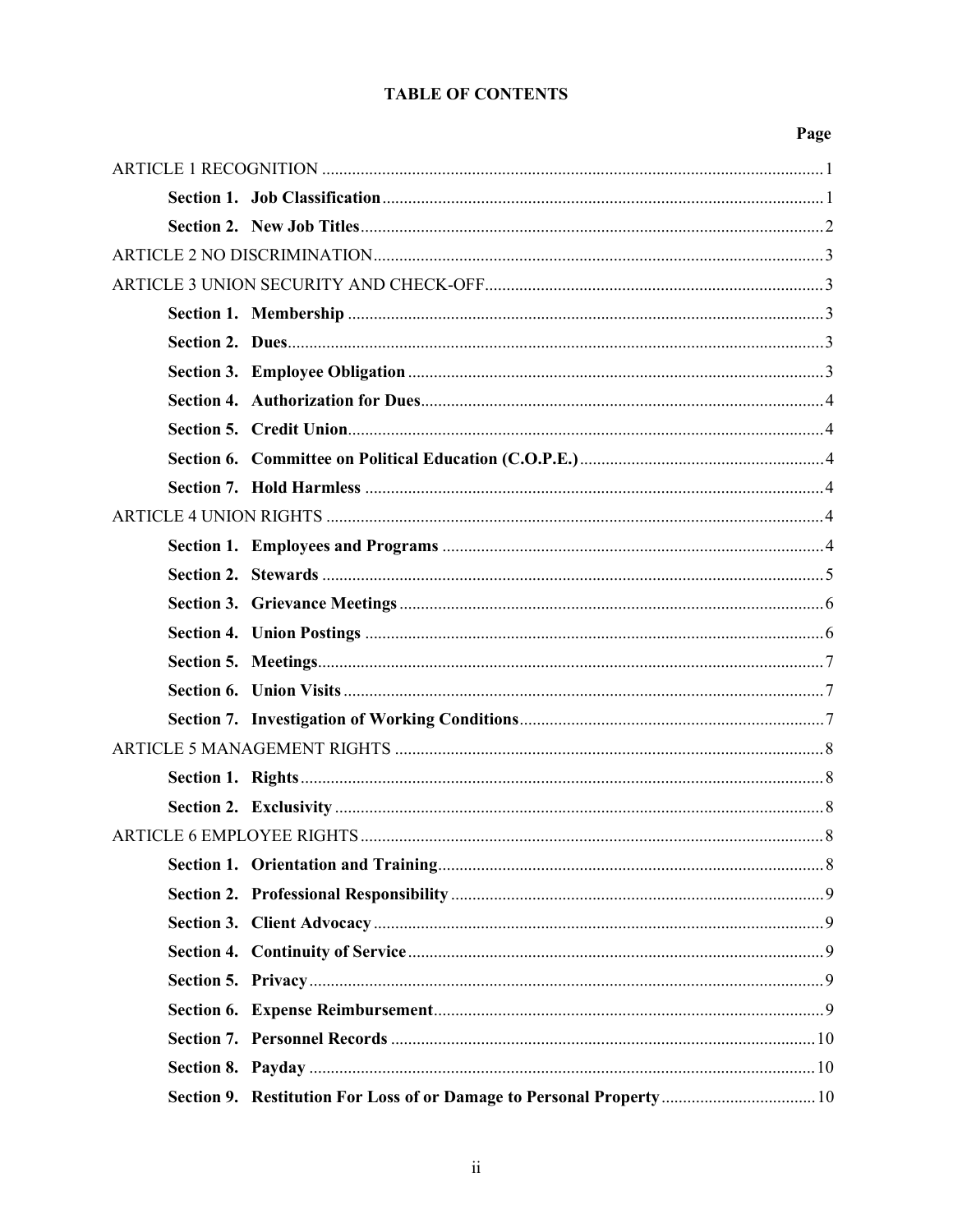### **TABLE OF CONTENTS**

| 20.<br>ρ |
|----------|
|----------|

| Section 9. Restitution For Loss of or Damage to Personal Property 10 |
|----------------------------------------------------------------------|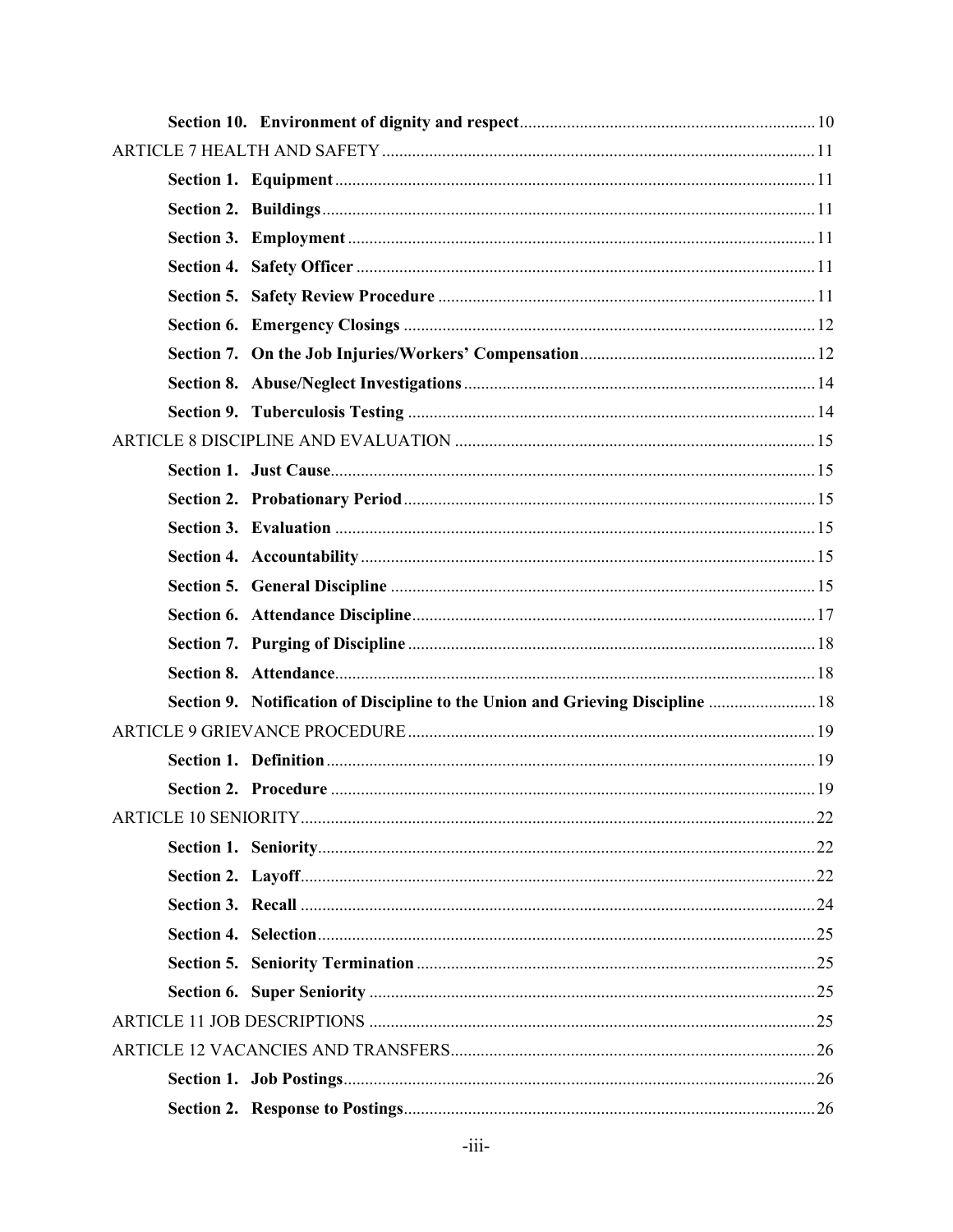| Section 9. Notification of Discipline to the Union and Grieving Discipline  18 |  |
|--------------------------------------------------------------------------------|--|
|                                                                                |  |
|                                                                                |  |
|                                                                                |  |
|                                                                                |  |
|                                                                                |  |
|                                                                                |  |
|                                                                                |  |
|                                                                                |  |
|                                                                                |  |
|                                                                                |  |
|                                                                                |  |
|                                                                                |  |
|                                                                                |  |
|                                                                                |  |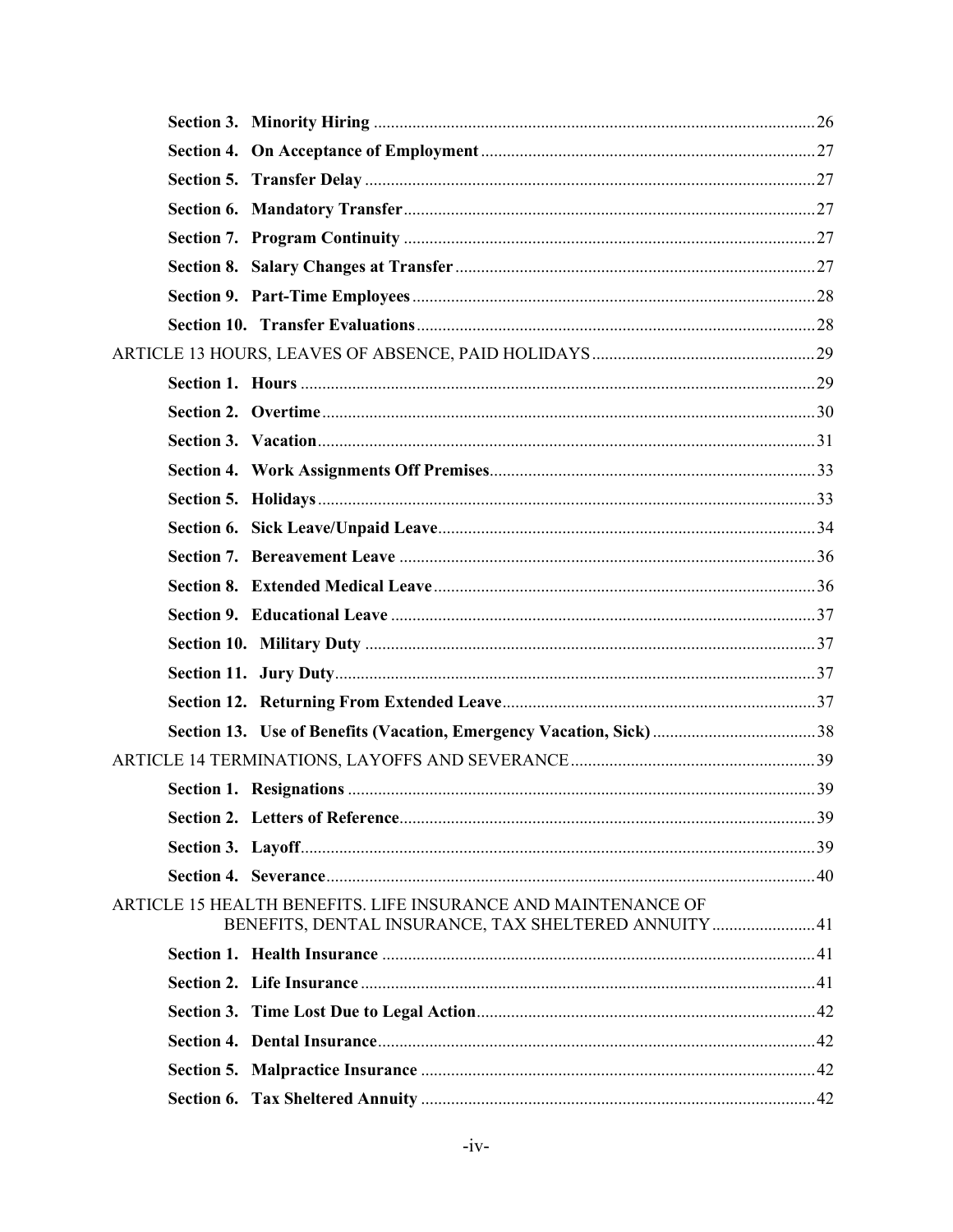| ARTICLE 15 HEALTH BENEFITS. LIFE INSURANCE AND MAINTENANCE OF<br>BENEFITS, DENTAL INSURANCE, TAX SHELTERED ANNUITY  41 |  |
|------------------------------------------------------------------------------------------------------------------------|--|
|                                                                                                                        |  |
|                                                                                                                        |  |
|                                                                                                                        |  |
|                                                                                                                        |  |
|                                                                                                                        |  |
|                                                                                                                        |  |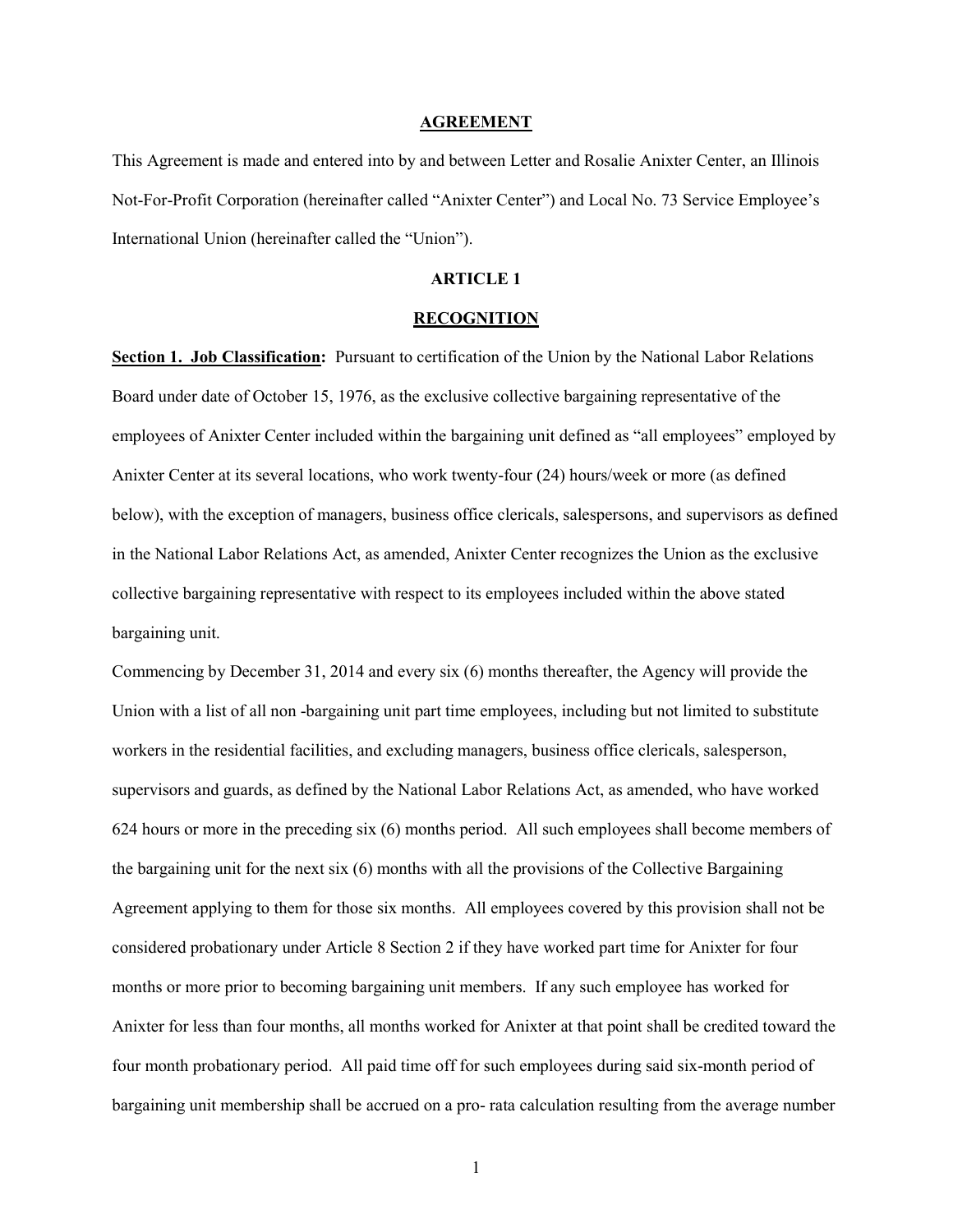#### AGREEMENT

This Agreement is made and entered into by and between Letter and Rosalie Anixter Center, an Illinois Not-For-Profit Corporation (hereinafter called "Anixter Center") and Local No. 73 Service Employee's International Union (hereinafter called the "Union").

#### ARTICLE 1

#### RECOGNITION

Section 1. Job Classification: Pursuant to certification of the Union by the National Labor Relations Board under date of October 15, 1976, as the exclusive collective bargaining representative of the employees of Anixter Center included within the bargaining unit defined as "all employees" employed by Anixter Center at its several locations, who work twenty-four (24) hours/week or more (as defined below), with the exception of managers, business office clericals, salespersons, and supervisors as defined in the National Labor Relations Act, as amended, Anixter Center recognizes the Union as the exclusive collective bargaining representative with respect to its employees included within the above stated bargaining unit.

Commencing by December 31, 2014 and every six (6) months thereafter, the Agency will provide the Union with a list of all non -bargaining unit part time employees, including but not limited to substitute workers in the residential facilities, and excluding managers, business office clericals, salesperson, supervisors and guards, as defined by the National Labor Relations Act, as amended, who have worked 624 hours or more in the preceding six (6) months period. All such employees shall become members of the bargaining unit for the next six (6) months with all the provisions of the Collective Bargaining Agreement applying to them for those six months. All employees covered by this provision shall not be considered probationary under Article 8 Section 2 if they have worked part time for Anixter for four months or more prior to becoming bargaining unit members. If any such employee has worked for Anixter for less than four months, all months worked for Anixter at that point shall be credited toward the four month probationary period. All paid time off for such employees during said six-month period of bargaining unit membership shall be accrued on a pro- rata calculation resulting from the average number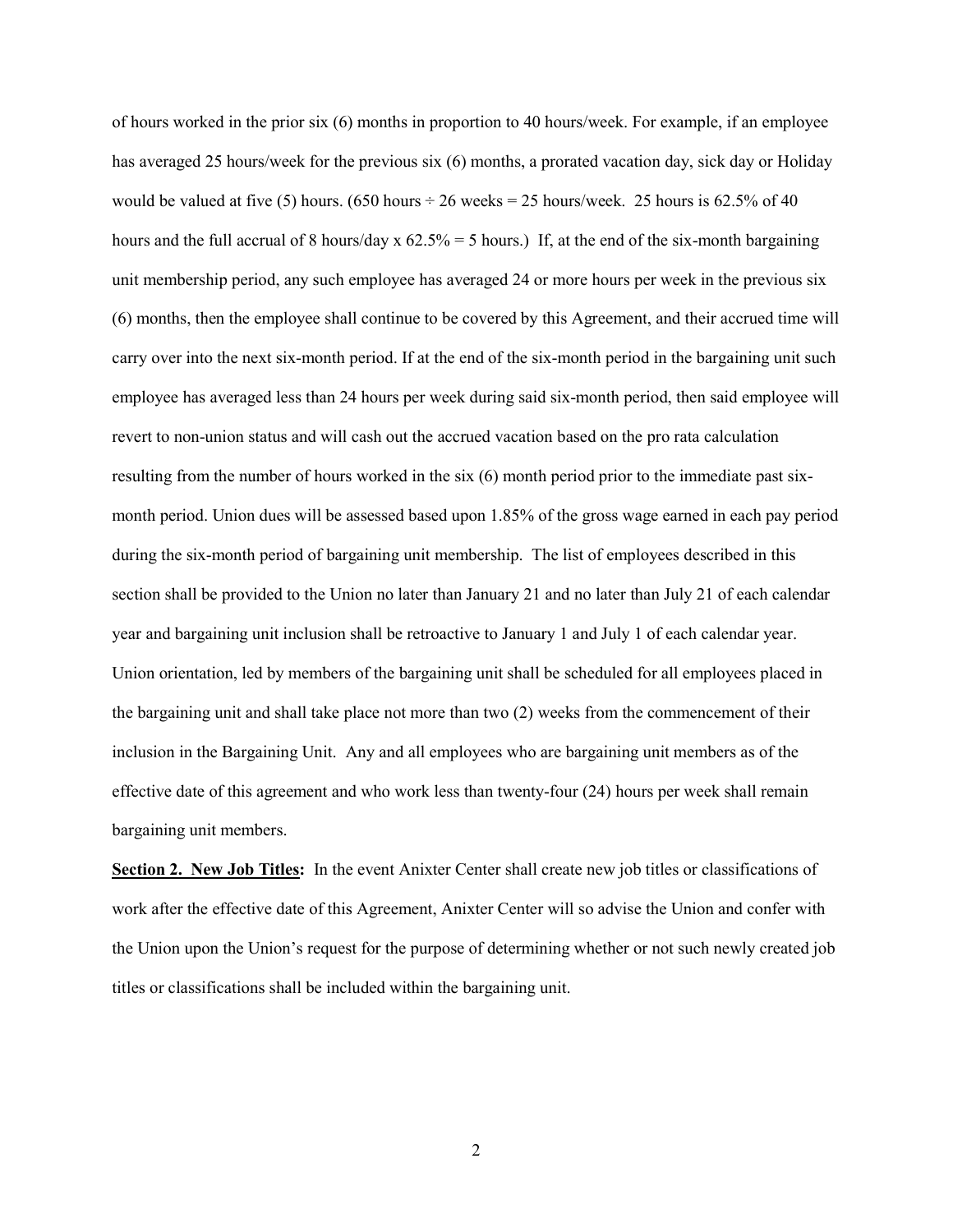of hours worked in the prior six (6) months in proportion to 40 hours/week. For example, if an employee has averaged 25 hours/week for the previous six (6) months, a prorated vacation day, sick day or Holiday would be valued at five (5) hours. (650 hours  $\div$  26 weeks = 25 hours/week. 25 hours is 62.5% of 40 hours and the full accrual of 8 hours/day x  $62.5\% = 5$  hours.) If, at the end of the six-month bargaining unit membership period, any such employee has averaged 24 or more hours per week in the previous six (6) months, then the employee shall continue to be covered by this Agreement, and their accrued time will carry over into the next six-month period. If at the end of the six-month period in the bargaining unit such employee has averaged less than 24 hours per week during said six-month period, then said employee will revert to non-union status and will cash out the accrued vacation based on the pro rata calculation resulting from the number of hours worked in the six (6) month period prior to the immediate past sixmonth period. Union dues will be assessed based upon 1.85% of the gross wage earned in each pay period during the six-month period of bargaining unit membership. The list of employees described in this section shall be provided to the Union no later than January 21 and no later than July 21 of each calendar year and bargaining unit inclusion shall be retroactive to January 1 and July 1 of each calendar year. Union orientation, led by members of the bargaining unit shall be scheduled for all employees placed in the bargaining unit and shall take place not more than two (2) weeks from the commencement of their inclusion in the Bargaining Unit. Any and all employees who are bargaining unit members as of the effective date of this agreement and who work less than twenty-four (24) hours per week shall remain bargaining unit members.

Section 2. New Job Titles: In the event Anixter Center shall create new job titles or classifications of work after the effective date of this Agreement, Anixter Center will so advise the Union and confer with the Union upon the Union's request for the purpose of determining whether or not such newly created job titles or classifications shall be included within the bargaining unit.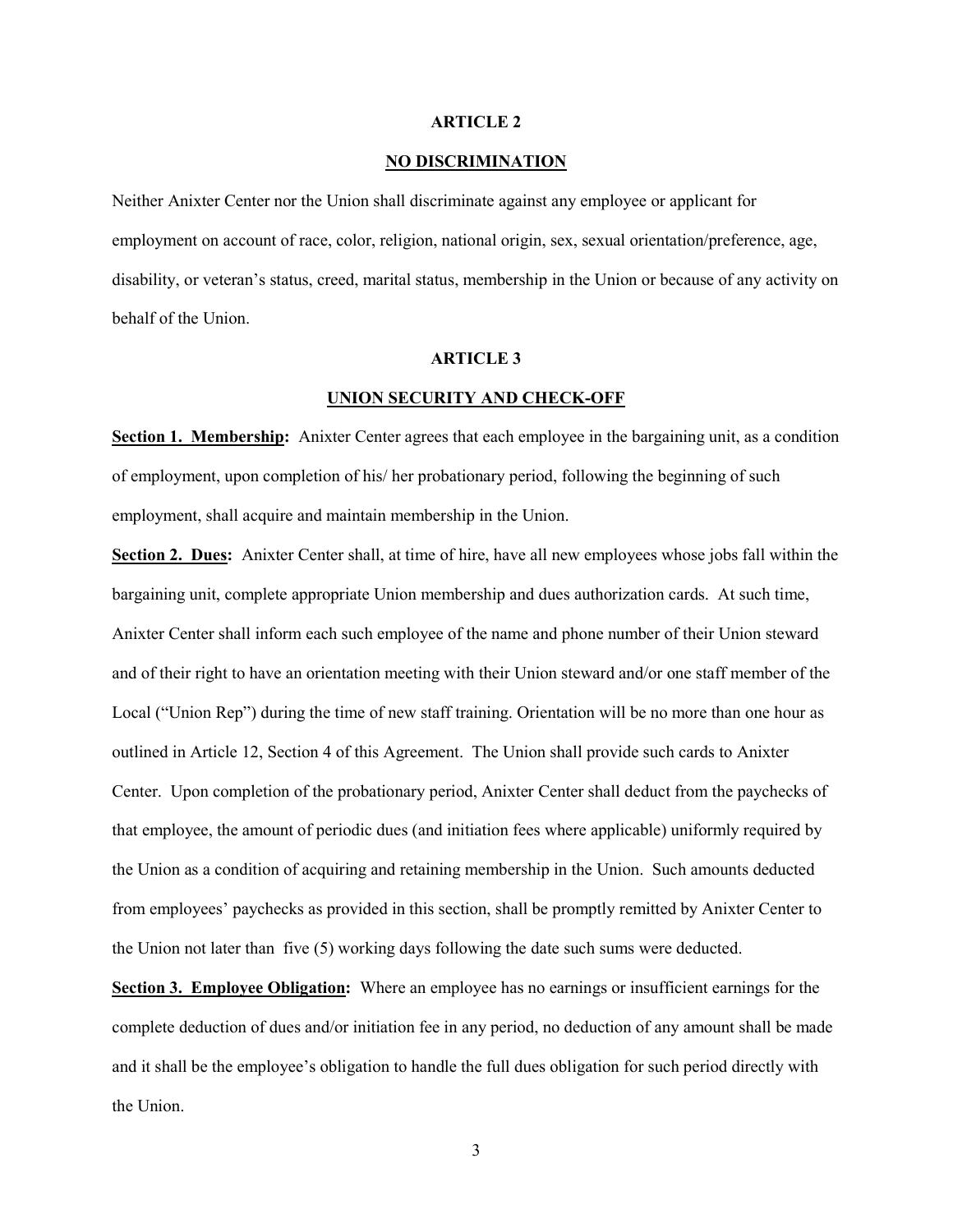#### ARTICLE 2

#### NO DISCRIMINATION

Neither Anixter Center nor the Union shall discriminate against any employee or applicant for employment on account of race, color, religion, national origin, sex, sexual orientation/preference, age, disability, or veteran's status, creed, marital status, membership in the Union or because of any activity on behalf of the Union.

#### ARTICLE 3

#### UNION SECURITY AND CHECK-OFF

Section 1. Membership: Anixter Center agrees that each employee in the bargaining unit, as a condition of employment, upon completion of his/ her probationary period, following the beginning of such employment, shall acquire and maintain membership in the Union.

Section 2. Dues: Anixter Center shall, at time of hire, have all new employees whose jobs fall within the bargaining unit, complete appropriate Union membership and dues authorization cards. At such time, Anixter Center shall inform each such employee of the name and phone number of their Union steward and of their right to have an orientation meeting with their Union steward and/or one staff member of the Local ("Union Rep") during the time of new staff training. Orientation will be no more than one hour as outlined in Article 12, Section 4 of this Agreement. The Union shall provide such cards to Anixter Center. Upon completion of the probationary period, Anixter Center shall deduct from the paychecks of that employee, the amount of periodic dues (and initiation fees where applicable) uniformly required by the Union as a condition of acquiring and retaining membership in the Union. Such amounts deducted from employees' paychecks as provided in this section, shall be promptly remitted by Anixter Center to the Union not later than five (5) working days following the date such sums were deducted.

Section 3. Employee Obligation: Where an employee has no earnings or insufficient earnings for the complete deduction of dues and/or initiation fee in any period, no deduction of any amount shall be made and it shall be the employee's obligation to handle the full dues obligation for such period directly with the Union.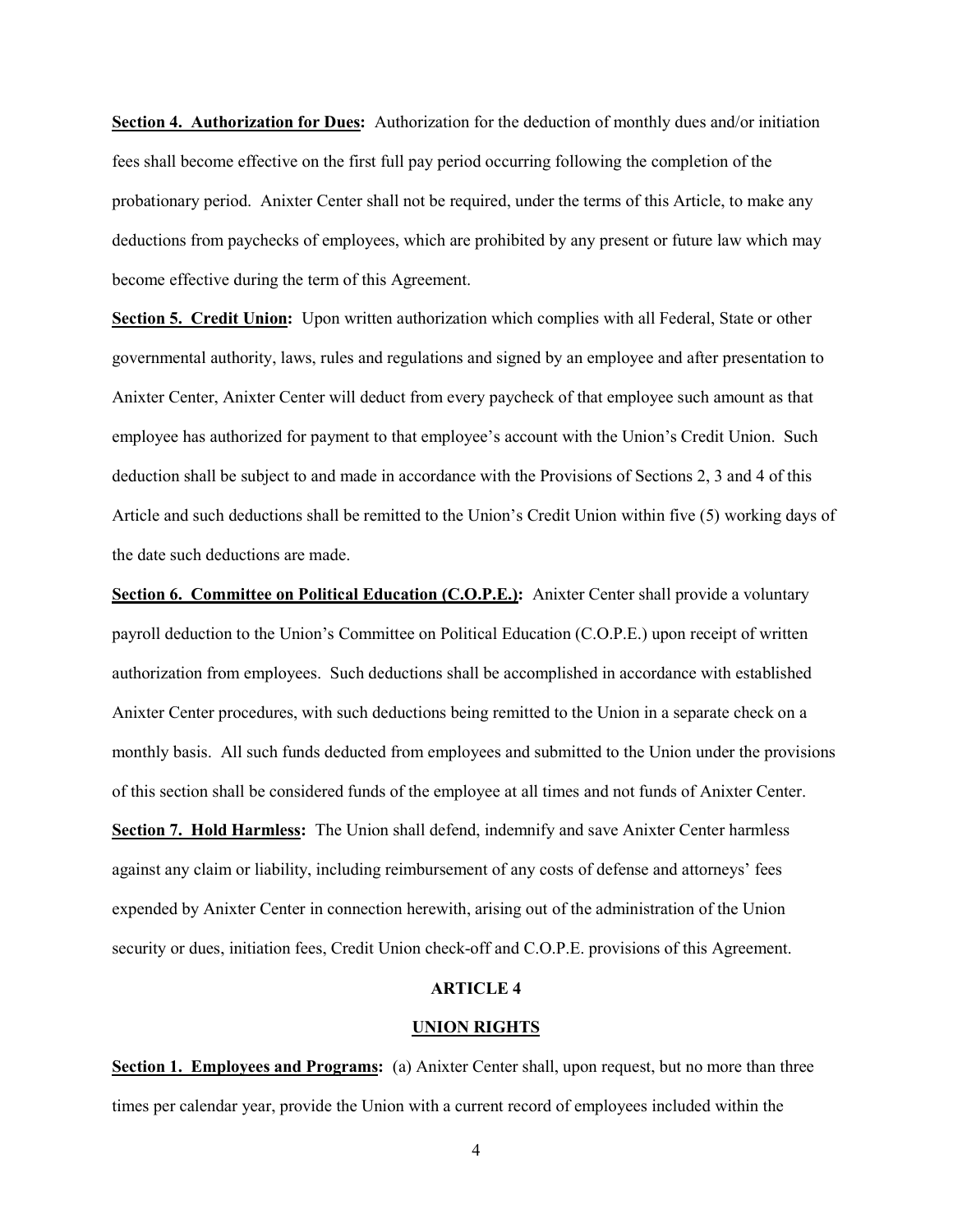Section 4. Authorization for Dues: Authorization for the deduction of monthly dues and/or initiation fees shall become effective on the first full pay period occurring following the completion of the probationary period. Anixter Center shall not be required, under the terms of this Article, to make any deductions from paychecks of employees, which are prohibited by any present or future law which may become effective during the term of this Agreement.

Section 5. Credit Union: Upon written authorization which complies with all Federal, State or other governmental authority, laws, rules and regulations and signed by an employee and after presentation to Anixter Center, Anixter Center will deduct from every paycheck of that employee such amount as that employee has authorized for payment to that employee's account with the Union's Credit Union. Such deduction shall be subject to and made in accordance with the Provisions of Sections 2, 3 and 4 of this Article and such deductions shall be remitted to the Union's Credit Union within five (5) working days of the date such deductions are made.

Section 6. Committee on Political Education (C.O.P.E.): Anixter Center shall provide a voluntary payroll deduction to the Union's Committee on Political Education (C.O.P.E.) upon receipt of written authorization from employees. Such deductions shall be accomplished in accordance with established Anixter Center procedures, with such deductions being remitted to the Union in a separate check on a monthly basis. All such funds deducted from employees and submitted to the Union under the provisions of this section shall be considered funds of the employee at all times and not funds of Anixter Center. Section 7. Hold Harmless: The Union shall defend, indemnify and save Anixter Center harmless against any claim or liability, including reimbursement of any costs of defense and attorneys' fees expended by Anixter Center in connection herewith, arising out of the administration of the Union security or dues, initiation fees, Credit Union check-off and C.O.P.E. provisions of this Agreement.

#### ARTICLE 4

#### UNION RIGHTS

Section 1. Employees and Programs: (a) Anixter Center shall, upon request, but no more than three times per calendar year, provide the Union with a current record of employees included within the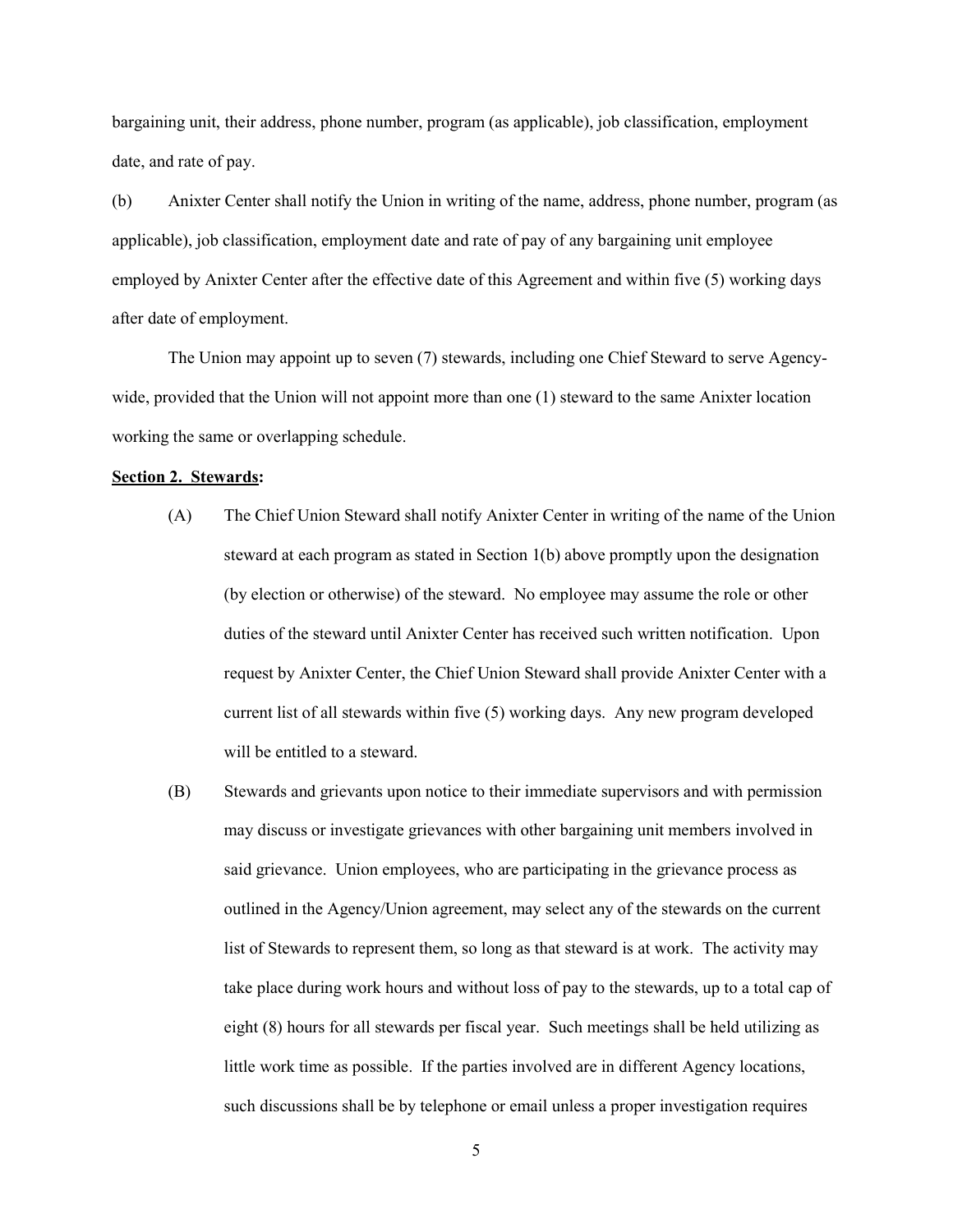bargaining unit, their address, phone number, program (as applicable), job classification, employment date, and rate of pay.

(b) Anixter Center shall notify the Union in writing of the name, address, phone number, program (as applicable), job classification, employment date and rate of pay of any bargaining unit employee employed by Anixter Center after the effective date of this Agreement and within five (5) working days after date of employment.

The Union may appoint up to seven (7) stewards, including one Chief Steward to serve Agencywide, provided that the Union will not appoint more than one (1) steward to the same Anixter location working the same or overlapping schedule.

#### Section 2. Stewards:

- (A) The Chief Union Steward shall notify Anixter Center in writing of the name of the Union steward at each program as stated in Section 1(b) above promptly upon the designation (by election or otherwise) of the steward. No employee may assume the role or other duties of the steward until Anixter Center has received such written notification. Upon request by Anixter Center, the Chief Union Steward shall provide Anixter Center with a current list of all stewards within five (5) working days. Any new program developed will be entitled to a steward.
- (B) Stewards and grievants upon notice to their immediate supervisors and with permission may discuss or investigate grievances with other bargaining unit members involved in said grievance. Union employees, who are participating in the grievance process as outlined in the Agency/Union agreement, may select any of the stewards on the current list of Stewards to represent them, so long as that steward is at work. The activity may take place during work hours and without loss of pay to the stewards, up to a total cap of eight (8) hours for all stewards per fiscal year. Such meetings shall be held utilizing as little work time as possible. If the parties involved are in different Agency locations, such discussions shall be by telephone or email unless a proper investigation requires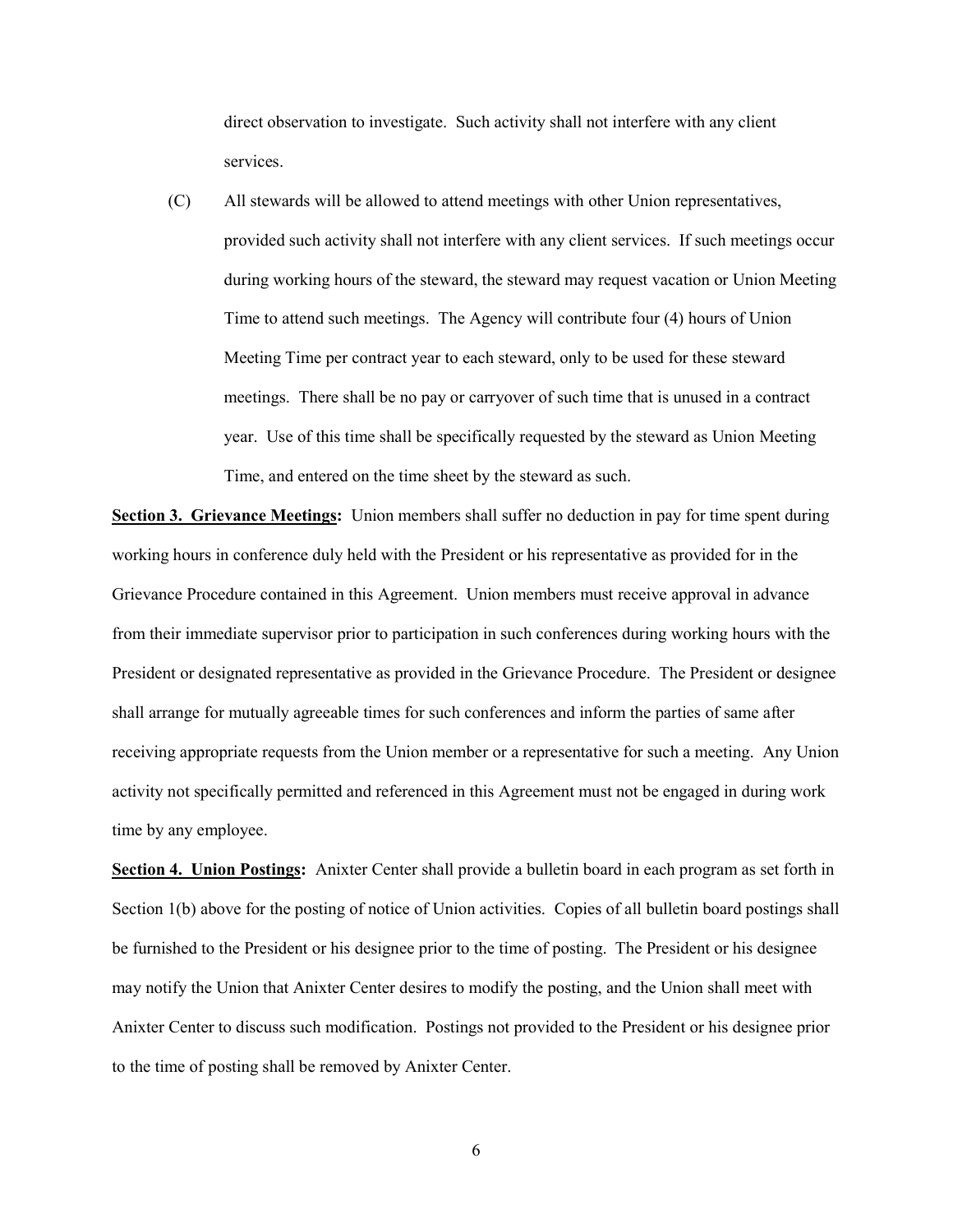direct observation to investigate. Such activity shall not interfere with any client services.

(C) All stewards will be allowed to attend meetings with other Union representatives, provided such activity shall not interfere with any client services. If such meetings occur during working hours of the steward, the steward may request vacation or Union Meeting Time to attend such meetings. The Agency will contribute four (4) hours of Union Meeting Time per contract year to each steward, only to be used for these steward meetings. There shall be no pay or carryover of such time that is unused in a contract year. Use of this time shall be specifically requested by the steward as Union Meeting Time, and entered on the time sheet by the steward as such.

Section 3. Grievance Meetings: Union members shall suffer no deduction in pay for time spent during working hours in conference duly held with the President or his representative as provided for in the Grievance Procedure contained in this Agreement. Union members must receive approval in advance from their immediate supervisor prior to participation in such conferences during working hours with the President or designated representative as provided in the Grievance Procedure. The President or designee shall arrange for mutually agreeable times for such conferences and inform the parties of same after receiving appropriate requests from the Union member or a representative for such a meeting. Any Union activity not specifically permitted and referenced in this Agreement must not be engaged in during work time by any employee.

Section 4. Union Postings: Anixter Center shall provide a bulletin board in each program as set forth in Section 1(b) above for the posting of notice of Union activities. Copies of all bulletin board postings shall be furnished to the President or his designee prior to the time of posting. The President or his designee may notify the Union that Anixter Center desires to modify the posting, and the Union shall meet with Anixter Center to discuss such modification. Postings not provided to the President or his designee prior to the time of posting shall be removed by Anixter Center.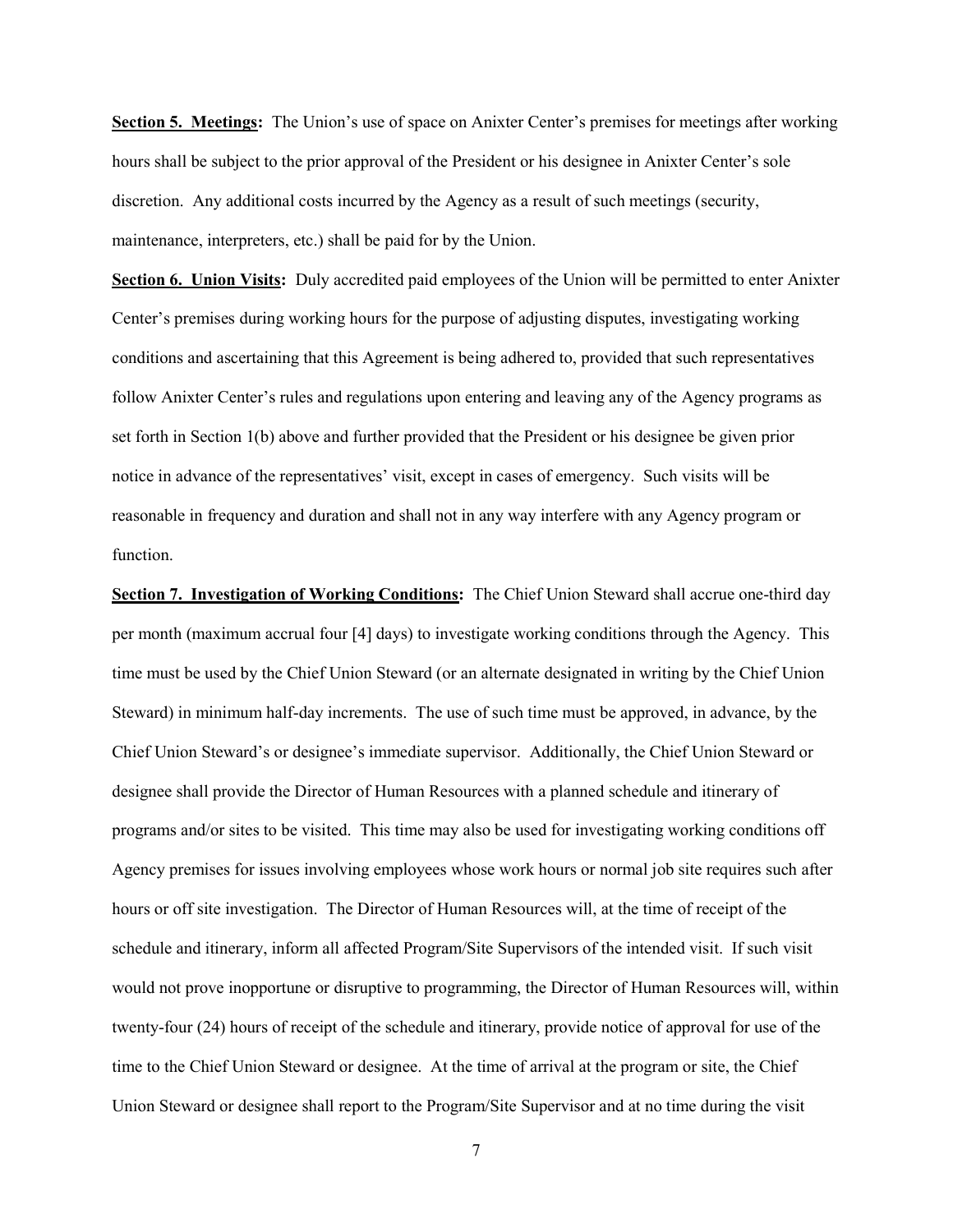Section 5. Meetings: The Union's use of space on Anixter Center's premises for meetings after working hours shall be subject to the prior approval of the President or his designee in Anixter Center's sole discretion. Any additional costs incurred by the Agency as a result of such meetings (security, maintenance, interpreters, etc.) shall be paid for by the Union.

Section 6. Union Visits: Duly accredited paid employees of the Union will be permitted to enter Anixter Center's premises during working hours for the purpose of adjusting disputes, investigating working conditions and ascertaining that this Agreement is being adhered to, provided that such representatives follow Anixter Center's rules and regulations upon entering and leaving any of the Agency programs as set forth in Section 1(b) above and further provided that the President or his designee be given prior notice in advance of the representatives' visit, except in cases of emergency. Such visits will be reasonable in frequency and duration and shall not in any way interfere with any Agency program or function.

Section 7. Investigation of Working Conditions: The Chief Union Steward shall accrue one-third day per month (maximum accrual four [4] days) to investigate working conditions through the Agency. This time must be used by the Chief Union Steward (or an alternate designated in writing by the Chief Union Steward) in minimum half-day increments. The use of such time must be approved, in advance, by the Chief Union Steward's or designee's immediate supervisor. Additionally, the Chief Union Steward or designee shall provide the Director of Human Resources with a planned schedule and itinerary of programs and/or sites to be visited. This time may also be used for investigating working conditions off Agency premises for issues involving employees whose work hours or normal job site requires such after hours or off site investigation. The Director of Human Resources will, at the time of receipt of the schedule and itinerary, inform all affected Program/Site Supervisors of the intended visit. If such visit would not prove inopportune or disruptive to programming, the Director of Human Resources will, within twenty-four (24) hours of receipt of the schedule and itinerary, provide notice of approval for use of the time to the Chief Union Steward or designee. At the time of arrival at the program or site, the Chief Union Steward or designee shall report to the Program/Site Supervisor and at no time during the visit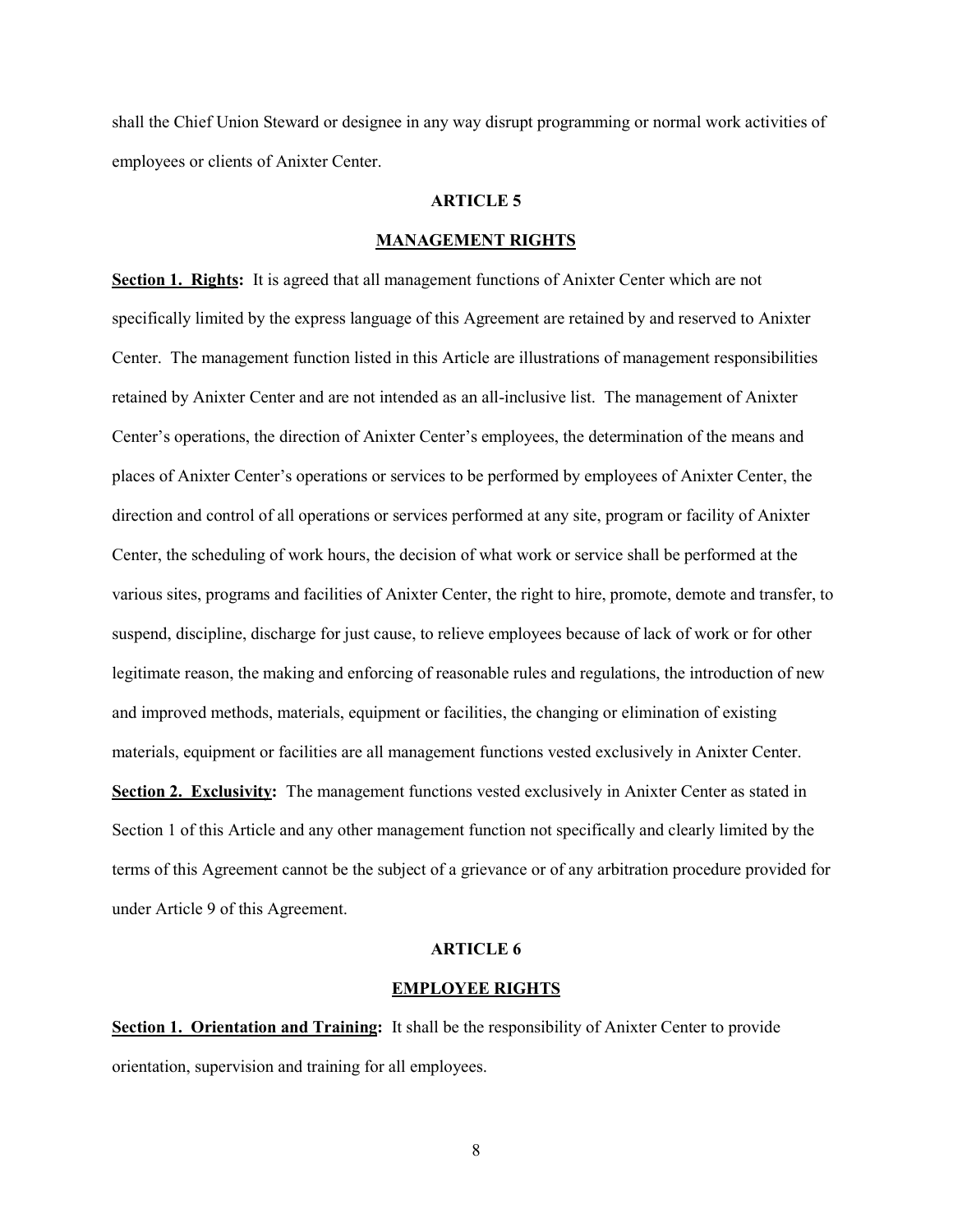shall the Chief Union Steward or designee in any way disrupt programming or normal work activities of employees or clients of Anixter Center.

#### ARTICLE 5

#### MANAGEMENT RIGHTS

Section 1. Rights: It is agreed that all management functions of Anixter Center which are not specifically limited by the express language of this Agreement are retained by and reserved to Anixter Center. The management function listed in this Article are illustrations of management responsibilities retained by Anixter Center and are not intended as an all-inclusive list. The management of Anixter Center's operations, the direction of Anixter Center's employees, the determination of the means and places of Anixter Center's operations or services to be performed by employees of Anixter Center, the direction and control of all operations or services performed at any site, program or facility of Anixter Center, the scheduling of work hours, the decision of what work or service shall be performed at the various sites, programs and facilities of Anixter Center, the right to hire, promote, demote and transfer, to suspend, discipline, discharge for just cause, to relieve employees because of lack of work or for other legitimate reason, the making and enforcing of reasonable rules and regulations, the introduction of new and improved methods, materials, equipment or facilities, the changing or elimination of existing materials, equipment or facilities are all management functions vested exclusively in Anixter Center. Section 2. Exclusivity: The management functions vested exclusively in Anixter Center as stated in Section 1 of this Article and any other management function not specifically and clearly limited by the

terms of this Agreement cannot be the subject of a grievance or of any arbitration procedure provided for under Article 9 of this Agreement.

#### ARTICLE 6

#### EMPLOYEE RIGHTS

Section 1. Orientation and Training: It shall be the responsibility of Anixter Center to provide orientation, supervision and training for all employees.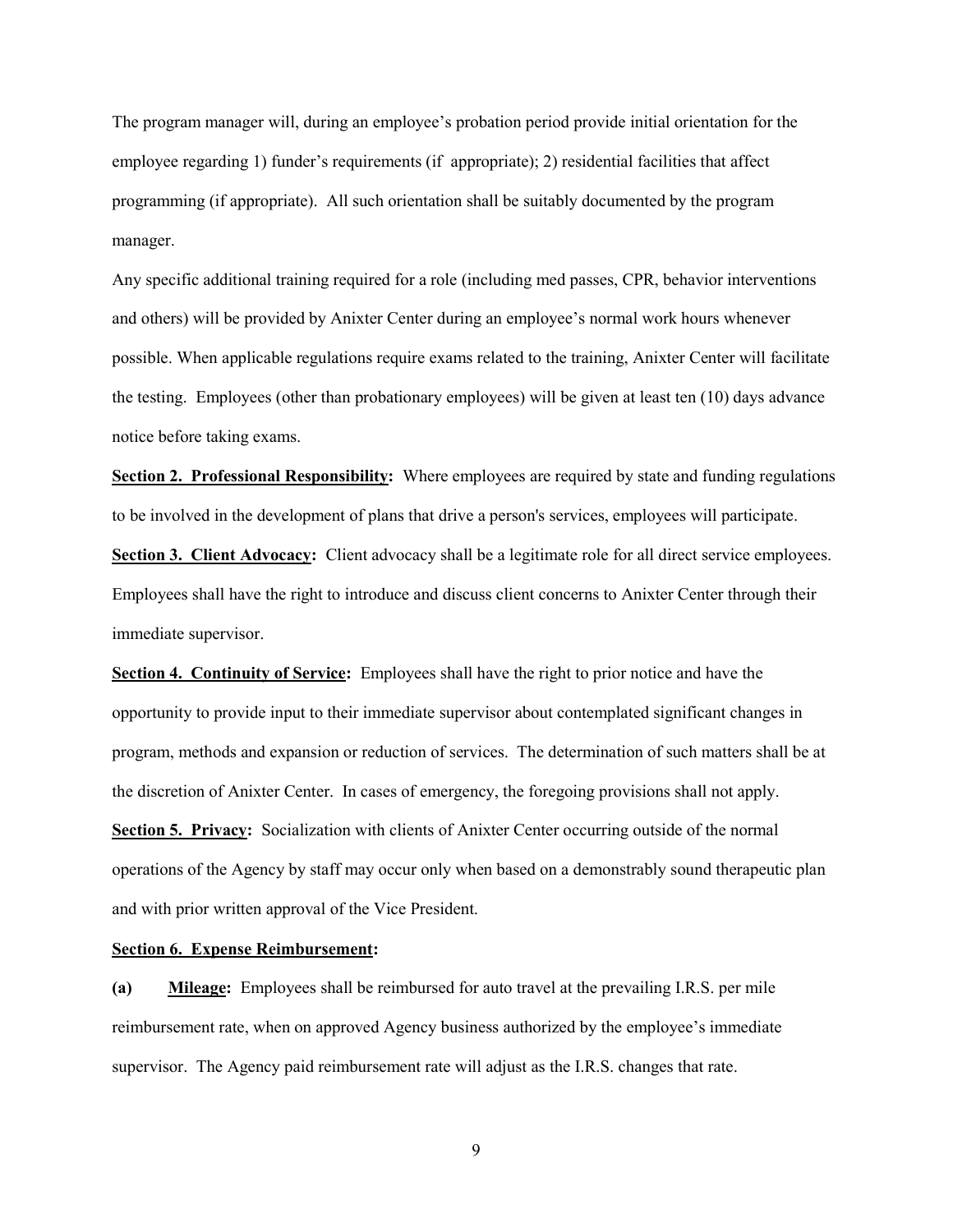The program manager will, during an employee's probation period provide initial orientation for the employee regarding 1) funder's requirements (if appropriate); 2) residential facilities that affect programming (if appropriate). All such orientation shall be suitably documented by the program manager.

Any specific additional training required for a role (including med passes, CPR, behavior interventions and others) will be provided by Anixter Center during an employee's normal work hours whenever possible. When applicable regulations require exams related to the training, Anixter Center will facilitate the testing. Employees (other than probationary employees) will be given at least ten (10) days advance notice before taking exams.

Section 2. Professional Responsibility: Where employees are required by state and funding regulations to be involved in the development of plans that drive a person's services, employees will participate. Section 3. Client Advocacy: Client advocacy shall be a legitimate role for all direct service employees.

Employees shall have the right to introduce and discuss client concerns to Anixter Center through their immediate supervisor.

Section 4. Continuity of Service: Employees shall have the right to prior notice and have the opportunity to provide input to their immediate supervisor about contemplated significant changes in program, methods and expansion or reduction of services. The determination of such matters shall be at the discretion of Anixter Center. In cases of emergency, the foregoing provisions shall not apply. Section 5. Privacy: Socialization with clients of Anixter Center occurring outside of the normal operations of the Agency by staff may occur only when based on a demonstrably sound therapeutic plan and with prior written approval of the Vice President.

#### Section 6. Expense Reimbursement:

(a) Mileage: Employees shall be reimbursed for auto travel at the prevailing I.R.S. per mile reimbursement rate, when on approved Agency business authorized by the employee's immediate supervisor. The Agency paid reimbursement rate will adjust as the I.R.S. changes that rate.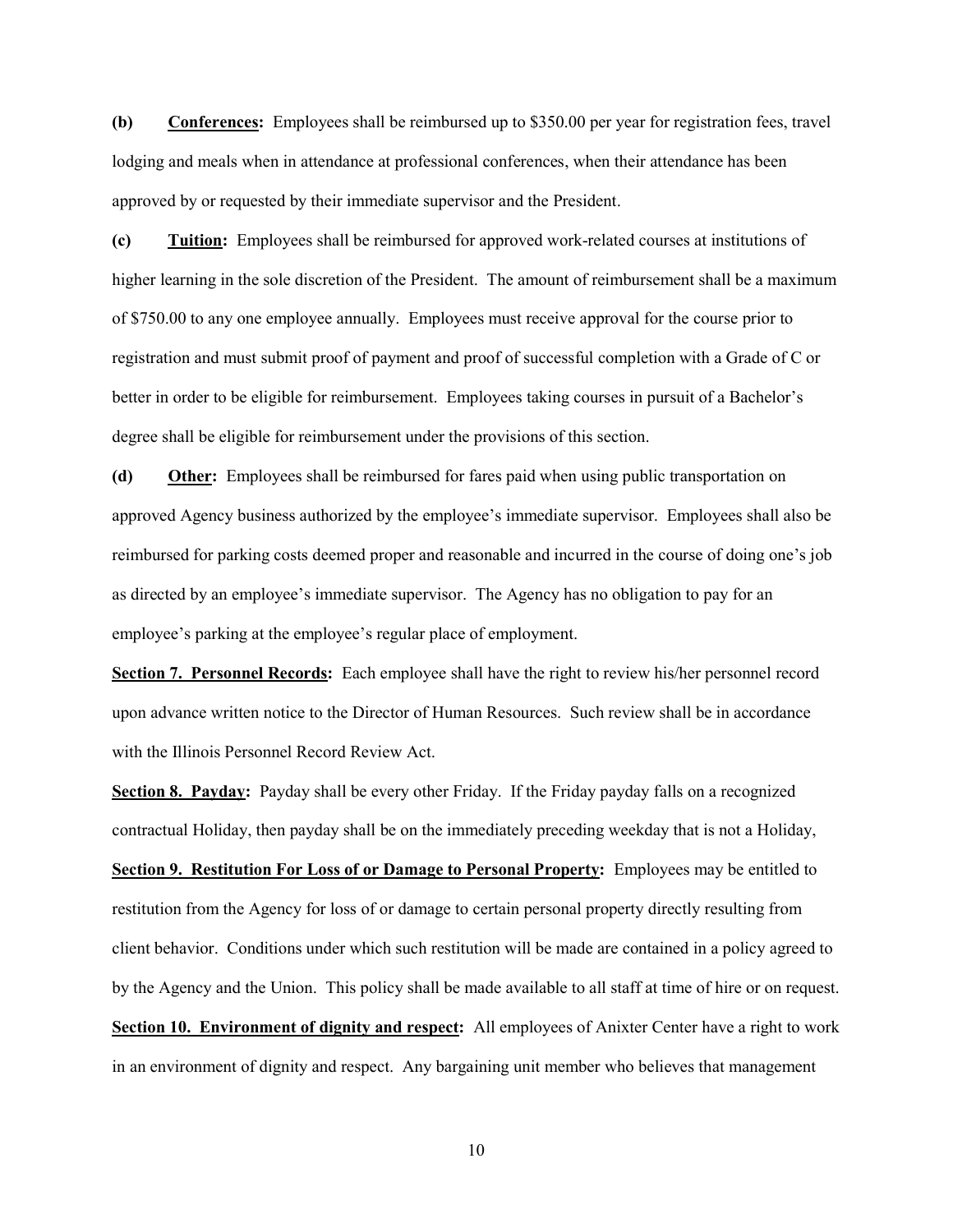(b) Conferences: Employees shall be reimbursed up to \$350.00 per year for registration fees, travel lodging and meals when in attendance at professional conferences, when their attendance has been approved by or requested by their immediate supervisor and the President.

(c) Tuition: Employees shall be reimbursed for approved work-related courses at institutions of higher learning in the sole discretion of the President. The amount of reimbursement shall be a maximum of \$750.00 to any one employee annually. Employees must receive approval for the course prior to registration and must submit proof of payment and proof of successful completion with a Grade of C or better in order to be eligible for reimbursement. Employees taking courses in pursuit of a Bachelor's degree shall be eligible for reimbursement under the provisions of this section.

(d) Other: Employees shall be reimbursed for fares paid when using public transportation on approved Agency business authorized by the employee's immediate supervisor. Employees shall also be reimbursed for parking costs deemed proper and reasonable and incurred in the course of doing one's job as directed by an employee's immediate supervisor. The Agency has no obligation to pay for an employee's parking at the employee's regular place of employment.

Section 7. Personnel Records: Each employee shall have the right to review his/her personnel record upon advance written notice to the Director of Human Resources. Such review shall be in accordance with the Illinois Personnel Record Review Act.

Section 8. Payday: Payday shall be every other Friday. If the Friday payday falls on a recognized contractual Holiday, then payday shall be on the immediately preceding weekday that is not a Holiday, Section 9. Restitution For Loss of or Damage to Personal Property: Employees may be entitled to restitution from the Agency for loss of or damage to certain personal property directly resulting from client behavior. Conditions under which such restitution will be made are contained in a policy agreed to by the Agency and the Union. This policy shall be made available to all staff at time of hire or on request. Section 10. Environment of dignity and respect: All employees of Anixter Center have a right to work in an environment of dignity and respect. Any bargaining unit member who believes that management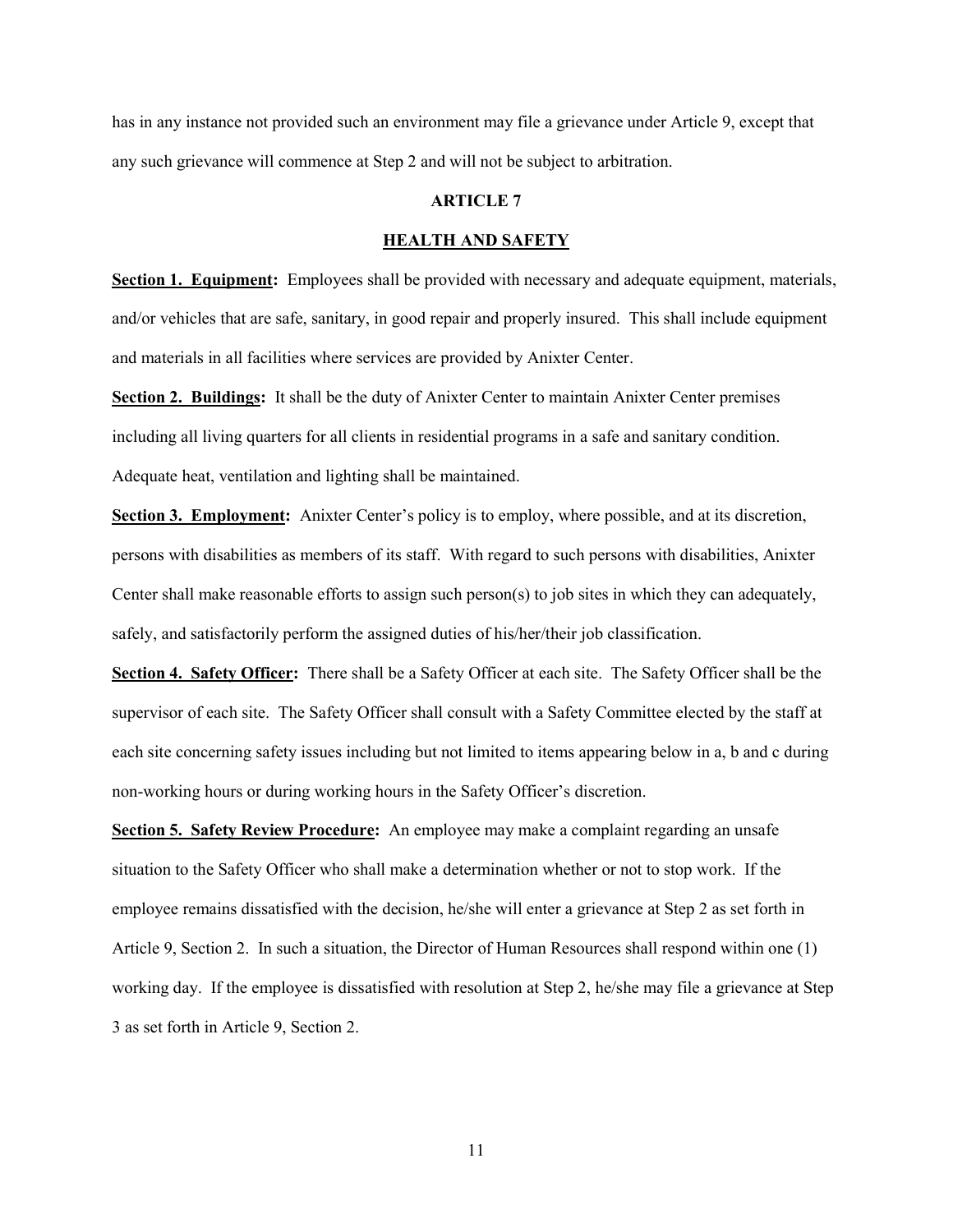has in any instance not provided such an environment may file a grievance under Article 9, except that any such grievance will commence at Step 2 and will not be subject to arbitration.

#### ARTICLE 7

#### HEALTH AND SAFETY

Section 1. Equipment: Employees shall be provided with necessary and adequate equipment, materials, and/or vehicles that are safe, sanitary, in good repair and properly insured. This shall include equipment and materials in all facilities where services are provided by Anixter Center.

Section 2. Buildings: It shall be the duty of Anixter Center to maintain Anixter Center premises including all living quarters for all clients in residential programs in a safe and sanitary condition. Adequate heat, ventilation and lighting shall be maintained.

Section 3. Employment: Anixter Center's policy is to employ, where possible, and at its discretion, persons with disabilities as members of its staff. With regard to such persons with disabilities, Anixter Center shall make reasonable efforts to assign such person(s) to job sites in which they can adequately, safely, and satisfactorily perform the assigned duties of his/her/their job classification.

Section 4. Safety Officer: There shall be a Safety Officer at each site. The Safety Officer shall be the supervisor of each site. The Safety Officer shall consult with a Safety Committee elected by the staff at each site concerning safety issues including but not limited to items appearing below in a, b and c during non-working hours or during working hours in the Safety Officer's discretion.

Section 5. Safety Review Procedure: An employee may make a complaint regarding an unsafe situation to the Safety Officer who shall make a determination whether or not to stop work. If the employee remains dissatisfied with the decision, he/she will enter a grievance at Step 2 as set forth in Article 9, Section 2. In such a situation, the Director of Human Resources shall respond within one (1) working day. If the employee is dissatisfied with resolution at Step 2, he/she may file a grievance at Step 3 as set forth in Article 9, Section 2.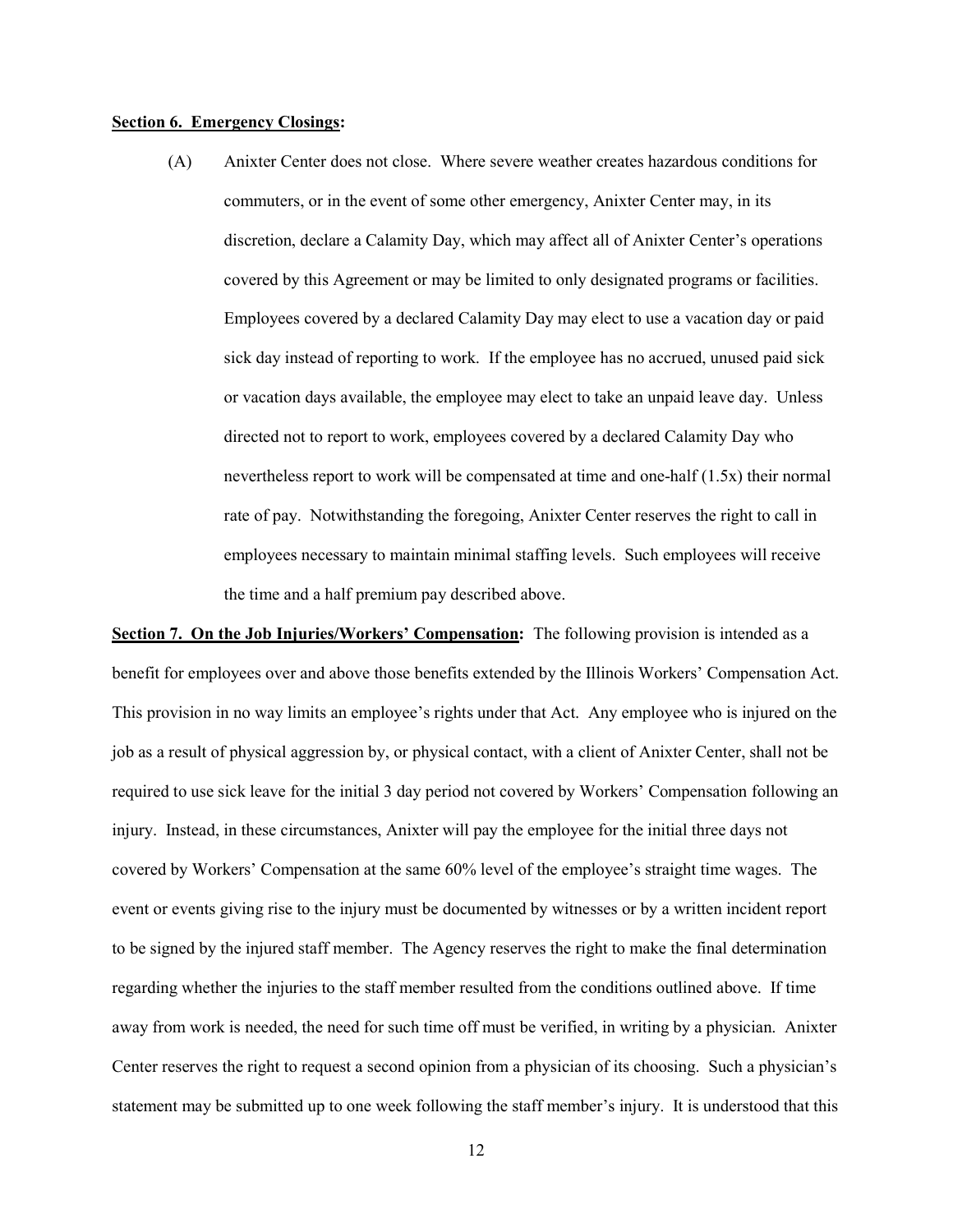#### Section 6. Emergency Closings:

(A) Anixter Center does not close. Where severe weather creates hazardous conditions for commuters, or in the event of some other emergency, Anixter Center may, in its discretion, declare a Calamity Day, which may affect all of Anixter Center's operations covered by this Agreement or may be limited to only designated programs or facilities. Employees covered by a declared Calamity Day may elect to use a vacation day or paid sick day instead of reporting to work. If the employee has no accrued, unused paid sick or vacation days available, the employee may elect to take an unpaid leave day. Unless directed not to report to work, employees covered by a declared Calamity Day who nevertheless report to work will be compensated at time and one-half (1.5x) their normal rate of pay. Notwithstanding the foregoing, Anixter Center reserves the right to call in employees necessary to maintain minimal staffing levels. Such employees will receive the time and a half premium pay described above.

Section 7. On the Job Injuries/Workers' Compensation: The following provision is intended as a benefit for employees over and above those benefits extended by the Illinois Workers' Compensation Act. This provision in no way limits an employee's rights under that Act. Any employee who is injured on the job as a result of physical aggression by, or physical contact, with a client of Anixter Center, shall not be required to use sick leave for the initial 3 day period not covered by Workers' Compensation following an injury. Instead, in these circumstances, Anixter will pay the employee for the initial three days not covered by Workers' Compensation at the same 60% level of the employee's straight time wages. The event or events giving rise to the injury must be documented by witnesses or by a written incident report to be signed by the injured staff member. The Agency reserves the right to make the final determination regarding whether the injuries to the staff member resulted from the conditions outlined above. If time away from work is needed, the need for such time off must be verified, in writing by a physician. Anixter Center reserves the right to request a second opinion from a physician of its choosing. Such a physician's statement may be submitted up to one week following the staff member's injury. It is understood that this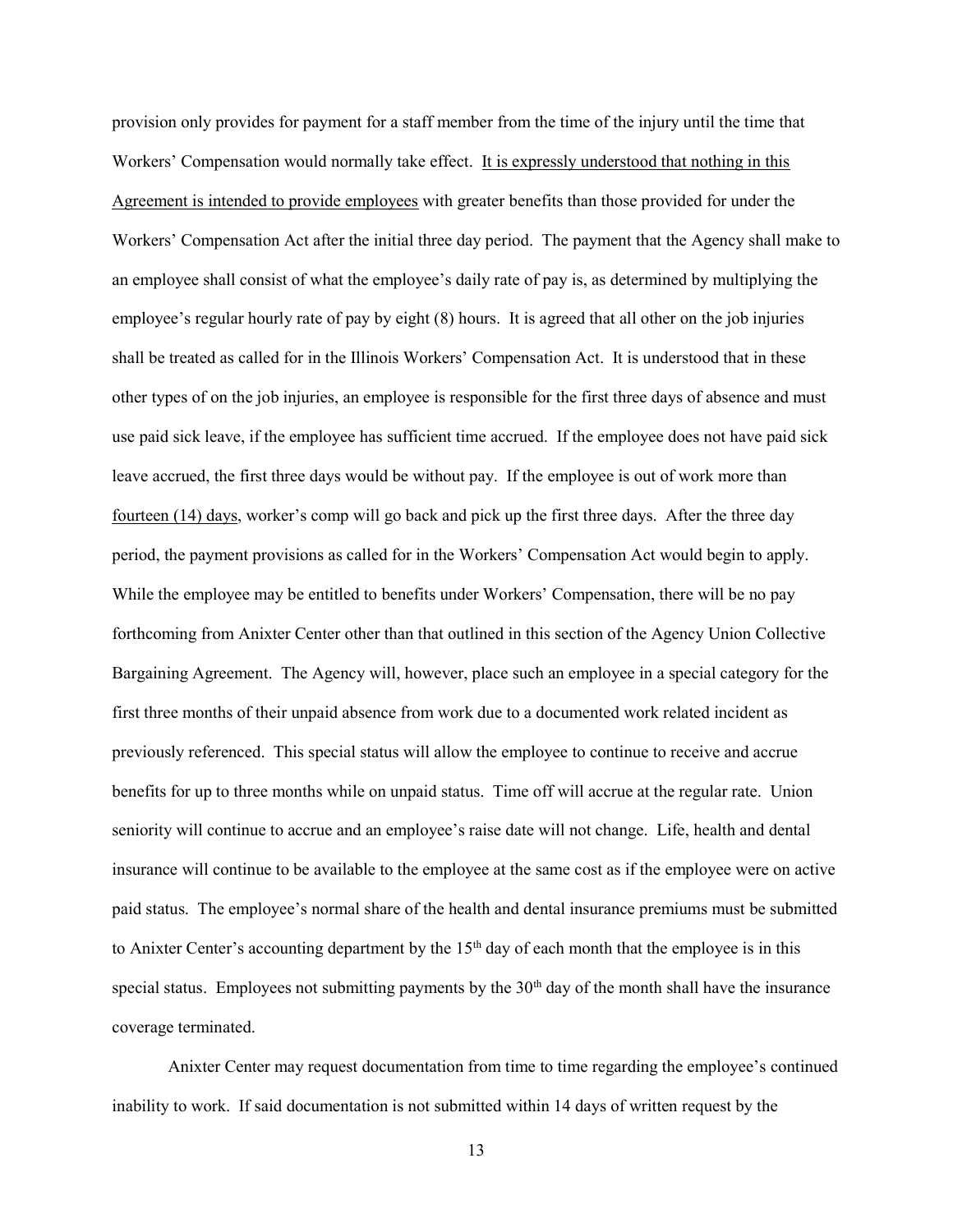provision only provides for payment for a staff member from the time of the injury until the time that Workers' Compensation would normally take effect. It is expressly understood that nothing in this Agreement is intended to provide employees with greater benefits than those provided for under the Workers' Compensation Act after the initial three day period. The payment that the Agency shall make to an employee shall consist of what the employee's daily rate of pay is, as determined by multiplying the employee's regular hourly rate of pay by eight (8) hours. It is agreed that all other on the job injuries shall be treated as called for in the Illinois Workers' Compensation Act. It is understood that in these other types of on the job injuries, an employee is responsible for the first three days of absence and must use paid sick leave, if the employee has sufficient time accrued. If the employee does not have paid sick leave accrued, the first three days would be without pay. If the employee is out of work more than fourteen (14) days, worker's comp will go back and pick up the first three days. After the three day period, the payment provisions as called for in the Workers' Compensation Act would begin to apply. While the employee may be entitled to benefits under Workers' Compensation, there will be no pay forthcoming from Anixter Center other than that outlined in this section of the Agency Union Collective Bargaining Agreement. The Agency will, however, place such an employee in a special category for the first three months of their unpaid absence from work due to a documented work related incident as previously referenced. This special status will allow the employee to continue to receive and accrue benefits for up to three months while on unpaid status. Time off will accrue at the regular rate. Union seniority will continue to accrue and an employee's raise date will not change. Life, health and dental insurance will continue to be available to the employee at the same cost as if the employee were on active paid status. The employee's normal share of the health and dental insurance premiums must be submitted to Anixter Center's accounting department by the 15<sup>th</sup> day of each month that the employee is in this special status. Employees not submitting payments by the  $30<sup>th</sup>$  day of the month shall have the insurance coverage terminated.

Anixter Center may request documentation from time to time regarding the employee's continued inability to work. If said documentation is not submitted within 14 days of written request by the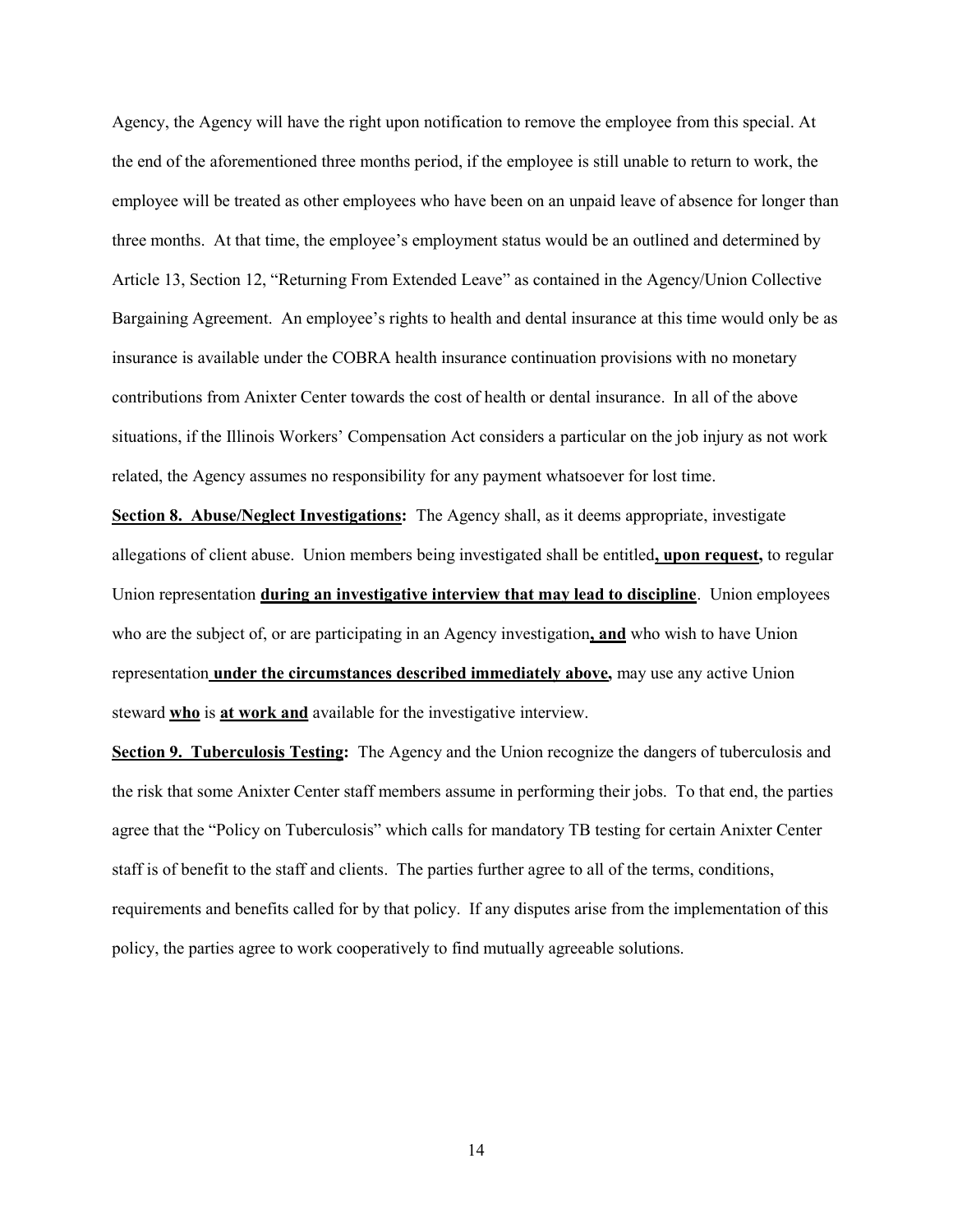Agency, the Agency will have the right upon notification to remove the employee from this special. At the end of the aforementioned three months period, if the employee is still unable to return to work, the employee will be treated as other employees who have been on an unpaid leave of absence for longer than three months. At that time, the employee's employment status would be an outlined and determined by Article 13, Section 12, "Returning From Extended Leave" as contained in the Agency/Union Collective Bargaining Agreement. An employee's rights to health and dental insurance at this time would only be as insurance is available under the COBRA health insurance continuation provisions with no monetary contributions from Anixter Center towards the cost of health or dental insurance. In all of the above situations, if the Illinois Workers' Compensation Act considers a particular on the job injury as not work related, the Agency assumes no responsibility for any payment whatsoever for lost time.

Section 8. Abuse/Neglect Investigations: The Agency shall, as it deems appropriate, investigate allegations of client abuse. Union members being investigated shall be entitled, upon request, to regular Union representation **during an investigative interview that may lead to discipline**. Union employees who are the subject of, or are participating in an Agency investigation, and who wish to have Union representation under the circumstances described immediately above, may use any active Union steward who is at work and available for the investigative interview.

Section 9. Tuberculosis Testing: The Agency and the Union recognize the dangers of tuberculosis and the risk that some Anixter Center staff members assume in performing their jobs. To that end, the parties agree that the "Policy on Tuberculosis" which calls for mandatory TB testing for certain Anixter Center staff is of benefit to the staff and clients. The parties further agree to all of the terms, conditions, requirements and benefits called for by that policy. If any disputes arise from the implementation of this policy, the parties agree to work cooperatively to find mutually agreeable solutions.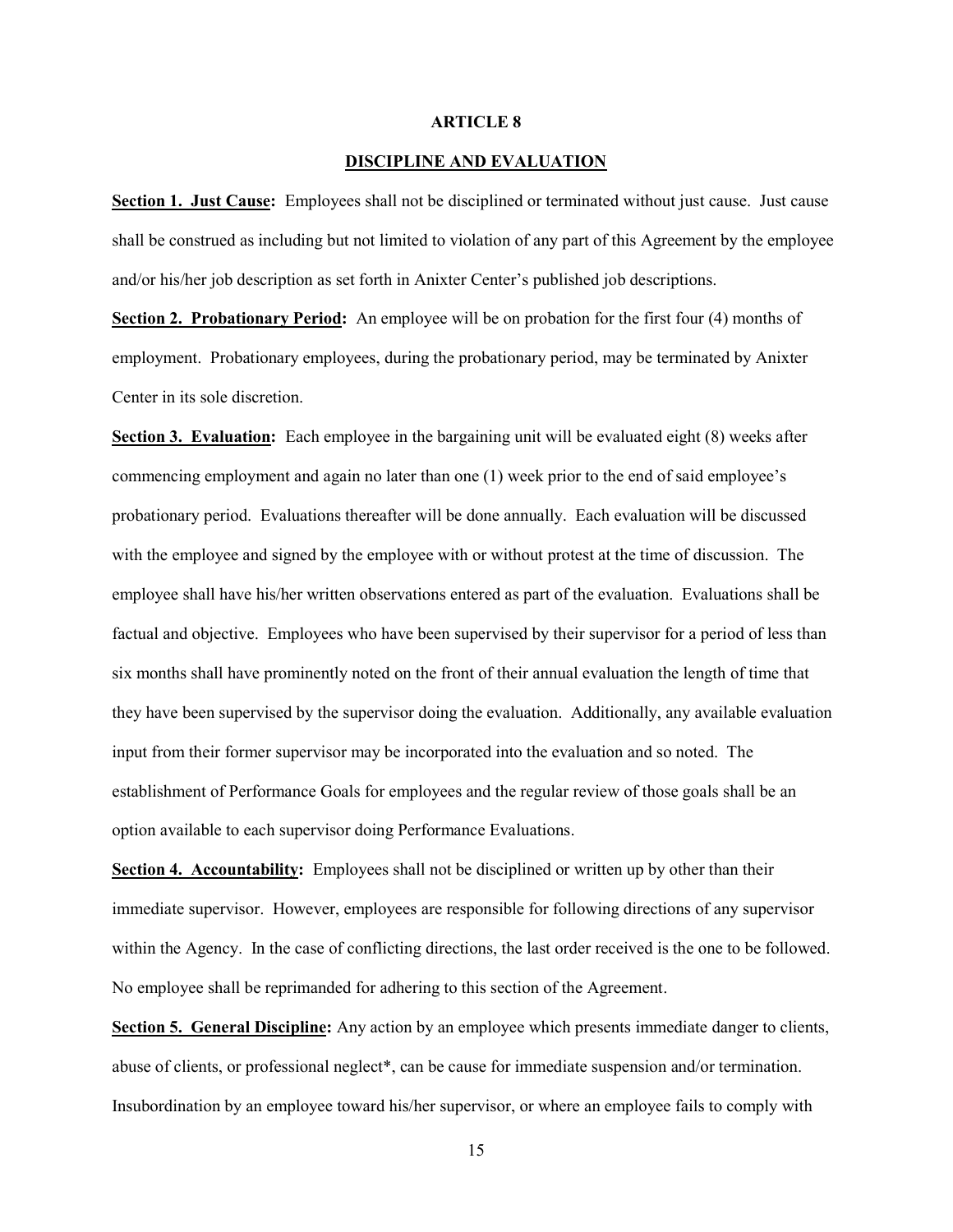#### ARTICLE 8

#### DISCIPLINE AND EVALUATION

Section 1. Just Cause: Employees shall not be disciplined or terminated without just cause. Just cause shall be construed as including but not limited to violation of any part of this Agreement by the employee and/or his/her job description as set forth in Anixter Center's published job descriptions.

Section 2. Probationary Period: An employee will be on probation for the first four (4) months of employment. Probationary employees, during the probationary period, may be terminated by Anixter Center in its sole discretion.

Section 3. Evaluation: Each employee in the bargaining unit will be evaluated eight (8) weeks after commencing employment and again no later than one (1) week prior to the end of said employee's probationary period. Evaluations thereafter will be done annually. Each evaluation will be discussed with the employee and signed by the employee with or without protest at the time of discussion. The employee shall have his/her written observations entered as part of the evaluation. Evaluations shall be factual and objective. Employees who have been supervised by their supervisor for a period of less than six months shall have prominently noted on the front of their annual evaluation the length of time that they have been supervised by the supervisor doing the evaluation. Additionally, any available evaluation input from their former supervisor may be incorporated into the evaluation and so noted. The establishment of Performance Goals for employees and the regular review of those goals shall be an option available to each supervisor doing Performance Evaluations.

Section 4. Accountability: Employees shall not be disciplined or written up by other than their immediate supervisor. However, employees are responsible for following directions of any supervisor within the Agency. In the case of conflicting directions, the last order received is the one to be followed. No employee shall be reprimanded for adhering to this section of the Agreement.

Section 5. General Discipline: Any action by an employee which presents immediate danger to clients, abuse of clients, or professional neglect\*, can be cause for immediate suspension and/or termination. Insubordination by an employee toward his/her supervisor, or where an employee fails to comply with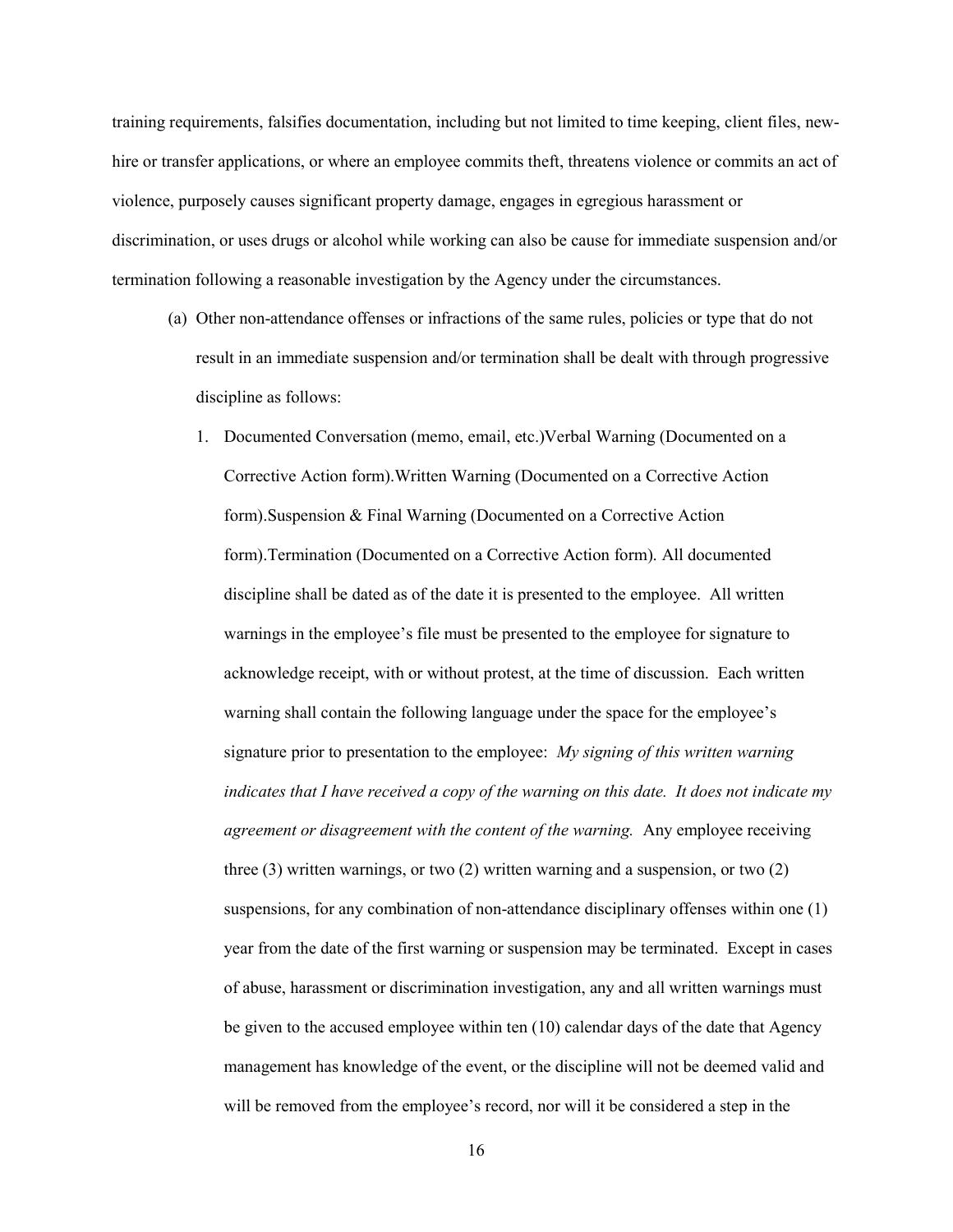training requirements, falsifies documentation, including but not limited to time keeping, client files, newhire or transfer applications, or where an employee commits theft, threatens violence or commits an act of violence, purposely causes significant property damage, engages in egregious harassment or discrimination, or uses drugs or alcohol while working can also be cause for immediate suspension and/or termination following a reasonable investigation by the Agency under the circumstances.

- (a) Other non-attendance offenses or infractions of the same rules, policies or type that do not result in an immediate suspension and/or termination shall be dealt with through progressive discipline as follows:
	- 1. Documented Conversation (memo, email, etc.)Verbal Warning (Documented on a Corrective Action form).Written Warning (Documented on a Corrective Action form).Suspension & Final Warning (Documented on a Corrective Action form).Termination (Documented on a Corrective Action form). All documented discipline shall be dated as of the date it is presented to the employee. All written warnings in the employee's file must be presented to the employee for signature to acknowledge receipt, with or without protest, at the time of discussion. Each written warning shall contain the following language under the space for the employee's signature prior to presentation to the employee: My signing of this written warning indicates that I have received a copy of the warning on this date. It does not indicate my agreement or disagreement with the content of the warning. Any employee receiving three (3) written warnings, or two (2) written warning and a suspension, or two (2) suspensions, for any combination of non-attendance disciplinary offenses within one (1) year from the date of the first warning or suspension may be terminated. Except in cases of abuse, harassment or discrimination investigation, any and all written warnings must be given to the accused employee within ten (10) calendar days of the date that Agency management has knowledge of the event, or the discipline will not be deemed valid and will be removed from the employee's record, nor will it be considered a step in the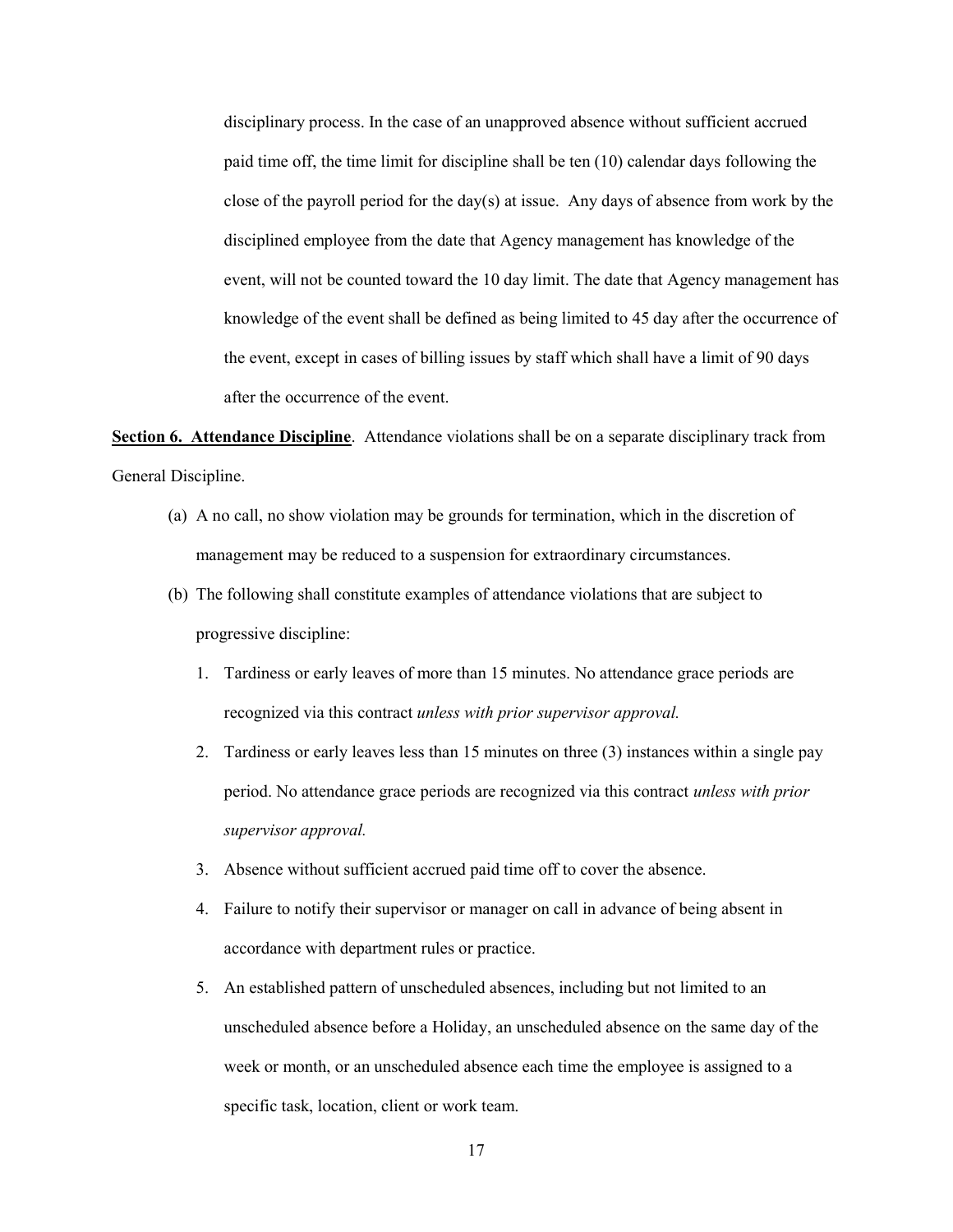disciplinary process. In the case of an unapproved absence without sufficient accrued paid time off, the time limit for discipline shall be ten (10) calendar days following the close of the payroll period for the day(s) at issue. Any days of absence from work by the disciplined employee from the date that Agency management has knowledge of the event, will not be counted toward the 10 day limit. The date that Agency management has knowledge of the event shall be defined as being limited to 45 day after the occurrence of the event, except in cases of billing issues by staff which shall have a limit of 90 days after the occurrence of the event.

Section 6. Attendance Discipline. Attendance violations shall be on a separate disciplinary track from General Discipline.

- (a) A no call, no show violation may be grounds for termination, which in the discretion of management may be reduced to a suspension for extraordinary circumstances.
- (b) The following shall constitute examples of attendance violations that are subject to progressive discipline:
	- 1. Tardiness or early leaves of more than 15 minutes. No attendance grace periods are recognized via this contract unless with prior supervisor approval.
	- 2. Tardiness or early leaves less than 15 minutes on three (3) instances within a single pay period. No attendance grace periods are recognized via this contract unless with prior supervisor approval.
	- 3. Absence without sufficient accrued paid time off to cover the absence.
	- 4. Failure to notify their supervisor or manager on call in advance of being absent in accordance with department rules or practice.
	- 5. An established pattern of unscheduled absences, including but not limited to an unscheduled absence before a Holiday, an unscheduled absence on the same day of the week or month, or an unscheduled absence each time the employee is assigned to a specific task, location, client or work team.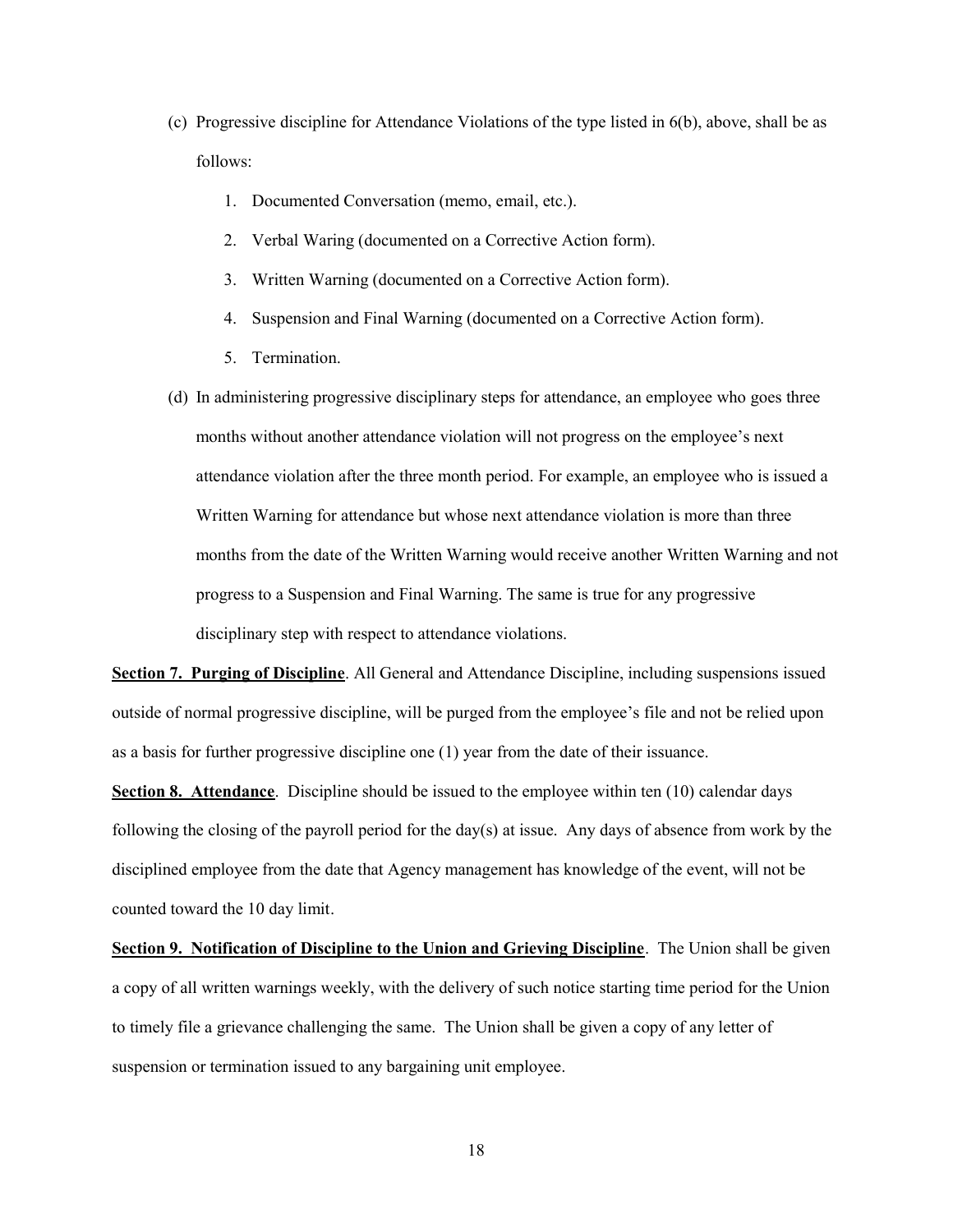- (c) Progressive discipline for Attendance Violations of the type listed in 6(b), above, shall be as follows:
	- 1. Documented Conversation (memo, email, etc.).
	- 2. Verbal Waring (documented on a Corrective Action form).
	- 3. Written Warning (documented on a Corrective Action form).
	- 4. Suspension and Final Warning (documented on a Corrective Action form).
	- 5. Termination.
- (d) In administering progressive disciplinary steps for attendance, an employee who goes three months without another attendance violation will not progress on the employee's next attendance violation after the three month period. For example, an employee who is issued a Written Warning for attendance but whose next attendance violation is more than three months from the date of the Written Warning would receive another Written Warning and not progress to a Suspension and Final Warning. The same is true for any progressive disciplinary step with respect to attendance violations.

Section 7. Purging of Discipline. All General and Attendance Discipline, including suspensions issued outside of normal progressive discipline, will be purged from the employee's file and not be relied upon as a basis for further progressive discipline one (1) year from the date of their issuance.

Section 8. Attendance. Discipline should be issued to the employee within ten (10) calendar days following the closing of the payroll period for the day(s) at issue. Any days of absence from work by the disciplined employee from the date that Agency management has knowledge of the event, will not be counted toward the 10 day limit.

Section 9. Notification of Discipline to the Union and Grieving Discipline. The Union shall be given a copy of all written warnings weekly, with the delivery of such notice starting time period for the Union to timely file a grievance challenging the same. The Union shall be given a copy of any letter of suspension or termination issued to any bargaining unit employee.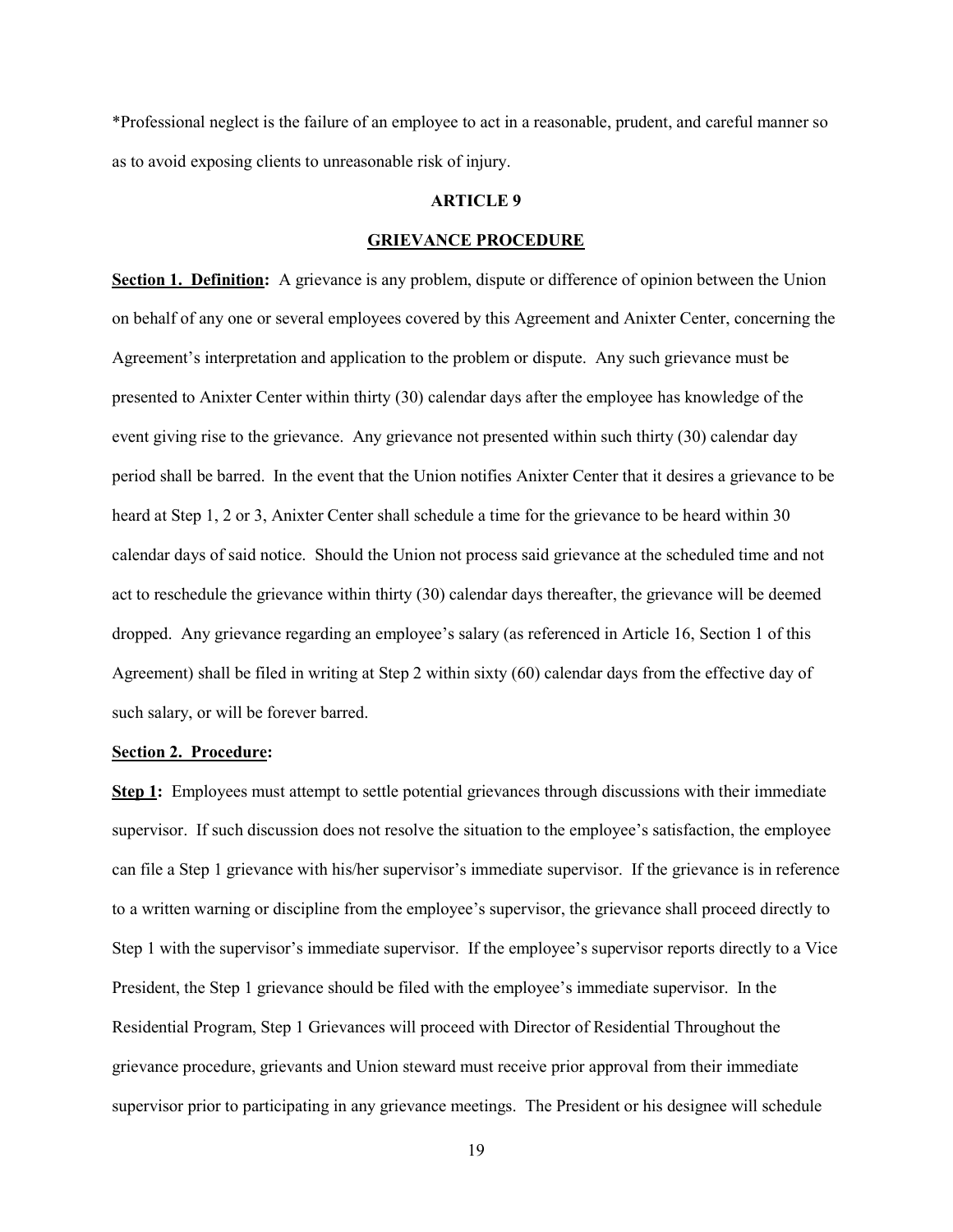\*Professional neglect is the failure of an employee to act in a reasonable, prudent, and careful manner so as to avoid exposing clients to unreasonable risk of injury.

#### ARTICLE 9

#### GRIEVANCE PROCEDURE

Section 1. Definition: A grievance is any problem, dispute or difference of opinion between the Union on behalf of any one or several employees covered by this Agreement and Anixter Center, concerning the Agreement's interpretation and application to the problem or dispute. Any such grievance must be presented to Anixter Center within thirty (30) calendar days after the employee has knowledge of the event giving rise to the grievance. Any grievance not presented within such thirty (30) calendar day period shall be barred. In the event that the Union notifies Anixter Center that it desires a grievance to be heard at Step 1, 2 or 3, Anixter Center shall schedule a time for the grievance to be heard within 30 calendar days of said notice. Should the Union not process said grievance at the scheduled time and not act to reschedule the grievance within thirty (30) calendar days thereafter, the grievance will be deemed dropped. Any grievance regarding an employee's salary (as referenced in Article 16, Section 1 of this Agreement) shall be filed in writing at Step 2 within sixty (60) calendar days from the effective day of such salary, or will be forever barred.

#### Section 2. Procedure:

Step 1: Employees must attempt to settle potential grievances through discussions with their immediate supervisor. If such discussion does not resolve the situation to the employee's satisfaction, the employee can file a Step 1 grievance with his/her supervisor's immediate supervisor. If the grievance is in reference to a written warning or discipline from the employee's supervisor, the grievance shall proceed directly to Step 1 with the supervisor's immediate supervisor. If the employee's supervisor reports directly to a Vice President, the Step 1 grievance should be filed with the employee's immediate supervisor. In the Residential Program, Step 1 Grievances will proceed with Director of Residential Throughout the grievance procedure, grievants and Union steward must receive prior approval from their immediate supervisor prior to participating in any grievance meetings. The President or his designee will schedule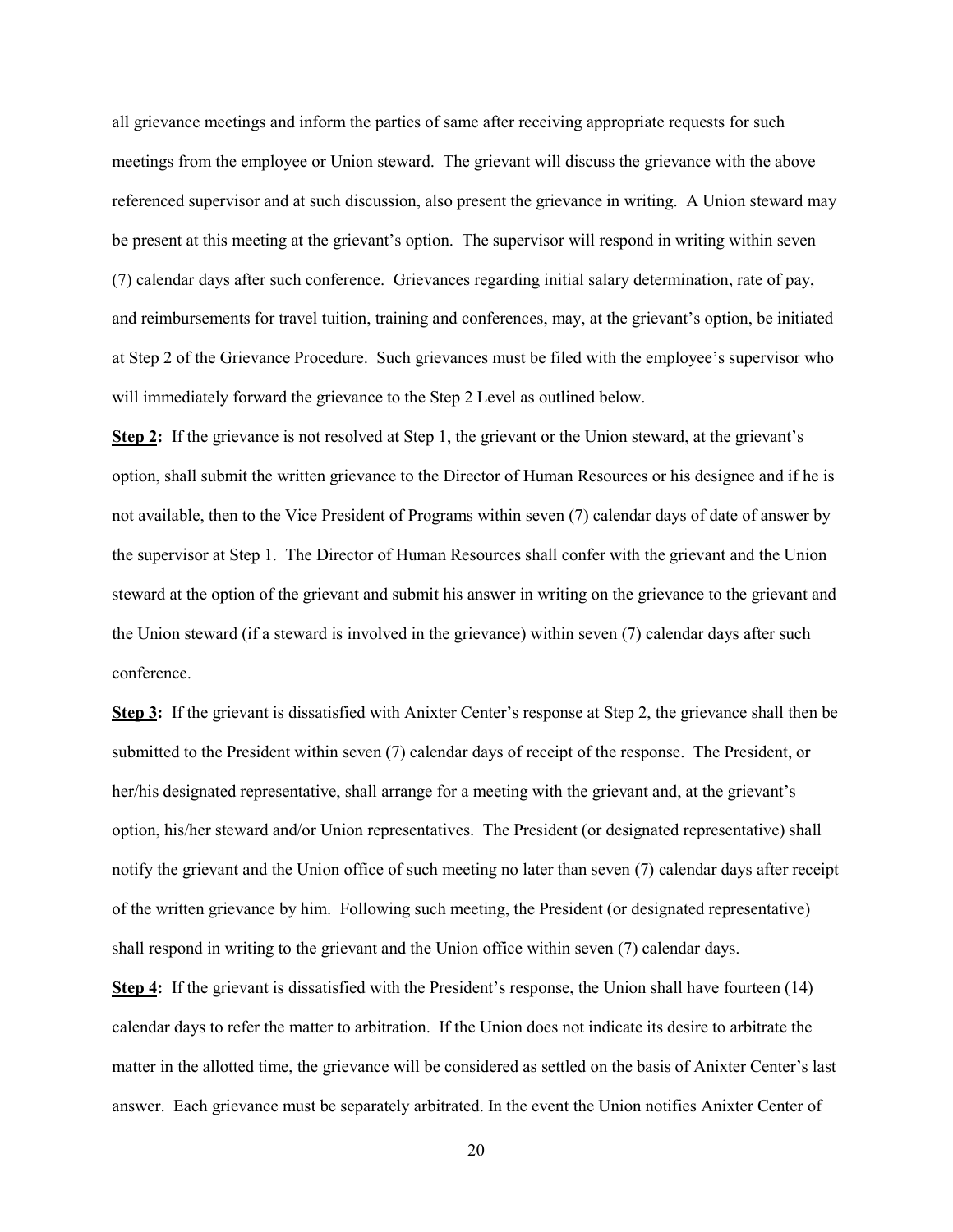all grievance meetings and inform the parties of same after receiving appropriate requests for such meetings from the employee or Union steward. The grievant will discuss the grievance with the above referenced supervisor and at such discussion, also present the grievance in writing. A Union steward may be present at this meeting at the grievant's option. The supervisor will respond in writing within seven (7) calendar days after such conference. Grievances regarding initial salary determination, rate of pay, and reimbursements for travel tuition, training and conferences, may, at the grievant's option, be initiated at Step 2 of the Grievance Procedure. Such grievances must be filed with the employee's supervisor who will immediately forward the grievance to the Step 2 Level as outlined below.

Step 2: If the grievance is not resolved at Step 1, the grievant or the Union steward, at the grievant's option, shall submit the written grievance to the Director of Human Resources or his designee and if he is not available, then to the Vice President of Programs within seven (7) calendar days of date of answer by the supervisor at Step 1. The Director of Human Resources shall confer with the grievant and the Union steward at the option of the grievant and submit his answer in writing on the grievance to the grievant and the Union steward (if a steward is involved in the grievance) within seven (7) calendar days after such conference.

Step 3: If the grievant is dissatisfied with Anixter Center's response at Step 2, the grievance shall then be submitted to the President within seven (7) calendar days of receipt of the response. The President, or her/his designated representative, shall arrange for a meeting with the grievant and, at the grievant's option, his/her steward and/or Union representatives. The President (or designated representative) shall notify the grievant and the Union office of such meeting no later than seven (7) calendar days after receipt of the written grievance by him. Following such meeting, the President (or designated representative) shall respond in writing to the grievant and the Union office within seven (7) calendar days.

Step 4: If the grievant is dissatisfied with the President's response, the Union shall have fourteen (14) calendar days to refer the matter to arbitration. If the Union does not indicate its desire to arbitrate the matter in the allotted time, the grievance will be considered as settled on the basis of Anixter Center's last answer. Each grievance must be separately arbitrated. In the event the Union notifies Anixter Center of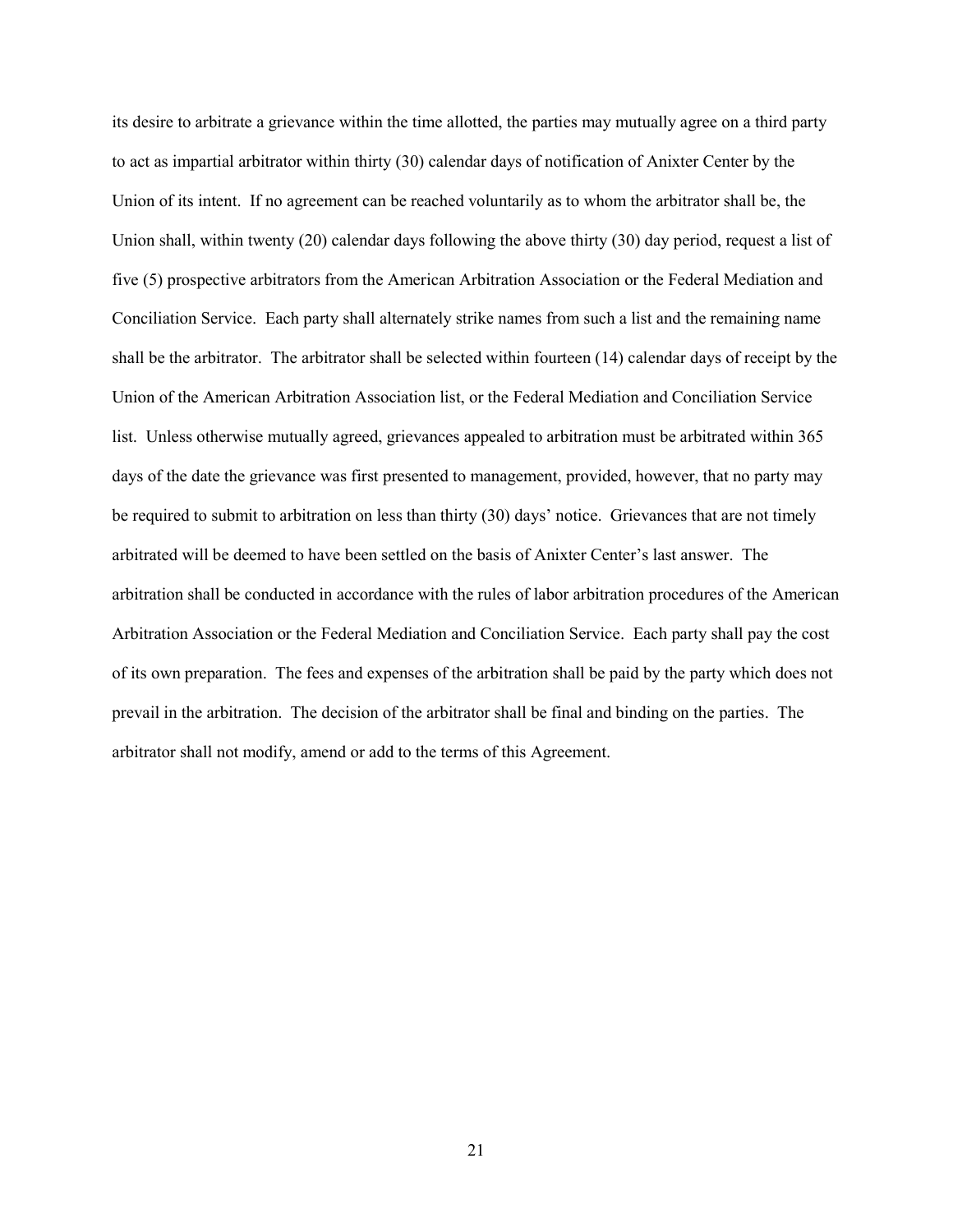its desire to arbitrate a grievance within the time allotted, the parties may mutually agree on a third party to act as impartial arbitrator within thirty (30) calendar days of notification of Anixter Center by the Union of its intent. If no agreement can be reached voluntarily as to whom the arbitrator shall be, the Union shall, within twenty (20) calendar days following the above thirty (30) day period, request a list of five (5) prospective arbitrators from the American Arbitration Association or the Federal Mediation and Conciliation Service. Each party shall alternately strike names from such a list and the remaining name shall be the arbitrator. The arbitrator shall be selected within fourteen (14) calendar days of receipt by the Union of the American Arbitration Association list, or the Federal Mediation and Conciliation Service list. Unless otherwise mutually agreed, grievances appealed to arbitration must be arbitrated within 365 days of the date the grievance was first presented to management, provided, however, that no party may be required to submit to arbitration on less than thirty (30) days' notice. Grievances that are not timely arbitrated will be deemed to have been settled on the basis of Anixter Center's last answer. The arbitration shall be conducted in accordance with the rules of labor arbitration procedures of the American Arbitration Association or the Federal Mediation and Conciliation Service. Each party shall pay the cost of its own preparation. The fees and expenses of the arbitration shall be paid by the party which does not prevail in the arbitration. The decision of the arbitrator shall be final and binding on the parties. The arbitrator shall not modify, amend or add to the terms of this Agreement.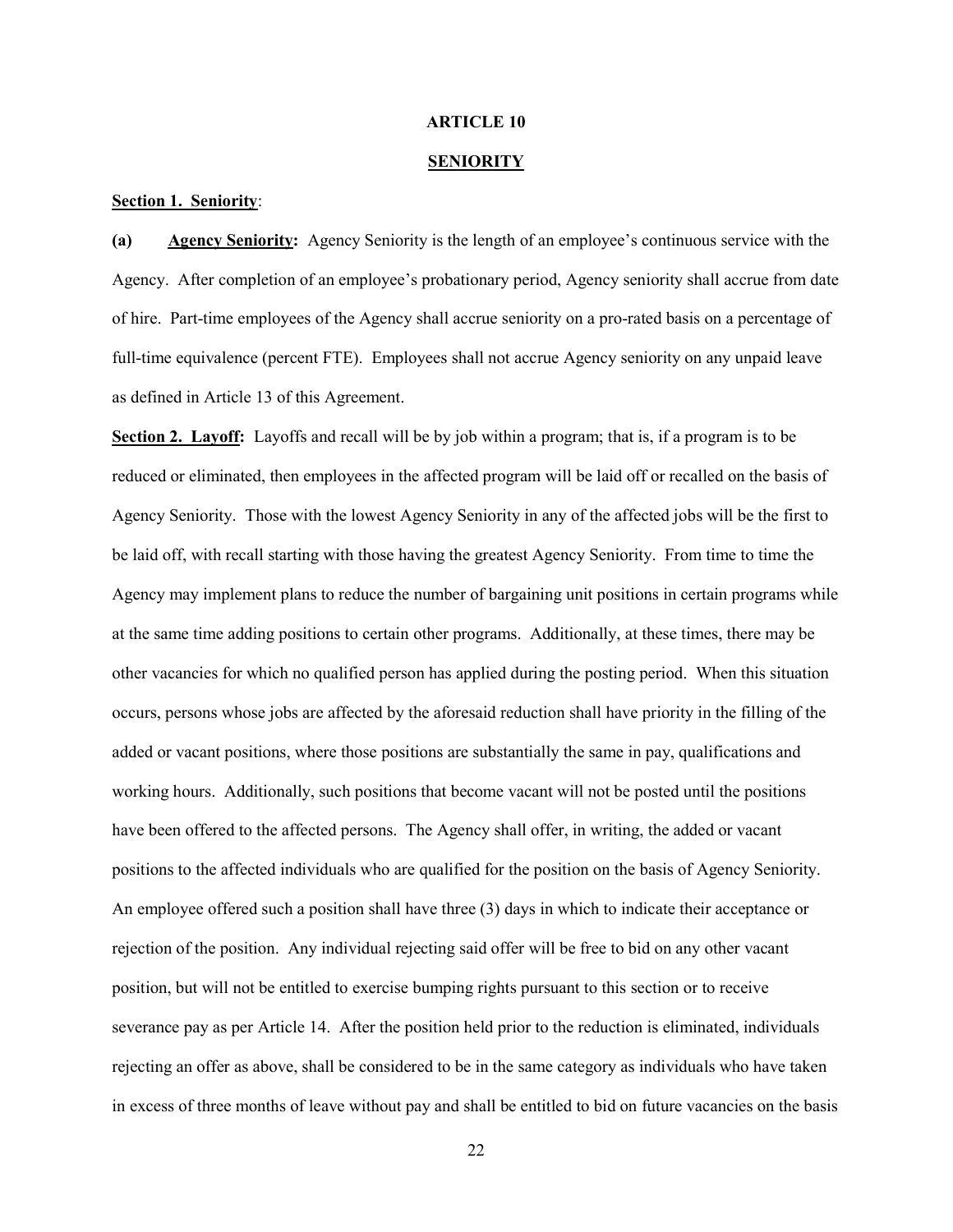#### ARTICLE 10

#### **SENIORITY**

#### Section 1. Seniority:

(a) Agency Seniority: Agency Seniority is the length of an employee's continuous service with the Agency. After completion of an employee's probationary period, Agency seniority shall accrue from date of hire. Part-time employees of the Agency shall accrue seniority on a pro-rated basis on a percentage of full-time equivalence (percent FTE). Employees shall not accrue Agency seniority on any unpaid leave as defined in Article 13 of this Agreement.

Section 2. Layoff: Layoffs and recall will be by job within a program; that is, if a program is to be reduced or eliminated, then employees in the affected program will be laid off or recalled on the basis of Agency Seniority. Those with the lowest Agency Seniority in any of the affected jobs will be the first to be laid off, with recall starting with those having the greatest Agency Seniority. From time to time the Agency may implement plans to reduce the number of bargaining unit positions in certain programs while at the same time adding positions to certain other programs. Additionally, at these times, there may be other vacancies for which no qualified person has applied during the posting period. When this situation occurs, persons whose jobs are affected by the aforesaid reduction shall have priority in the filling of the added or vacant positions, where those positions are substantially the same in pay, qualifications and working hours. Additionally, such positions that become vacant will not be posted until the positions have been offered to the affected persons. The Agency shall offer, in writing, the added or vacant positions to the affected individuals who are qualified for the position on the basis of Agency Seniority. An employee offered such a position shall have three (3) days in which to indicate their acceptance or rejection of the position. Any individual rejecting said offer will be free to bid on any other vacant position, but will not be entitled to exercise bumping rights pursuant to this section or to receive severance pay as per Article 14. After the position held prior to the reduction is eliminated, individuals rejecting an offer as above, shall be considered to be in the same category as individuals who have taken in excess of three months of leave without pay and shall be entitled to bid on future vacancies on the basis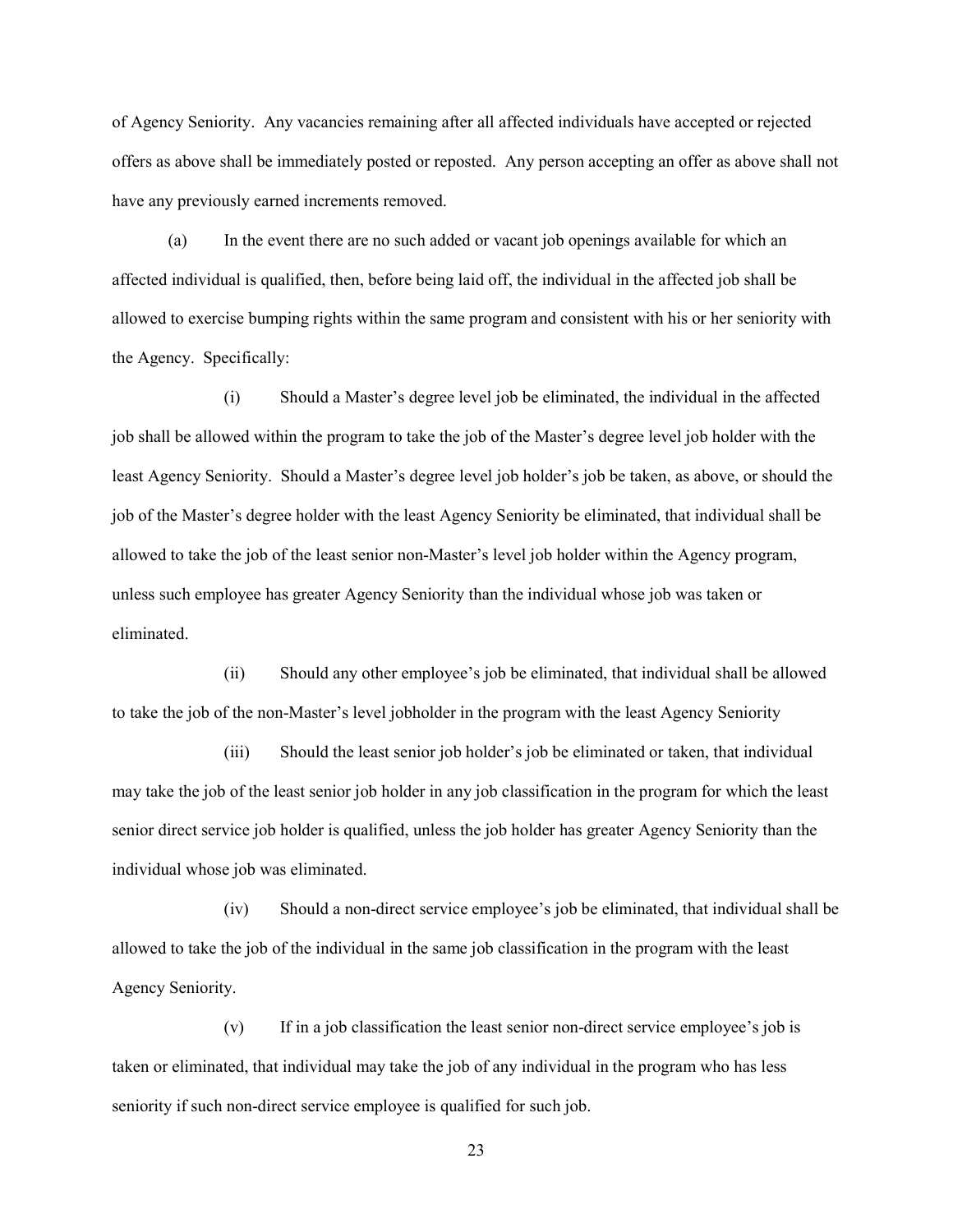of Agency Seniority. Any vacancies remaining after all affected individuals have accepted or rejected offers as above shall be immediately posted or reposted. Any person accepting an offer as above shall not have any previously earned increments removed.

(a) In the event there are no such added or vacant job openings available for which an affected individual is qualified, then, before being laid off, the individual in the affected job shall be allowed to exercise bumping rights within the same program and consistent with his or her seniority with the Agency. Specifically:

(i) Should a Master's degree level job be eliminated, the individual in the affected job shall be allowed within the program to take the job of the Master's degree level job holder with the least Agency Seniority. Should a Master's degree level job holder's job be taken, as above, or should the job of the Master's degree holder with the least Agency Seniority be eliminated, that individual shall be allowed to take the job of the least senior non-Master's level job holder within the Agency program, unless such employee has greater Agency Seniority than the individual whose job was taken or eliminated.

(ii) Should any other employee's job be eliminated, that individual shall be allowed to take the job of the non-Master's level jobholder in the program with the least Agency Seniority

(iii) Should the least senior job holder's job be eliminated or taken, that individual may take the job of the least senior job holder in any job classification in the program for which the least senior direct service job holder is qualified, unless the job holder has greater Agency Seniority than the individual whose job was eliminated.

(iv) Should a non-direct service employee's job be eliminated, that individual shall be allowed to take the job of the individual in the same job classification in the program with the least Agency Seniority.

(v) If in a job classification the least senior non-direct service employee's job is taken or eliminated, that individual may take the job of any individual in the program who has less seniority if such non-direct service employee is qualified for such job.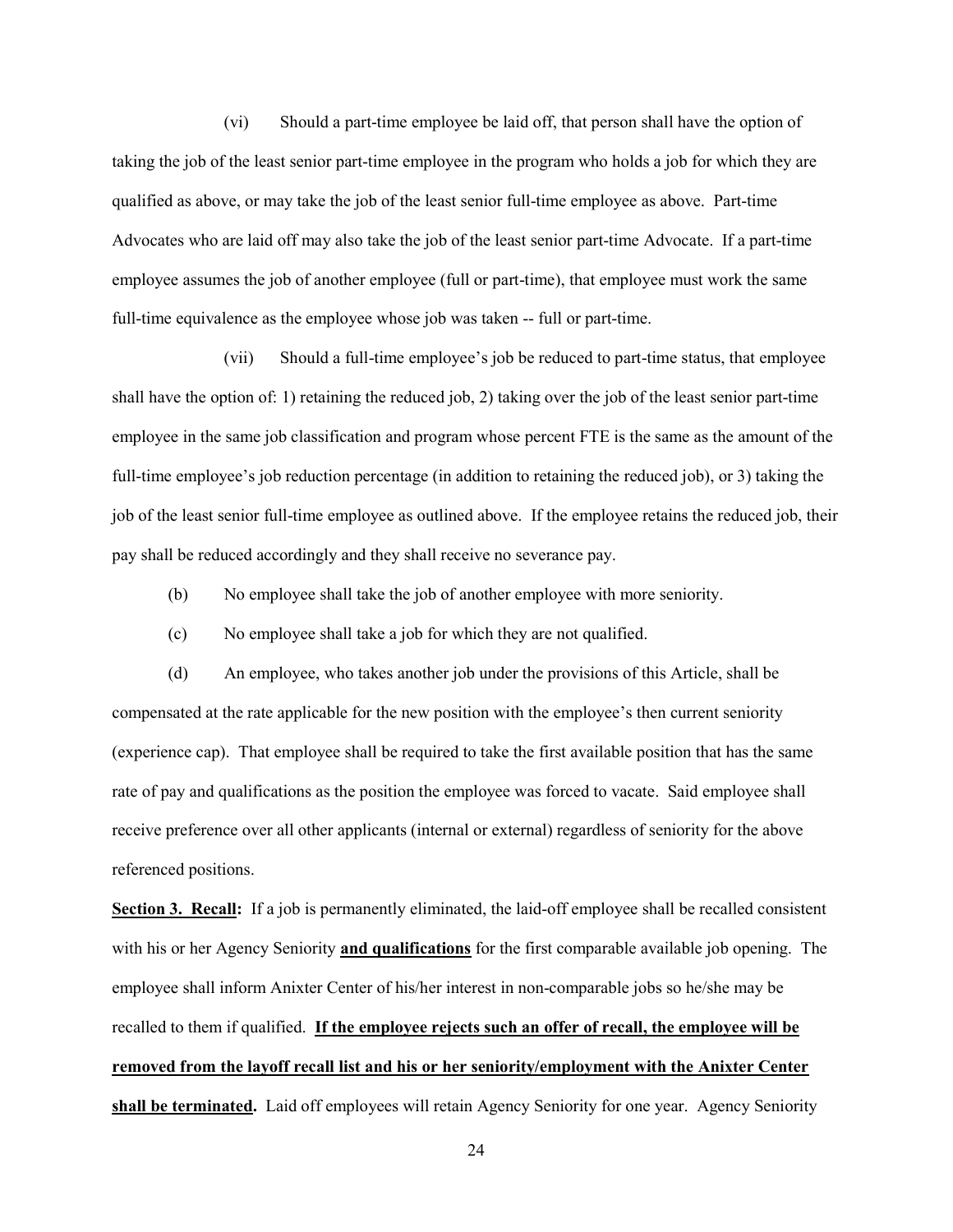(vi) Should a part-time employee be laid off, that person shall have the option of taking the job of the least senior part-time employee in the program who holds a job for which they are qualified as above, or may take the job of the least senior full-time employee as above. Part-time Advocates who are laid off may also take the job of the least senior part-time Advocate. If a part-time employee assumes the job of another employee (full or part-time), that employee must work the same full-time equivalence as the employee whose job was taken -- full or part-time.

(vii) Should a full-time employee's job be reduced to part-time status, that employee shall have the option of: 1) retaining the reduced job, 2) taking over the job of the least senior part-time employee in the same job classification and program whose percent FTE is the same as the amount of the full-time employee's job reduction percentage (in addition to retaining the reduced job), or 3) taking the job of the least senior full-time employee as outlined above. If the employee retains the reduced job, their pay shall be reduced accordingly and they shall receive no severance pay.

- (b) No employee shall take the job of another employee with more seniority.
- (c) No employee shall take a job for which they are not qualified.

(d) An employee, who takes another job under the provisions of this Article, shall be compensated at the rate applicable for the new position with the employee's then current seniority (experience cap). That employee shall be required to take the first available position that has the same rate of pay and qualifications as the position the employee was forced to vacate. Said employee shall receive preference over all other applicants (internal or external) regardless of seniority for the above referenced positions.

Section 3. Recall: If a job is permanently eliminated, the laid-off employee shall be recalled consistent with his or her Agency Seniority **and qualifications** for the first comparable available job opening. The employee shall inform Anixter Center of his/her interest in non-comparable jobs so he/she may be recalled to them if qualified. If the employee rejects such an offer of recall, the employee will be removed from the layoff recall list and his or her seniority/employment with the Anixter Center shall be terminated. Laid off employees will retain Agency Seniority for one year. Agency Seniority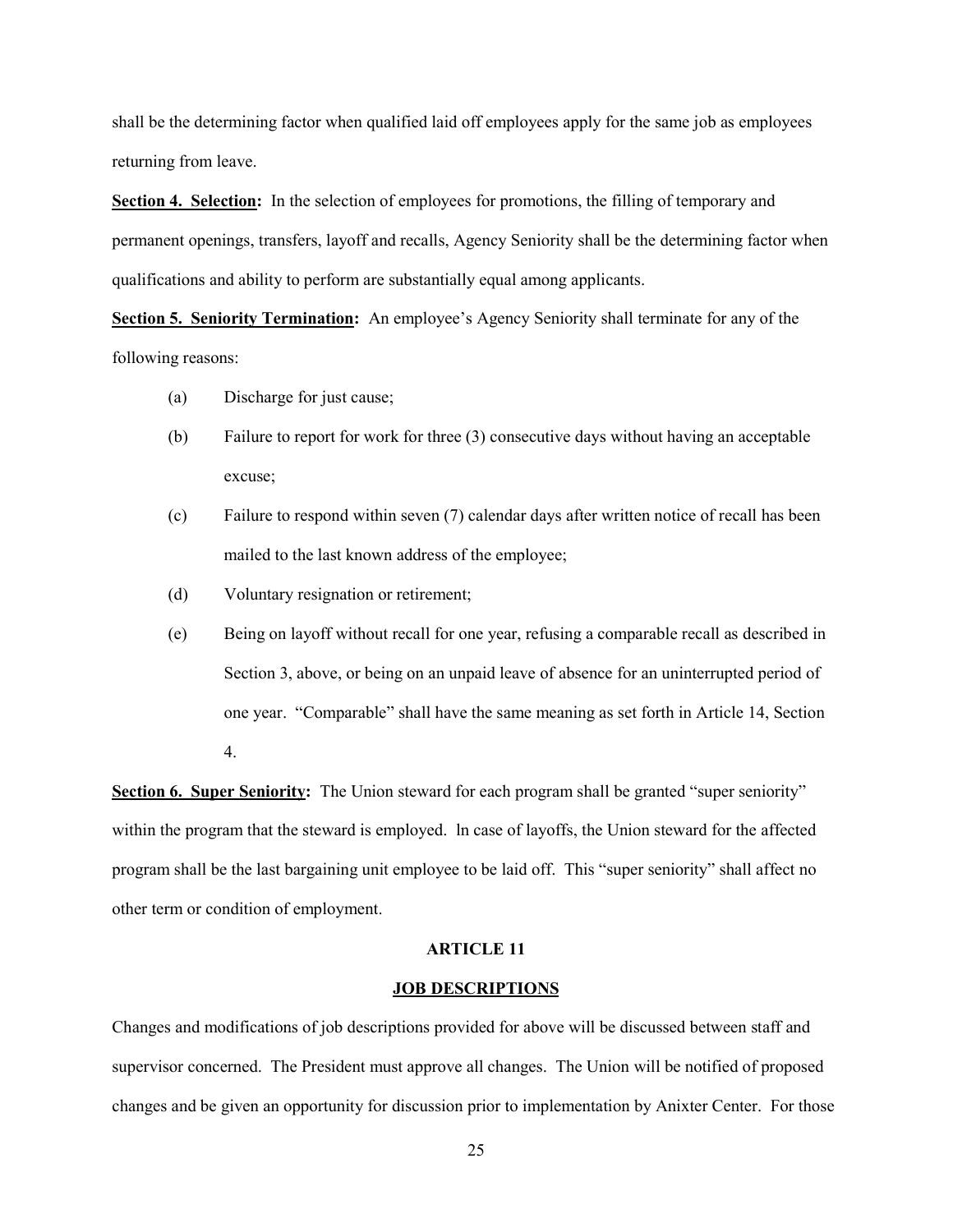shall be the determining factor when qualified laid off employees apply for the same job as employees returning from leave.

Section 4. Selection: In the selection of employees for promotions, the filling of temporary and permanent openings, transfers, layoff and recalls, Agency Seniority shall be the determining factor when qualifications and ability to perform are substantially equal among applicants.

Section 5. Seniority Termination: An employee's Agency Seniority shall terminate for any of the following reasons:

- (a) Discharge for just cause;
- (b) Failure to report for work for three (3) consecutive days without having an acceptable excuse;
- (c) Failure to respond within seven (7) calendar days after written notice of recall has been mailed to the last known address of the employee;
- (d) Voluntary resignation or retirement;
- (e) Being on layoff without recall for one year, refusing a comparable recall as described in Section 3, above, or being on an unpaid leave of absence for an uninterrupted period of one year. "Comparable" shall have the same meaning as set forth in Article 14, Section 4.

Section 6. Super Seniority: The Union steward for each program shall be granted "super seniority" within the program that the steward is employed. ln case of layoffs, the Union steward for the affected program shall be the last bargaining unit employee to be laid off. This "super seniority" shall affect no other term or condition of employment.

#### ARTICLE 11

#### JOB DESCRIPTIONS

Changes and modifications of job descriptions provided for above will be discussed between staff and supervisor concerned. The President must approve all changes. The Union will be notified of proposed changes and be given an opportunity for discussion prior to implementation by Anixter Center. For those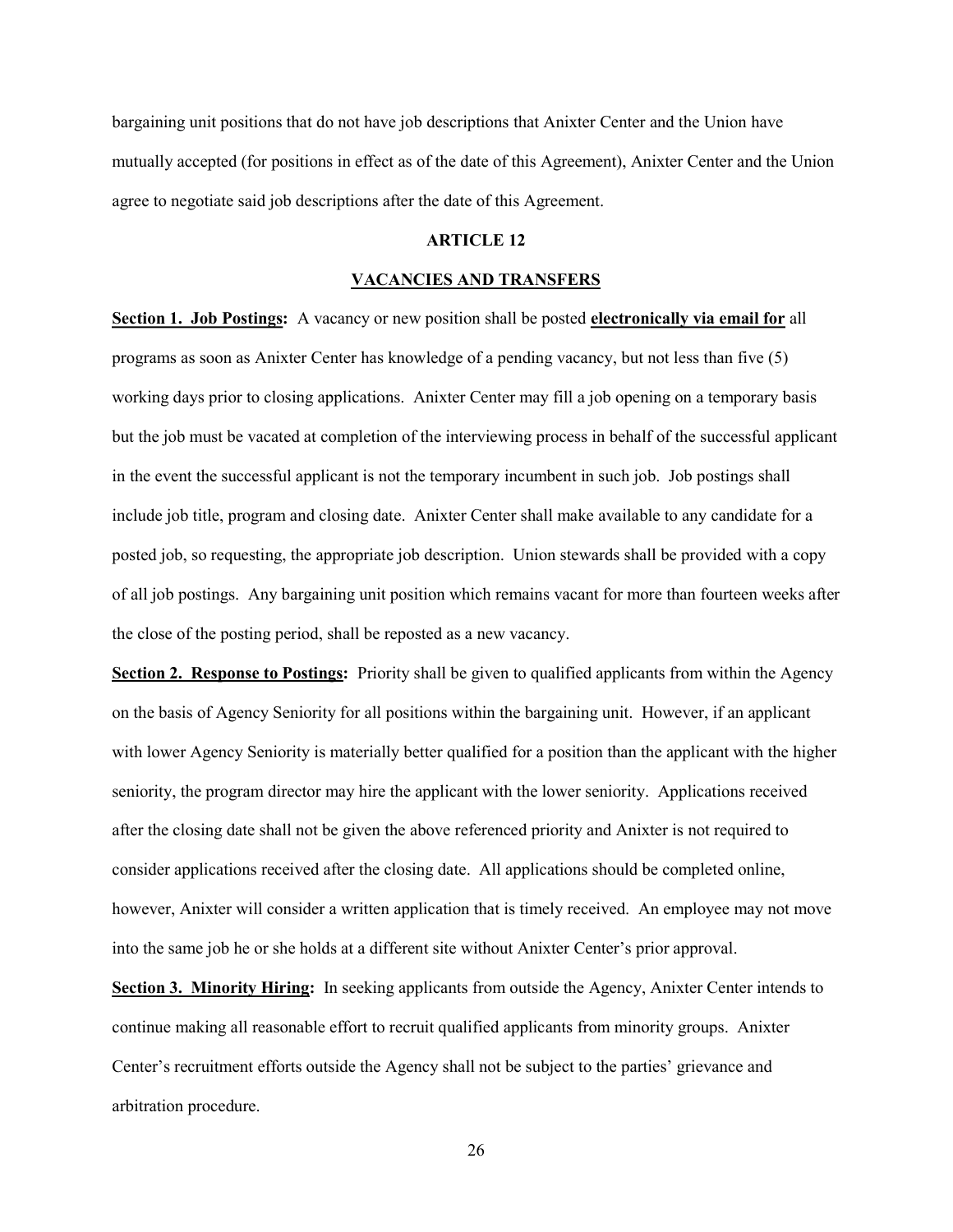bargaining unit positions that do not have job descriptions that Anixter Center and the Union have mutually accepted (for positions in effect as of the date of this Agreement), Anixter Center and the Union agree to negotiate said job descriptions after the date of this Agreement.

#### ARTICLE 12

#### VACANCIES AND TRANSFERS

Section 1. Job Postings: A vacancy or new position shall be posted electronically via email for all programs as soon as Anixter Center has knowledge of a pending vacancy, but not less than five (5) working days prior to closing applications. Anixter Center may fill a job opening on a temporary basis but the job must be vacated at completion of the interviewing process in behalf of the successful applicant in the event the successful applicant is not the temporary incumbent in such job. Job postings shall include job title, program and closing date. Anixter Center shall make available to any candidate for a posted job, so requesting, the appropriate job description. Union stewards shall be provided with a copy of all job postings. Any bargaining unit position which remains vacant for more than fourteen weeks after the close of the posting period, shall be reposted as a new vacancy.

Section 2. Response to Postings: Priority shall be given to qualified applicants from within the Agency on the basis of Agency Seniority for all positions within the bargaining unit. However, if an applicant with lower Agency Seniority is materially better qualified for a position than the applicant with the higher seniority, the program director may hire the applicant with the lower seniority. Applications received after the closing date shall not be given the above referenced priority and Anixter is not required to consider applications received after the closing date. All applications should be completed online, however, Anixter will consider a written application that is timely received. An employee may not move into the same job he or she holds at a different site without Anixter Center's prior approval.

Section 3. Minority Hiring: In seeking applicants from outside the Agency, Anixter Center intends to continue making all reasonable effort to recruit qualified applicants from minority groups. Anixter Center's recruitment efforts outside the Agency shall not be subject to the parties' grievance and arbitration procedure.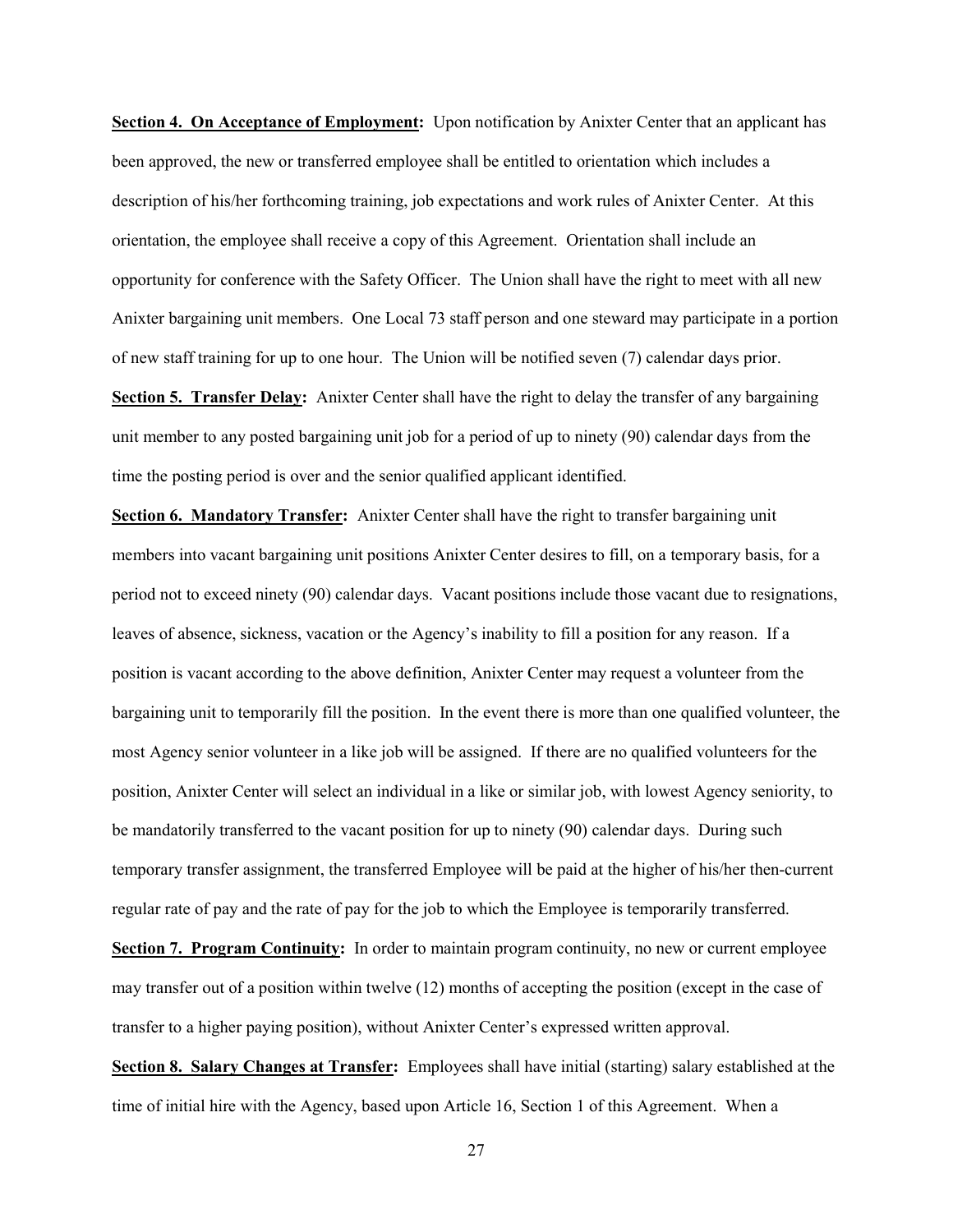Section 4. On Acceptance of Employment: Upon notification by Anixter Center that an applicant has been approved, the new or transferred employee shall be entitled to orientation which includes a description of his/her forthcoming training, job expectations and work rules of Anixter Center. At this orientation, the employee shall receive a copy of this Agreement. Orientation shall include an opportunity for conference with the Safety Officer. The Union shall have the right to meet with all new Anixter bargaining unit members. One Local 73 staff person and one steward may participate in a portion of new staff training for up to one hour. The Union will be notified seven (7) calendar days prior.

Section 5. Transfer Delay: Anixter Center shall have the right to delay the transfer of any bargaining unit member to any posted bargaining unit job for a period of up to ninety (90) calendar days from the time the posting period is over and the senior qualified applicant identified.

Section 6. Mandatory Transfer: Anixter Center shall have the right to transfer bargaining unit members into vacant bargaining unit positions Anixter Center desires to fill, on a temporary basis, for a period not to exceed ninety (90) calendar days. Vacant positions include those vacant due to resignations, leaves of absence, sickness, vacation or the Agency's inability to fill a position for any reason. If a position is vacant according to the above definition, Anixter Center may request a volunteer from the bargaining unit to temporarily fill the position. In the event there is more than one qualified volunteer, the most Agency senior volunteer in a like job will be assigned. If there are no qualified volunteers for the position, Anixter Center will select an individual in a like or similar job, with lowest Agency seniority, to be mandatorily transferred to the vacant position for up to ninety (90) calendar days. During such temporary transfer assignment, the transferred Employee will be paid at the higher of his/her then-current regular rate of pay and the rate of pay for the job to which the Employee is temporarily transferred.

Section 7. Program Continuity: In order to maintain program continuity, no new or current employee may transfer out of a position within twelve (12) months of accepting the position (except in the case of transfer to a higher paying position), without Anixter Center's expressed written approval.

Section 8. Salary Changes at Transfer: Employees shall have initial (starting) salary established at the time of initial hire with the Agency, based upon Article 16, Section 1 of this Agreement. When a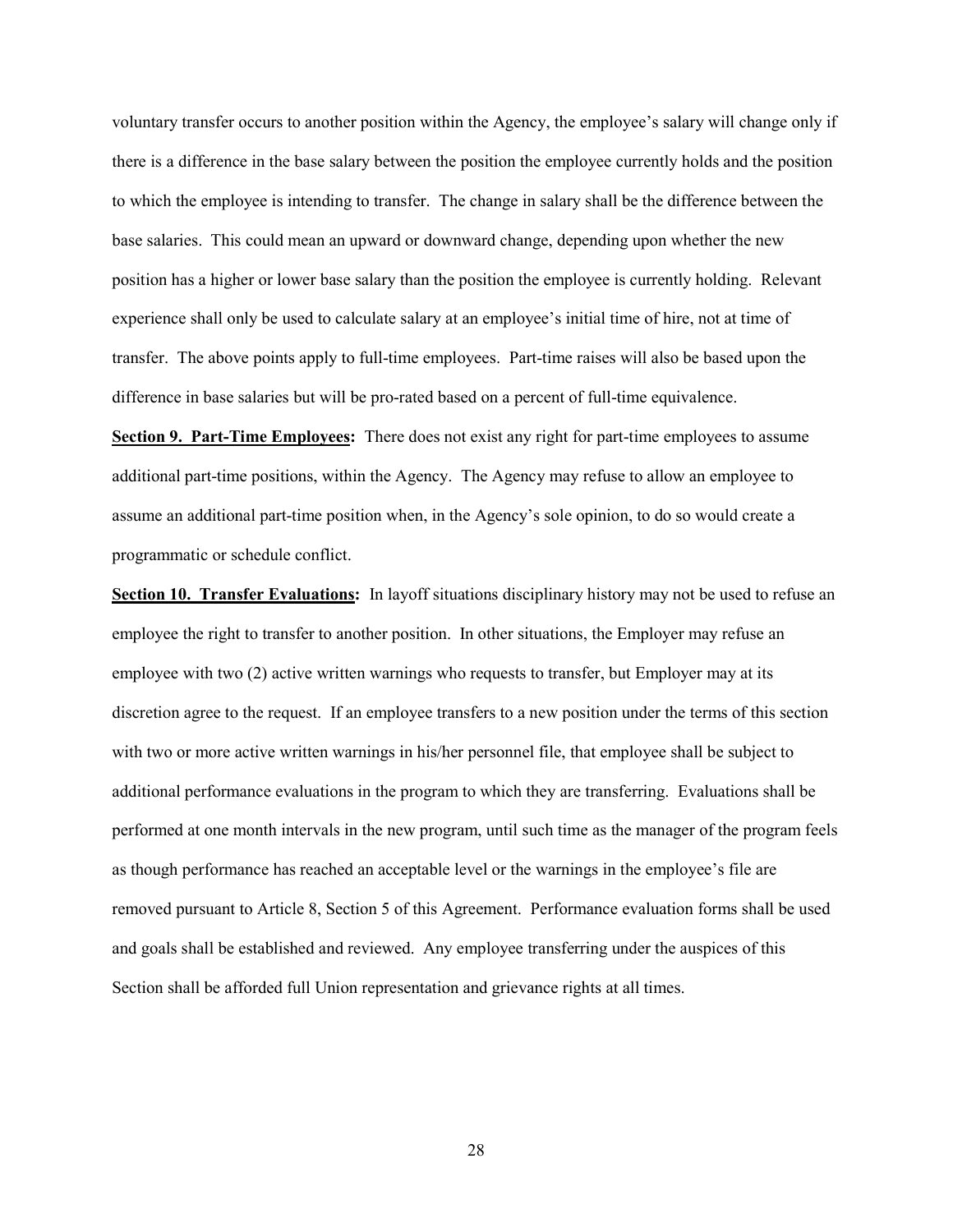voluntary transfer occurs to another position within the Agency, the employee's salary will change only if there is a difference in the base salary between the position the employee currently holds and the position to which the employee is intending to transfer. The change in salary shall be the difference between the base salaries. This could mean an upward or downward change, depending upon whether the new position has a higher or lower base salary than the position the employee is currently holding. Relevant experience shall only be used to calculate salary at an employee's initial time of hire, not at time of transfer. The above points apply to full-time employees. Part-time raises will also be based upon the difference in base salaries but will be pro-rated based on a percent of full-time equivalence.

Section 9. Part-Time Employees: There does not exist any right for part-time employees to assume additional part-time positions, within the Agency. The Agency may refuse to allow an employee to assume an additional part-time position when, in the Agency's sole opinion, to do so would create a programmatic or schedule conflict.

Section 10. Transfer Evaluations: In layoff situations disciplinary history may not be used to refuse an employee the right to transfer to another position. In other situations, the Employer may refuse an employee with two (2) active written warnings who requests to transfer, but Employer may at its discretion agree to the request. If an employee transfers to a new position under the terms of this section with two or more active written warnings in his/her personnel file, that employee shall be subject to additional performance evaluations in the program to which they are transferring. Evaluations shall be performed at one month intervals in the new program, until such time as the manager of the program feels as though performance has reached an acceptable level or the warnings in the employee's file are removed pursuant to Article 8, Section 5 of this Agreement. Performance evaluation forms shall be used and goals shall be established and reviewed. Any employee transferring under the auspices of this Section shall be afforded full Union representation and grievance rights at all times.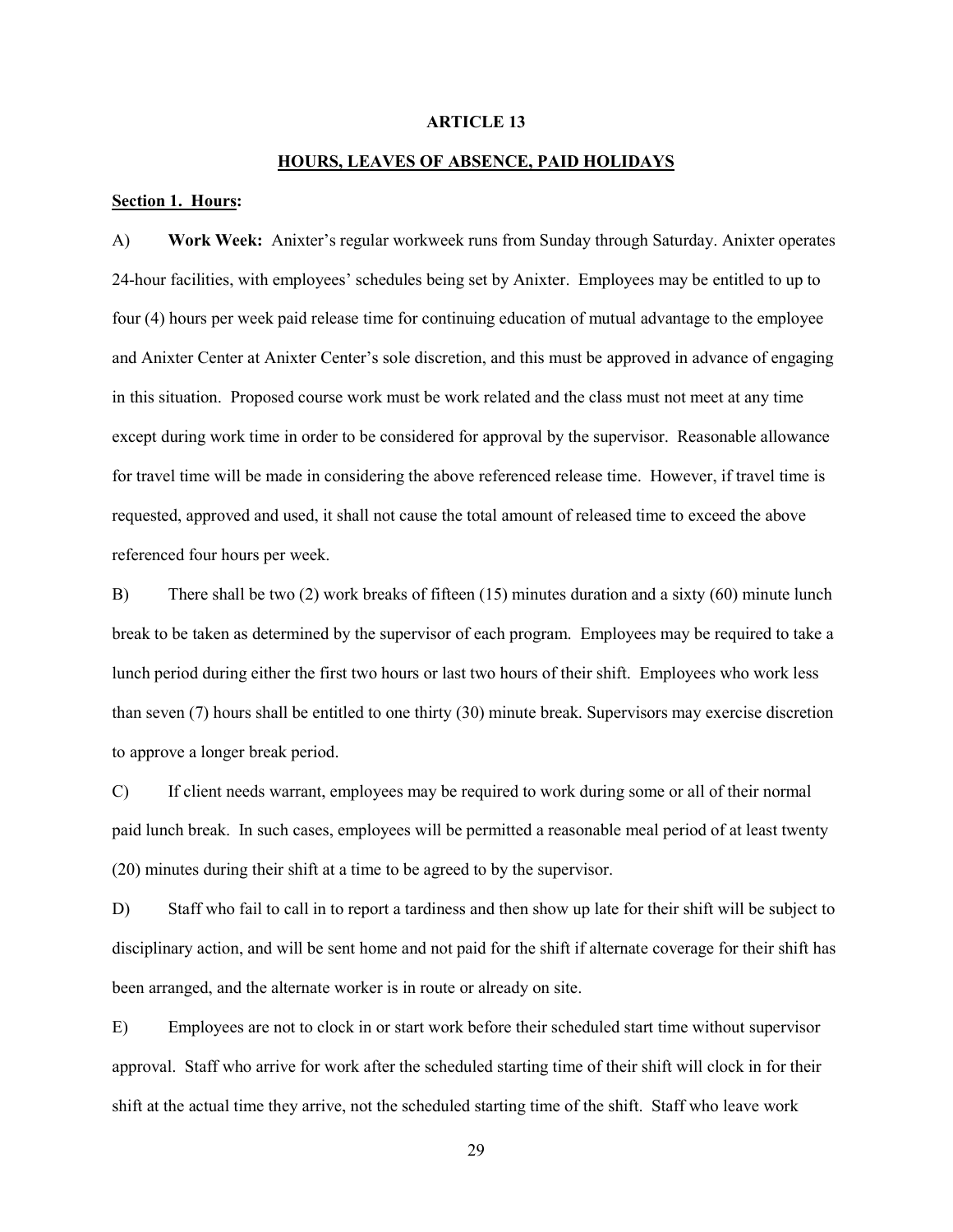#### ARTICLE 13

#### HOURS, LEAVES OF ABSENCE, PAID HOLIDAYS

#### Section 1. Hours:

A) Work Week: Anixter's regular workweek runs from Sunday through Saturday. Anixter operates 24-hour facilities, with employees' schedules being set by Anixter. Employees may be entitled to up to four (4) hours per week paid release time for continuing education of mutual advantage to the employee and Anixter Center at Anixter Center's sole discretion, and this must be approved in advance of engaging in this situation. Proposed course work must be work related and the class must not meet at any time except during work time in order to be considered for approval by the supervisor. Reasonable allowance for travel time will be made in considering the above referenced release time. However, if travel time is requested, approved and used, it shall not cause the total amount of released time to exceed the above referenced four hours per week.

B) There shall be two (2) work breaks of fifteen (15) minutes duration and a sixty (60) minute lunch break to be taken as determined by the supervisor of each program. Employees may be required to take a lunch period during either the first two hours or last two hours of their shift. Employees who work less than seven (7) hours shall be entitled to one thirty (30) minute break. Supervisors may exercise discretion to approve a longer break period.

C) If client needs warrant, employees may be required to work during some or all of their normal paid lunch break. In such cases, employees will be permitted a reasonable meal period of at least twenty (20) minutes during their shift at a time to be agreed to by the supervisor.

D) Staff who fail to call in to report a tardiness and then show up late for their shift will be subject to disciplinary action, and will be sent home and not paid for the shift if alternate coverage for their shift has been arranged, and the alternate worker is in route or already on site.

E) Employees are not to clock in or start work before their scheduled start time without supervisor approval. Staff who arrive for work after the scheduled starting time of their shift will clock in for their shift at the actual time they arrive, not the scheduled starting time of the shift. Staff who leave work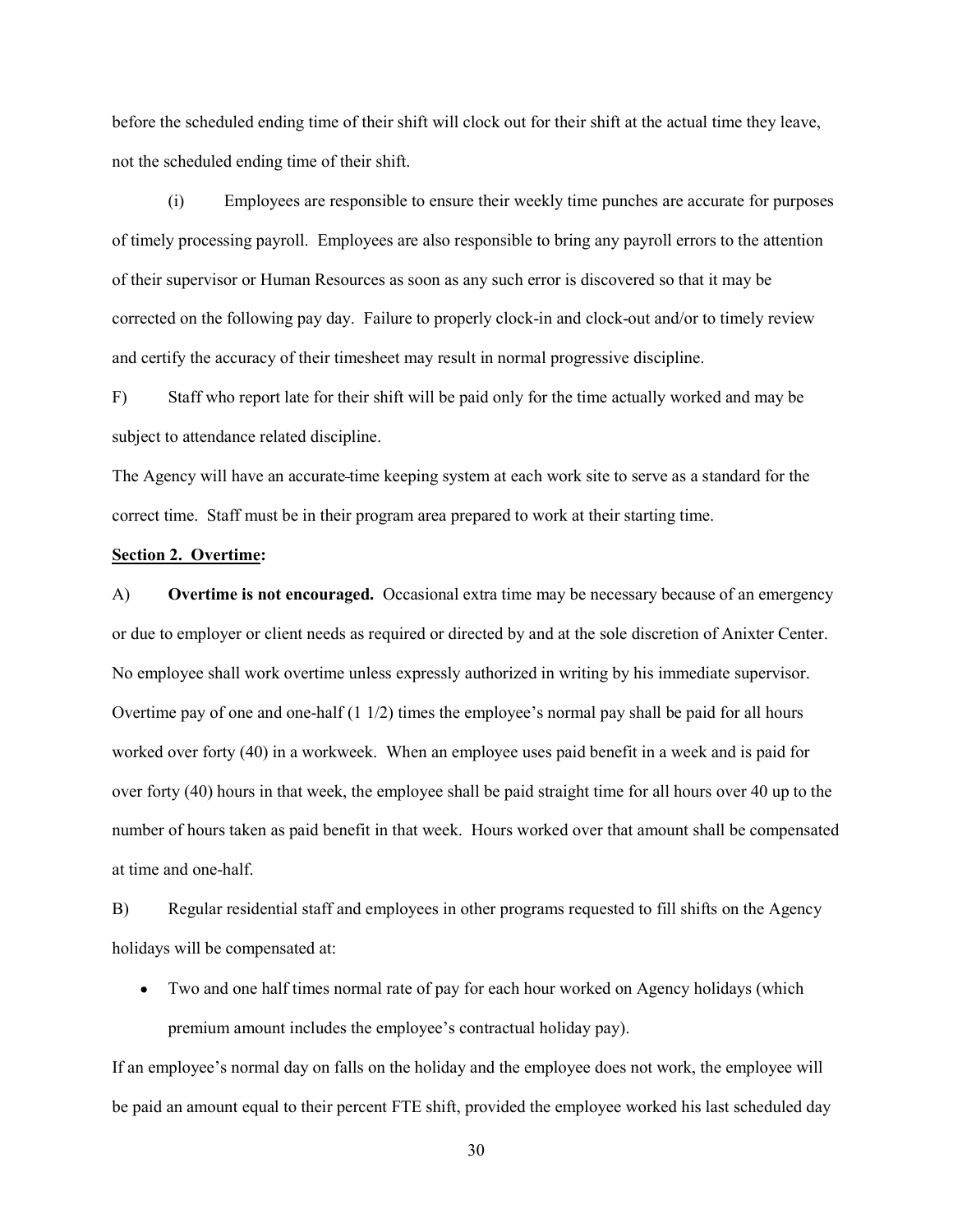before the scheduled ending time of their shift will clock out for their shift at the actual time they leave, not the scheduled ending time of their shift.

(i) Employees are responsible to ensure their weekly time punches are accurate for purposes of timely processing payroll. Employees are also responsible to bring any payroll errors to the attention of their supervisor or Human Resources as soon as any such error is discovered so that it may be corrected on the following pay day. Failure to properly clock-in and clock-out and/or to timely review and certify the accuracy of their timesheet may result in normal progressive discipline.

F) Staff who report late for their shift will be paid only for the time actually worked and may be subject to attendance related discipline.

The Agency will have an accurate time keeping system at each work site to serve as a standard for the correct time. Staff must be in their program area prepared to work at their starting time.

#### Section 2. Overtime:

A) Overtime is not encouraged. Occasional extra time may be necessary because of an emergency or due to employer or client needs as required or directed by and at the sole discretion of Anixter Center. No employee shall work overtime unless expressly authorized in writing by his immediate supervisor. Overtime pay of one and one-half  $(1\ 1/2)$  times the employee's normal pay shall be paid for all hours worked over forty (40) in a workweek. When an employee uses paid benefit in a week and is paid for over forty (40) hours in that week, the employee shall be paid straight time for all hours over 40 up to the number of hours taken as paid benefit in that week. Hours worked over that amount shall be compensated at time and one-half.

B) Regular residential staff and employees in other programs requested to fill shifts on the Agency holidays will be compensated at:

Two and one half times normal rate of pay for each hour worked on Agency holidays (which premium amount includes the employee's contractual holiday pay).

If an employee's normal day on falls on the holiday and the employee does not work, the employee will be paid an amount equal to their percent FTE shift, provided the employee worked his last scheduled day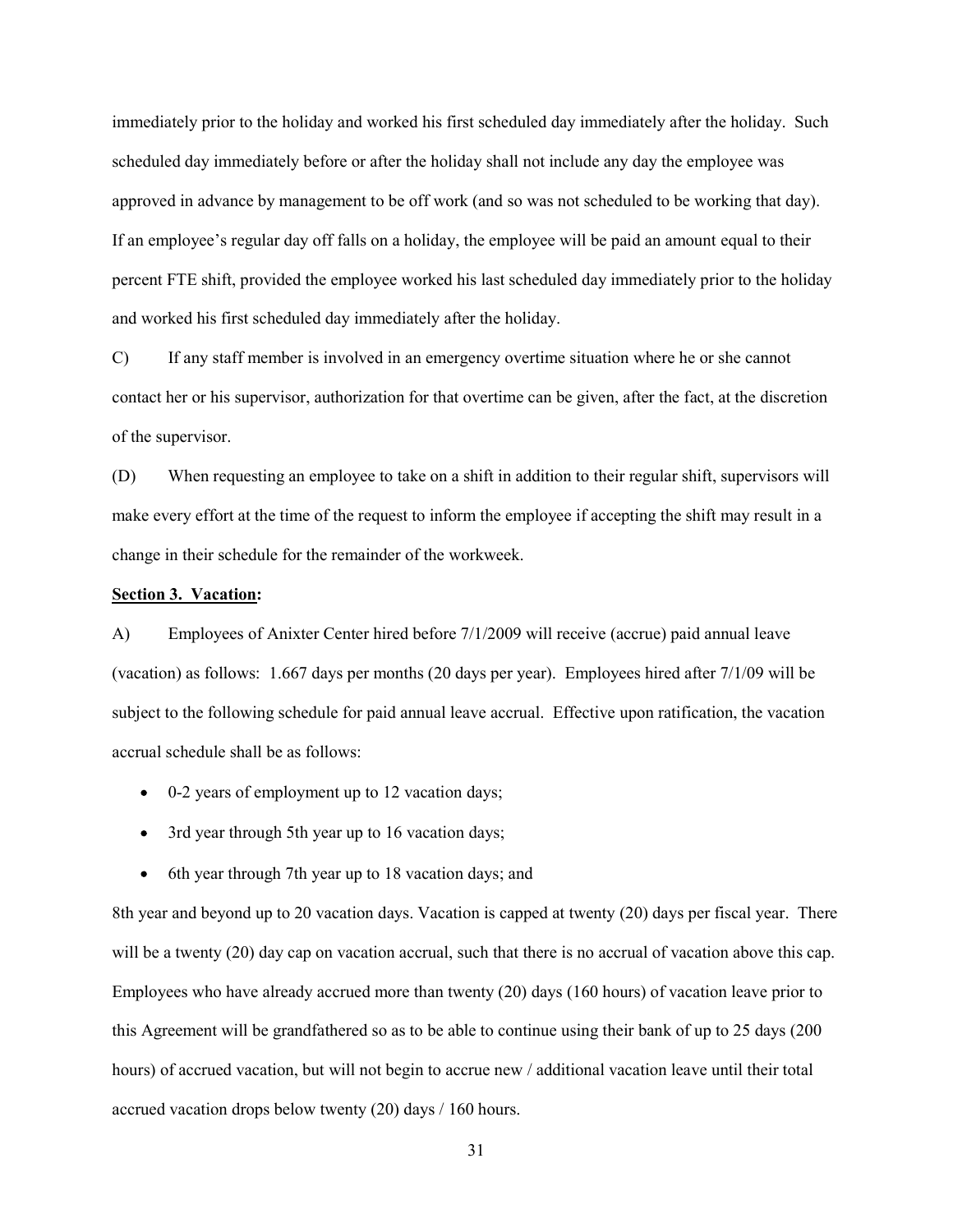immediately prior to the holiday and worked his first scheduled day immediately after the holiday. Such scheduled day immediately before or after the holiday shall not include any day the employee was approved in advance by management to be off work (and so was not scheduled to be working that day). If an employee's regular day off falls on a holiday, the employee will be paid an amount equal to their percent FTE shift, provided the employee worked his last scheduled day immediately prior to the holiday and worked his first scheduled day immediately after the holiday.

C) If any staff member is involved in an emergency overtime situation where he or she cannot contact her or his supervisor, authorization for that overtime can be given, after the fact, at the discretion of the supervisor.

(D) When requesting an employee to take on a shift in addition to their regular shift, supervisors will make every effort at the time of the request to inform the employee if accepting the shift may result in a change in their schedule for the remainder of the workweek.

#### Section 3. Vacation:

A) Employees of Anixter Center hired before 7/1/2009 will receive (accrue) paid annual leave (vacation) as follows: 1.667 days per months (20 days per year). Employees hired after 7/1/09 will be subject to the following schedule for paid annual leave accrual. Effective upon ratification, the vacation accrual schedule shall be as follows:

- 0-2 years of employment up to 12 vacation days;
- 3rd year through 5th year up to 16 vacation days;
- 6th year through 7th year up to 18 vacation days; and

8th year and beyond up to 20 vacation days. Vacation is capped at twenty (20) days per fiscal year. There will be a twenty (20) day cap on vacation accrual, such that there is no accrual of vacation above this cap. Employees who have already accrued more than twenty (20) days (160 hours) of vacation leave prior to this Agreement will be grandfathered so as to be able to continue using their bank of up to 25 days (200 hours) of accrued vacation, but will not begin to accrue new / additional vacation leave until their total accrued vacation drops below twenty (20) days / 160 hours.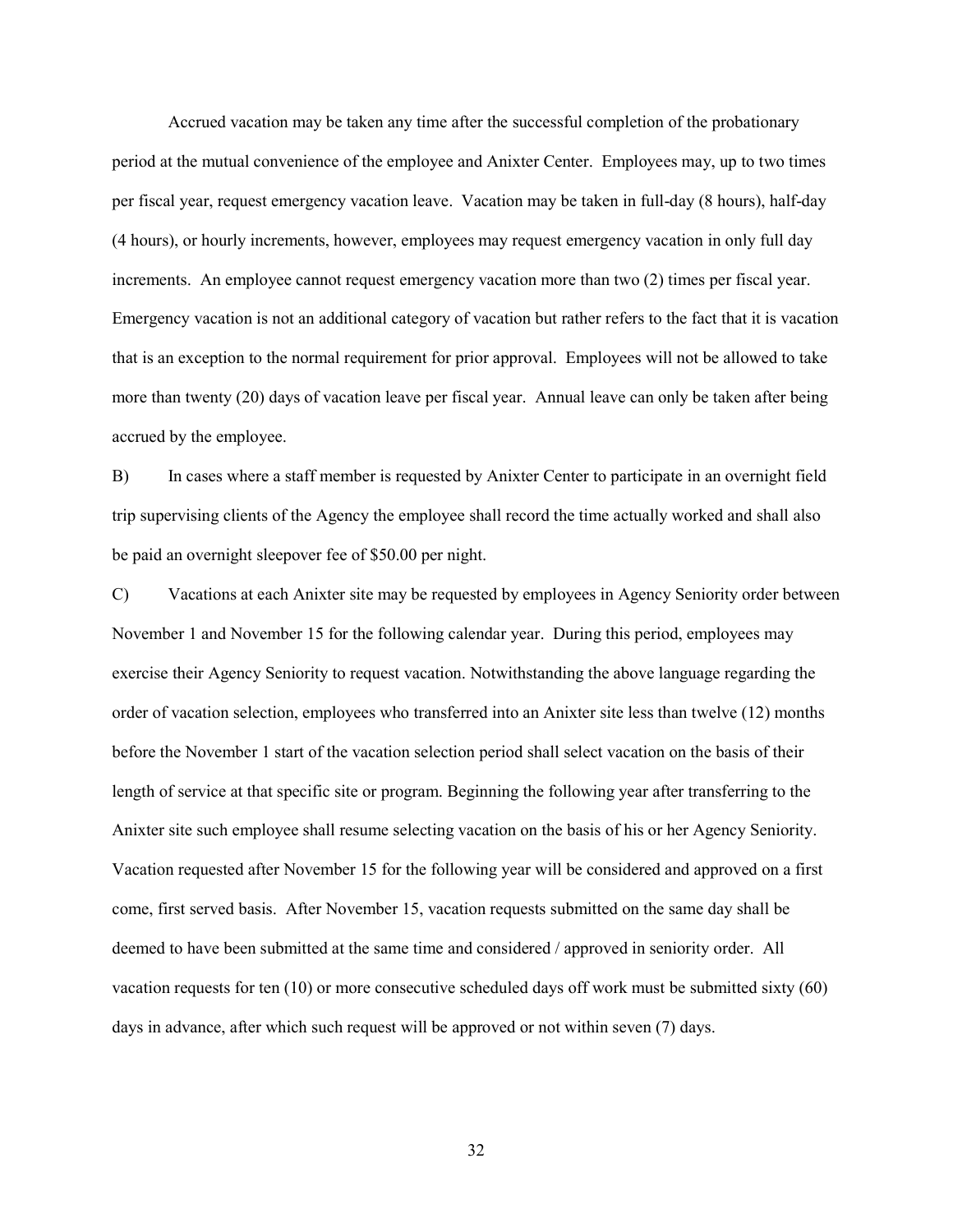Accrued vacation may be taken any time after the successful completion of the probationary period at the mutual convenience of the employee and Anixter Center. Employees may, up to two times per fiscal year, request emergency vacation leave. Vacation may be taken in full-day (8 hours), half-day (4 hours), or hourly increments, however, employees may request emergency vacation in only full day increments. An employee cannot request emergency vacation more than two (2) times per fiscal year. Emergency vacation is not an additional category of vacation but rather refers to the fact that it is vacation that is an exception to the normal requirement for prior approval. Employees will not be allowed to take more than twenty (20) days of vacation leave per fiscal year. Annual leave can only be taken after being accrued by the employee.

B) In cases where a staff member is requested by Anixter Center to participate in an overnight field trip supervising clients of the Agency the employee shall record the time actually worked and shall also be paid an overnight sleepover fee of \$50.00 per night.

C) Vacations at each Anixter site may be requested by employees in Agency Seniority order between November 1 and November 15 for the following calendar year. During this period, employees may exercise their Agency Seniority to request vacation. Notwithstanding the above language regarding the order of vacation selection, employees who transferred into an Anixter site less than twelve (12) months before the November 1 start of the vacation selection period shall select vacation on the basis of their length of service at that specific site or program. Beginning the following year after transferring to the Anixter site such employee shall resume selecting vacation on the basis of his or her Agency Seniority. Vacation requested after November 15 for the following year will be considered and approved on a first come, first served basis. After November 15, vacation requests submitted on the same day shall be deemed to have been submitted at the same time and considered / approved in seniority order. All vacation requests for ten (10) or more consecutive scheduled days off work must be submitted sixty (60) days in advance, after which such request will be approved or not within seven (7) days.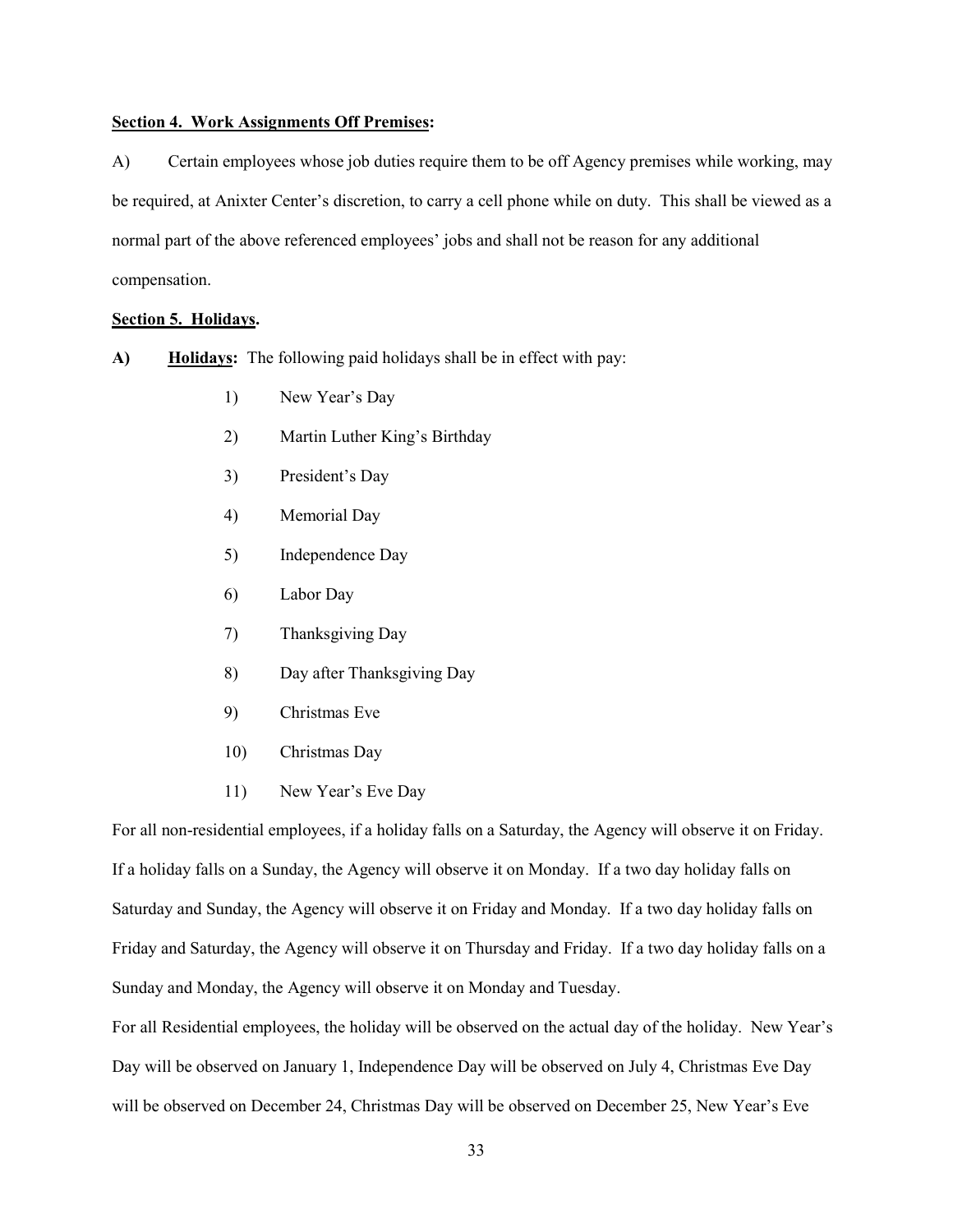#### Section 4. Work Assignments Off Premises:

A) Certain employees whose job duties require them to be off Agency premises while working, may be required, at Anixter Center's discretion, to carry a cell phone while on duty. This shall be viewed as a normal part of the above referenced employees' jobs and shall not be reason for any additional compensation.

#### Section 5. Holidays.

- A) Holidays: The following paid holidays shall be in effect with pay:
	- 1) New Year's Day
	- 2) Martin Luther King's Birthday
	- 3) President's Day
	- 4) Memorial Day
	- 5) Independence Day
	- 6) Labor Day
	- 7) Thanksgiving Day
	- 8) Day after Thanksgiving Day
	- 9) Christmas Eve
	- 10) Christmas Day
	- 11) New Year's Eve Day

For all non-residential employees, if a holiday falls on a Saturday, the Agency will observe it on Friday. If a holiday falls on a Sunday, the Agency will observe it on Monday. If a two day holiday falls on Saturday and Sunday, the Agency will observe it on Friday and Monday. If a two day holiday falls on Friday and Saturday, the Agency will observe it on Thursday and Friday. If a two day holiday falls on a Sunday and Monday, the Agency will observe it on Monday and Tuesday.

For all Residential employees, the holiday will be observed on the actual day of the holiday. New Year's Day will be observed on January 1, Independence Day will be observed on July 4, Christmas Eve Day will be observed on December 24, Christmas Day will be observed on December 25, New Year's Eve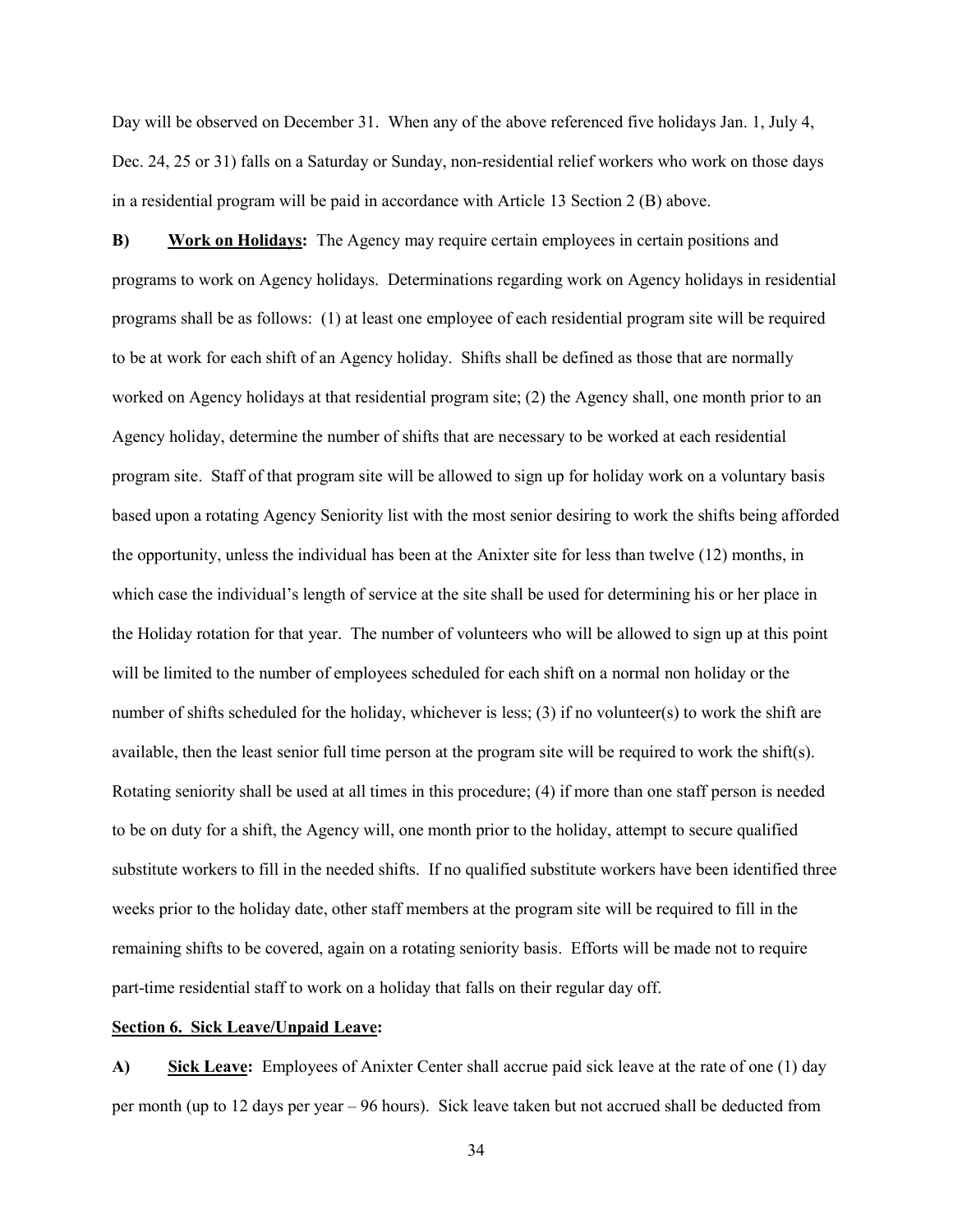Day will be observed on December 31. When any of the above referenced five holidays Jan. 1, July 4, Dec. 24, 25 or 31) falls on a Saturday or Sunday, non-residential relief workers who work on those days in a residential program will be paid in accordance with Article 13 Section 2 (B) above.

B) Work on Holidays: The Agency may require certain employees in certain positions and programs to work on Agency holidays. Determinations regarding work on Agency holidays in residential programs shall be as follows: (1) at least one employee of each residential program site will be required to be at work for each shift of an Agency holiday. Shifts shall be defined as those that are normally worked on Agency holidays at that residential program site; (2) the Agency shall, one month prior to an Agency holiday, determine the number of shifts that are necessary to be worked at each residential program site. Staff of that program site will be allowed to sign up for holiday work on a voluntary basis based upon a rotating Agency Seniority list with the most senior desiring to work the shifts being afforded the opportunity, unless the individual has been at the Anixter site for less than twelve (12) months, in which case the individual's length of service at the site shall be used for determining his or her place in the Holiday rotation for that year. The number of volunteers who will be allowed to sign up at this point will be limited to the number of employees scheduled for each shift on a normal non holiday or the number of shifts scheduled for the holiday, whichever is less; (3) if no volunteer(s) to work the shift are available, then the least senior full time person at the program site will be required to work the shift(s). Rotating seniority shall be used at all times in this procedure; (4) if more than one staff person is needed to be on duty for a shift, the Agency will, one month prior to the holiday, attempt to secure qualified substitute workers to fill in the needed shifts. If no qualified substitute workers have been identified three weeks prior to the holiday date, other staff members at the program site will be required to fill in the remaining shifts to be covered, again on a rotating seniority basis. Efforts will be made not to require part-time residential staff to work on a holiday that falls on their regular day off.

#### Section 6. Sick Leave/Unpaid Leave:

A) Sick Leave: Employees of Anixter Center shall accrue paid sick leave at the rate of one (1) day per month (up to 12 days per year – 96 hours). Sick leave taken but not accrued shall be deducted from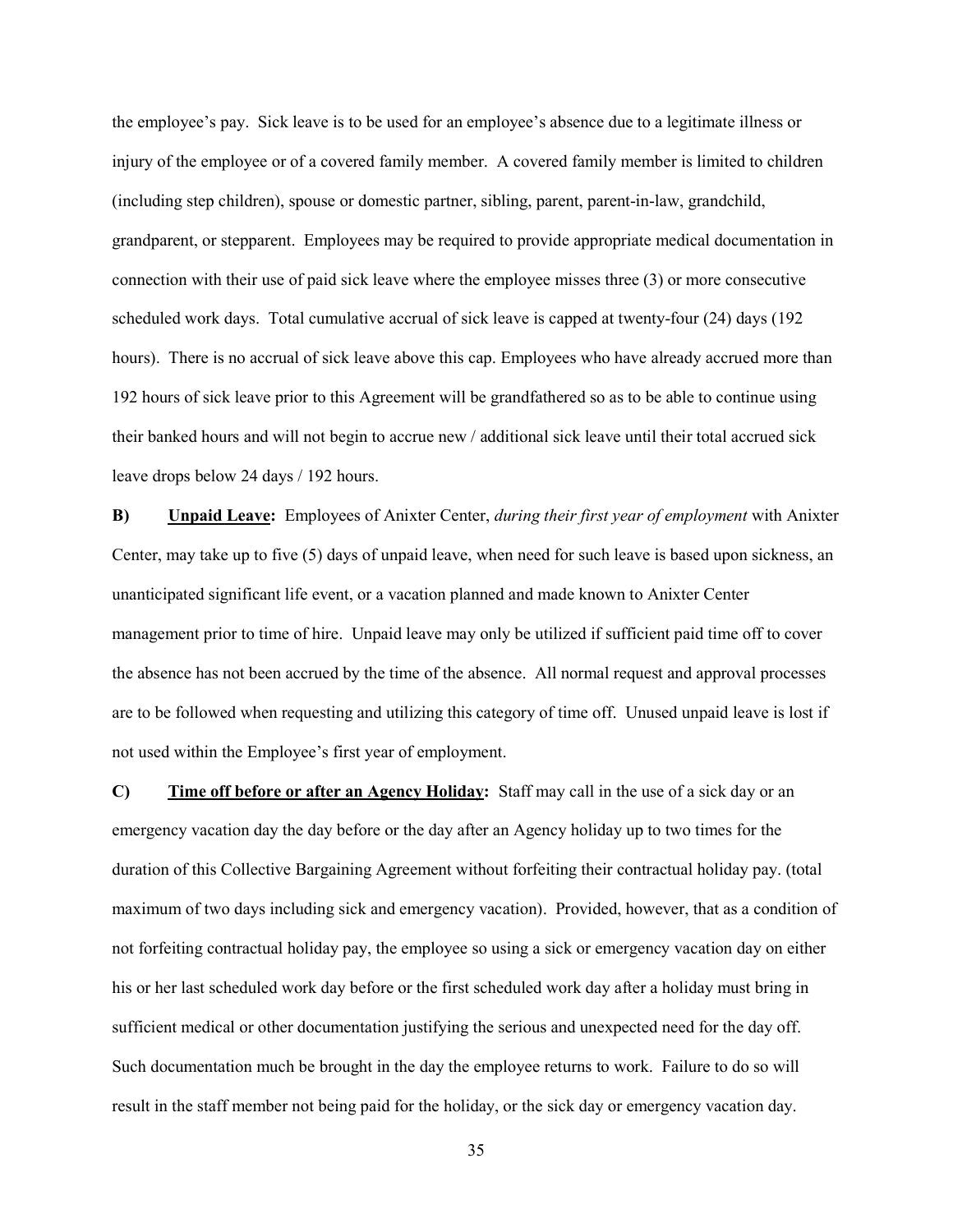the employee's pay. Sick leave is to be used for an employee's absence due to a legitimate illness or injury of the employee or of a covered family member. A covered family member is limited to children (including step children), spouse or domestic partner, sibling, parent, parent-in-law, grandchild, grandparent, or stepparent. Employees may be required to provide appropriate medical documentation in connection with their use of paid sick leave where the employee misses three (3) or more consecutive scheduled work days. Total cumulative accrual of sick leave is capped at twenty-four (24) days (192 hours). There is no accrual of sick leave above this cap. Employees who have already accrued more than 192 hours of sick leave prior to this Agreement will be grandfathered so as to be able to continue using their banked hours and will not begin to accrue new / additional sick leave until their total accrued sick leave drops below 24 days / 192 hours.

B) Unpaid Leave: Employees of Anixter Center, during their first year of employment with Anixter Center, may take up to five (5) days of unpaid leave, when need for such leave is based upon sickness, an unanticipated significant life event, or a vacation planned and made known to Anixter Center management prior to time of hire. Unpaid leave may only be utilized if sufficient paid time off to cover the absence has not been accrued by the time of the absence. All normal request and approval processes are to be followed when requesting and utilizing this category of time off. Unused unpaid leave is lost if not used within the Employee's first year of employment.

C) Time off before or after an Agency Holiday: Staff may call in the use of a sick day or an emergency vacation day the day before or the day after an Agency holiday up to two times for the duration of this Collective Bargaining Agreement without forfeiting their contractual holiday pay. (total maximum of two days including sick and emergency vacation). Provided, however, that as a condition of not forfeiting contractual holiday pay, the employee so using a sick or emergency vacation day on either his or her last scheduled work day before or the first scheduled work day after a holiday must bring in sufficient medical or other documentation justifying the serious and unexpected need for the day off. Such documentation much be brought in the day the employee returns to work. Failure to do so will result in the staff member not being paid for the holiday, or the sick day or emergency vacation day.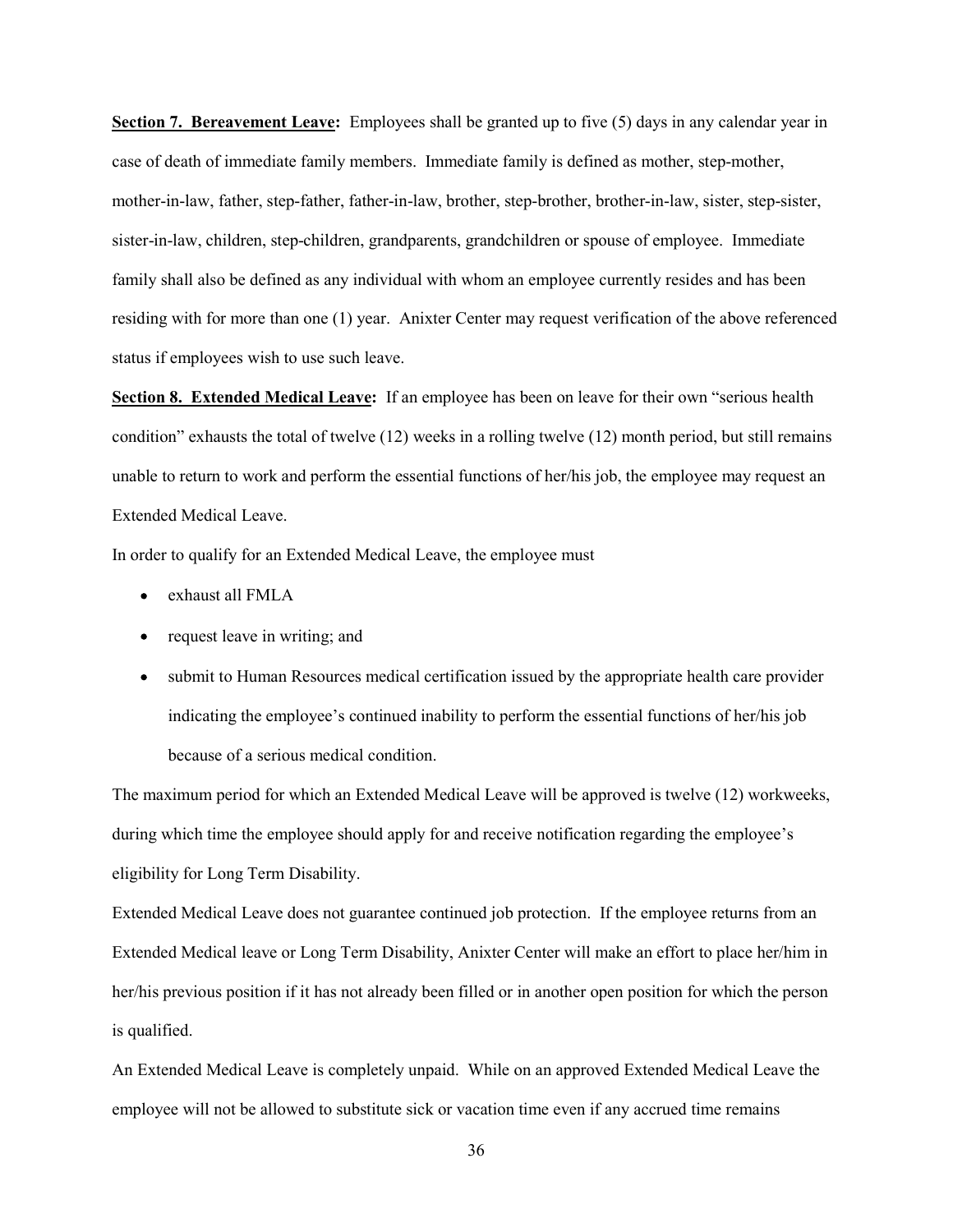Section 7. Bereavement Leave: Employees shall be granted up to five (5) days in any calendar year in case of death of immediate family members. Immediate family is defined as mother, step-mother, mother-in-law, father, step-father, father-in-law, brother, step-brother, brother-in-law, sister, step-sister, sister-in-law, children, step-children, grandparents, grandchildren or spouse of employee. Immediate family shall also be defined as any individual with whom an employee currently resides and has been residing with for more than one (1) year. Anixter Center may request verification of the above referenced status if employees wish to use such leave.

Section 8. Extended Medical Leave: If an employee has been on leave for their own "serious health condition" exhausts the total of twelve (12) weeks in a rolling twelve (12) month period, but still remains unable to return to work and perform the essential functions of her/his job, the employee may request an Extended Medical Leave.

In order to qualify for an Extended Medical Leave, the employee must

- exhaust all FMLA
- request leave in writing; and
- $\bullet$ submit to Human Resources medical certification issued by the appropriate health care provider indicating the employee's continued inability to perform the essential functions of her/his job because of a serious medical condition.

The maximum period for which an Extended Medical Leave will be approved is twelve (12) workweeks, during which time the employee should apply for and receive notification regarding the employee's eligibility for Long Term Disability.

Extended Medical Leave does not guarantee continued job protection. If the employee returns from an Extended Medical leave or Long Term Disability, Anixter Center will make an effort to place her/him in her/his previous position if it has not already been filled or in another open position for which the person is qualified.

An Extended Medical Leave is completely unpaid. While on an approved Extended Medical Leave the employee will not be allowed to substitute sick or vacation time even if any accrued time remains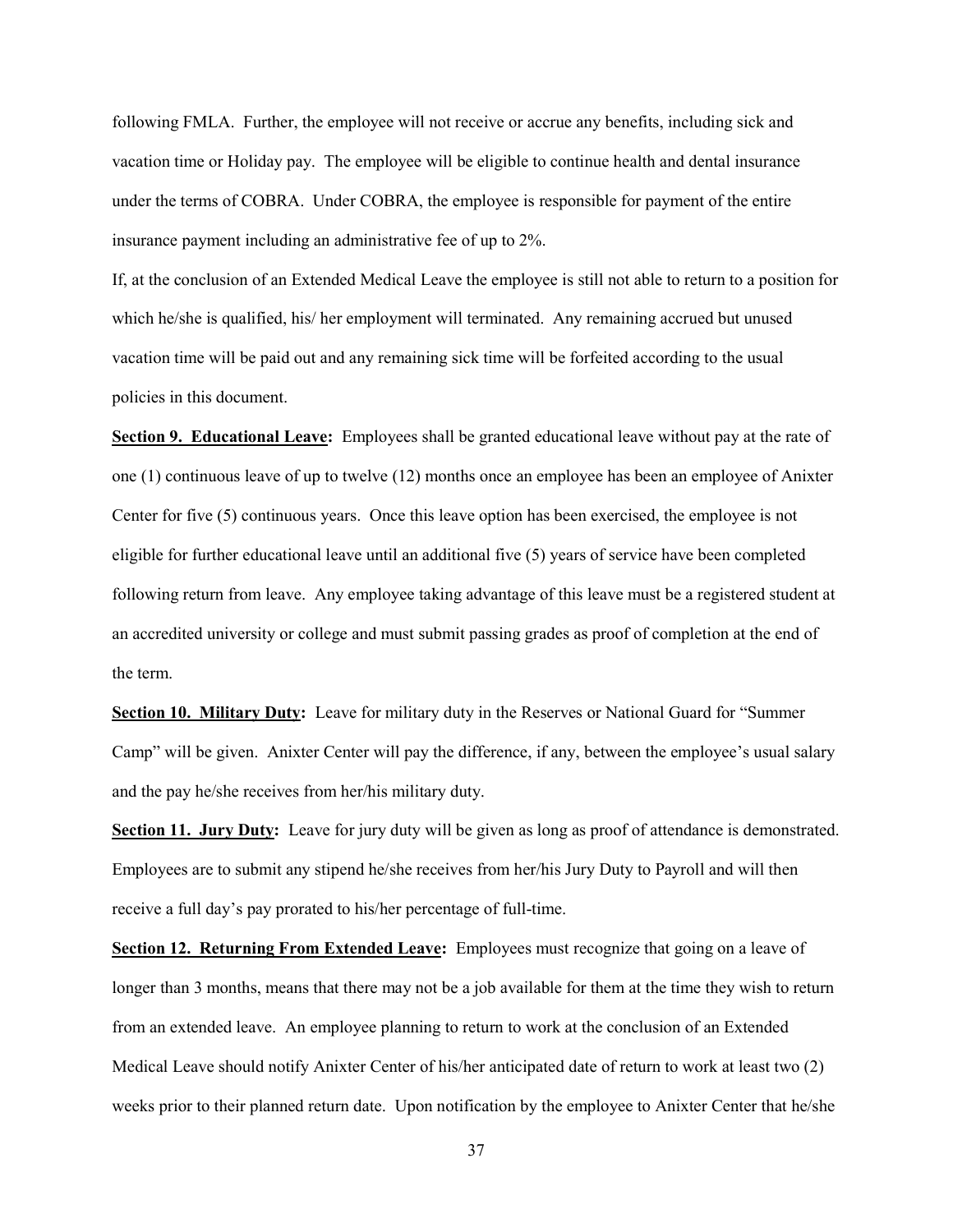following FMLA. Further, the employee will not receive or accrue any benefits, including sick and vacation time or Holiday pay. The employee will be eligible to continue health and dental insurance under the terms of COBRA. Under COBRA, the employee is responsible for payment of the entire insurance payment including an administrative fee of up to 2%.

If, at the conclusion of an Extended Medical Leave the employee is still not able to return to a position for which he/she is qualified, his/ her employment will terminated. Any remaining accrued but unused vacation time will be paid out and any remaining sick time will be forfeited according to the usual policies in this document.

Section 9. Educational Leave: Employees shall be granted educational leave without pay at the rate of one (1) continuous leave of up to twelve (12) months once an employee has been an employee of Anixter Center for five (5) continuous years. Once this leave option has been exercised, the employee is not eligible for further educational leave until an additional five (5) years of service have been completed following return from leave. Any employee taking advantage of this leave must be a registered student at an accredited university or college and must submit passing grades as proof of completion at the end of the term.

Section 10. Military Duty: Leave for military duty in the Reserves or National Guard for "Summer Camp" will be given. Anixter Center will pay the difference, if any, between the employee's usual salary and the pay he/she receives from her/his military duty.

Section 11. Jury Duty: Leave for jury duty will be given as long as proof of attendance is demonstrated. Employees are to submit any stipend he/she receives from her/his Jury Duty to Payroll and will then receive a full day's pay prorated to his/her percentage of full-time.

Section 12. Returning From Extended Leave: Employees must recognize that going on a leave of longer than 3 months, means that there may not be a job available for them at the time they wish to return from an extended leave. An employee planning to return to work at the conclusion of an Extended Medical Leave should notify Anixter Center of his/her anticipated date of return to work at least two (2) weeks prior to their planned return date. Upon notification by the employee to Anixter Center that he/she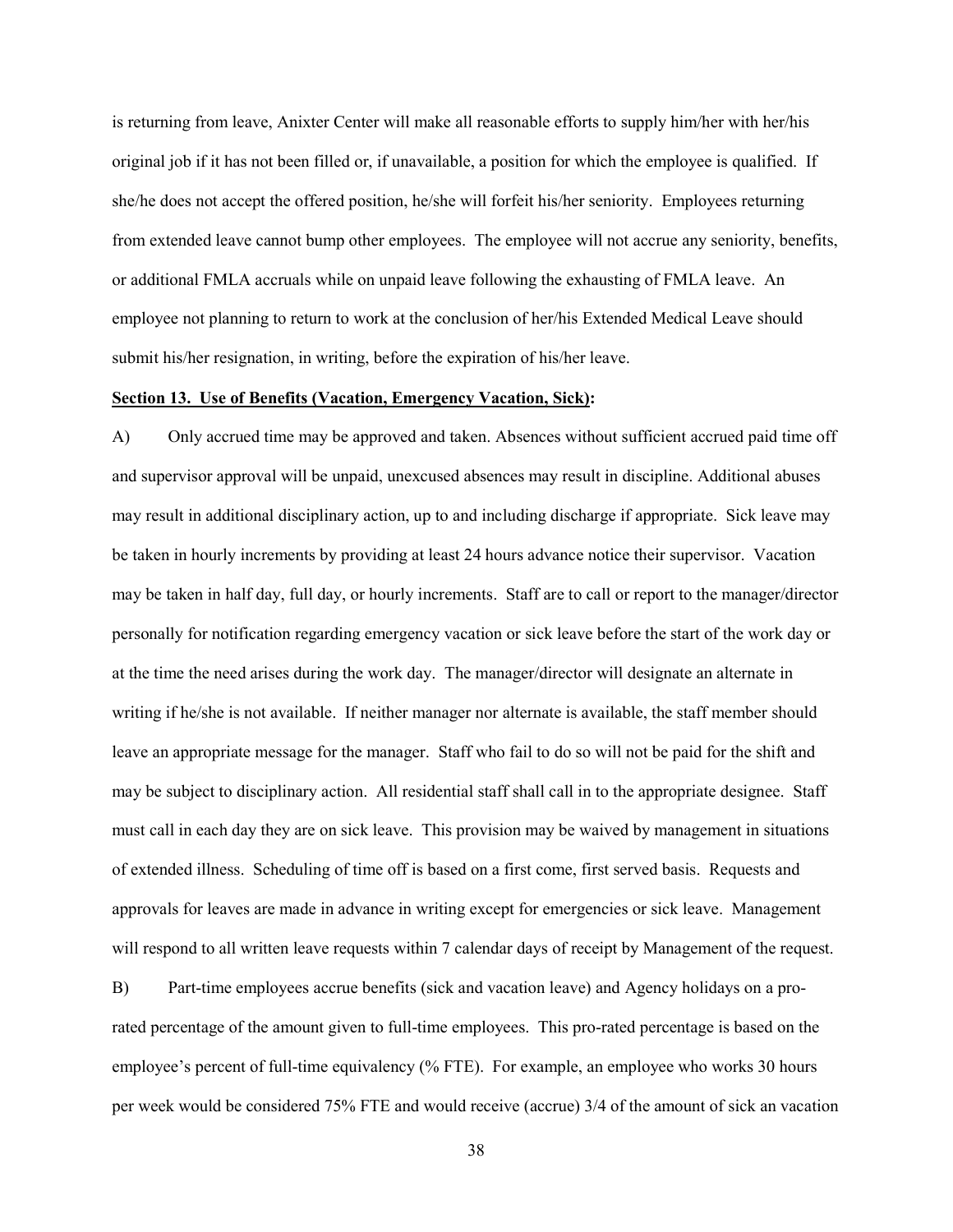is returning from leave, Anixter Center will make all reasonable efforts to supply him/her with her/his original job if it has not been filled or, if unavailable, a position for which the employee is qualified. If she/he does not accept the offered position, he/she will forfeit his/her seniority. Employees returning from extended leave cannot bump other employees. The employee will not accrue any seniority, benefits, or additional FMLA accruals while on unpaid leave following the exhausting of FMLA leave. An employee not planning to return to work at the conclusion of her/his Extended Medical Leave should submit his/her resignation, in writing, before the expiration of his/her leave.

#### Section 13. Use of Benefits (Vacation, Emergency Vacation, Sick):

A) Only accrued time may be approved and taken. Absences without sufficient accrued paid time off and supervisor approval will be unpaid, unexcused absences may result in discipline. Additional abuses may result in additional disciplinary action, up to and including discharge if appropriate. Sick leave may be taken in hourly increments by providing at least 24 hours advance notice their supervisor. Vacation may be taken in half day, full day, or hourly increments. Staff are to call or report to the manager/director personally for notification regarding emergency vacation or sick leave before the start of the work day or at the time the need arises during the work day. The manager/director will designate an alternate in writing if he/she is not available. If neither manager nor alternate is available, the staff member should leave an appropriate message for the manager. Staff who fail to do so will not be paid for the shift and may be subject to disciplinary action. All residential staff shall call in to the appropriate designee. Staff must call in each day they are on sick leave. This provision may be waived by management in situations of extended illness. Scheduling of time off is based on a first come, first served basis. Requests and approvals for leaves are made in advance in writing except for emergencies or sick leave. Management will respond to all written leave requests within 7 calendar days of receipt by Management of the request.

B) Part-time employees accrue benefits (sick and vacation leave) and Agency holidays on a prorated percentage of the amount given to full-time employees. This pro-rated percentage is based on the employee's percent of full-time equivalency (% FTE). For example, an employee who works 30 hours per week would be considered 75% FTE and would receive (accrue) 3/4 of the amount of sick an vacation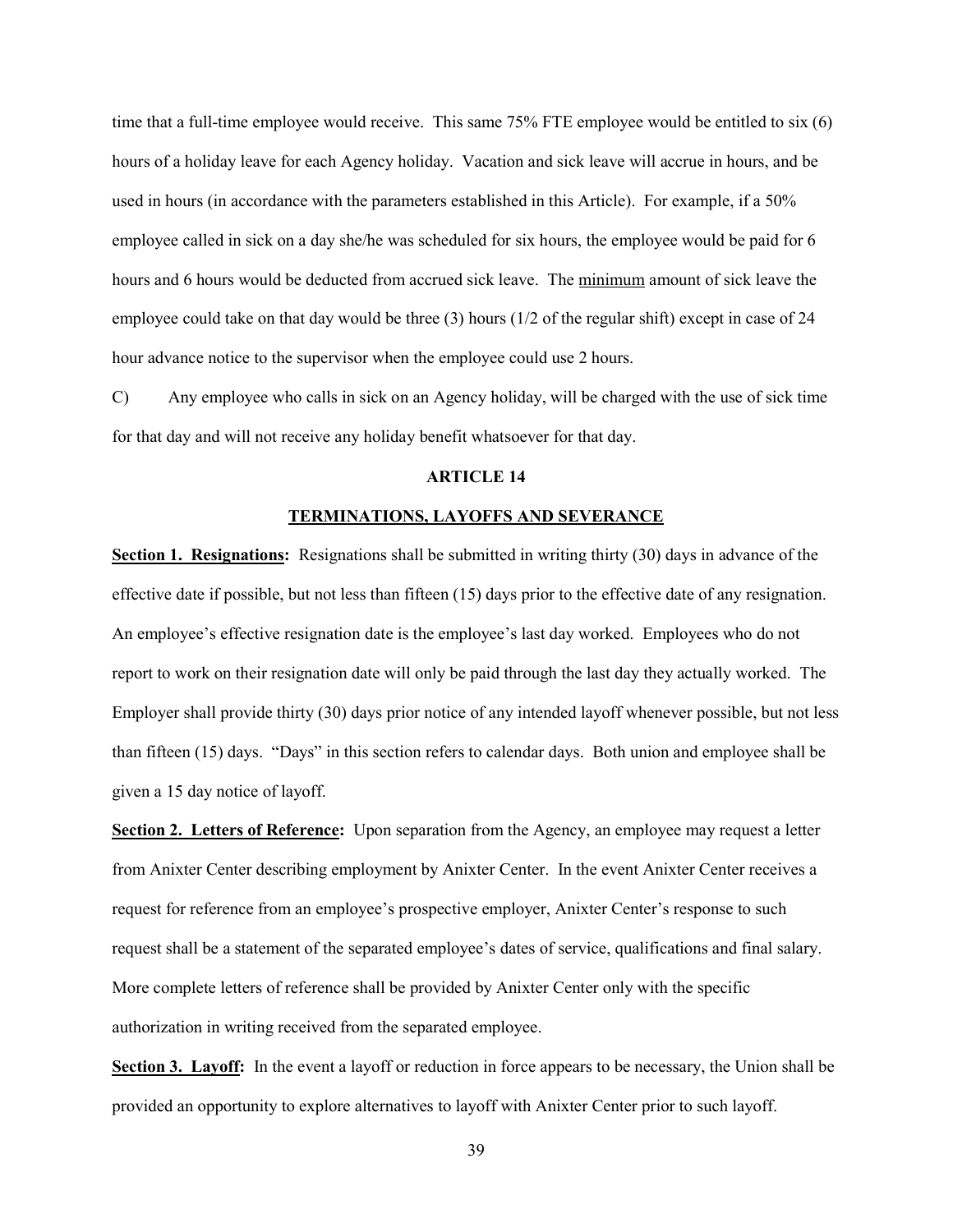time that a full-time employee would receive. This same 75% FTE employee would be entitled to six (6) hours of a holiday leave for each Agency holiday. Vacation and sick leave will accrue in hours, and be used in hours (in accordance with the parameters established in this Article). For example, if a 50% employee called in sick on a day she/he was scheduled for six hours, the employee would be paid for 6 hours and 6 hours would be deducted from accrued sick leave. The minimum amount of sick leave the employee could take on that day would be three (3) hours (1/2 of the regular shift) except in case of 24 hour advance notice to the supervisor when the employee could use 2 hours.

C) Any employee who calls in sick on an Agency holiday, will be charged with the use of sick time for that day and will not receive any holiday benefit whatsoever for that day.

#### ARTICLE 14

#### TERMINATIONS, LAYOFFS AND SEVERANCE

Section 1. Resignations: Resignations shall be submitted in writing thirty (30) days in advance of the effective date if possible, but not less than fifteen (15) days prior to the effective date of any resignation. An employee's effective resignation date is the employee's last day worked. Employees who do not report to work on their resignation date will only be paid through the last day they actually worked. The Employer shall provide thirty (30) days prior notice of any intended layoff whenever possible, but not less than fifteen (15) days. "Days" in this section refers to calendar days. Both union and employee shall be given a 15 day notice of layoff.

Section 2. Letters of Reference: Upon separation from the Agency, an employee may request a letter from Anixter Center describing employment by Anixter Center. In the event Anixter Center receives a request for reference from an employee's prospective employer, Anixter Center's response to such request shall be a statement of the separated employee's dates of service, qualifications and final salary. More complete letters of reference shall be provided by Anixter Center only with the specific authorization in writing received from the separated employee.

Section 3. Layoff: In the event a layoff or reduction in force appears to be necessary, the Union shall be provided an opportunity to explore alternatives to layoff with Anixter Center prior to such layoff.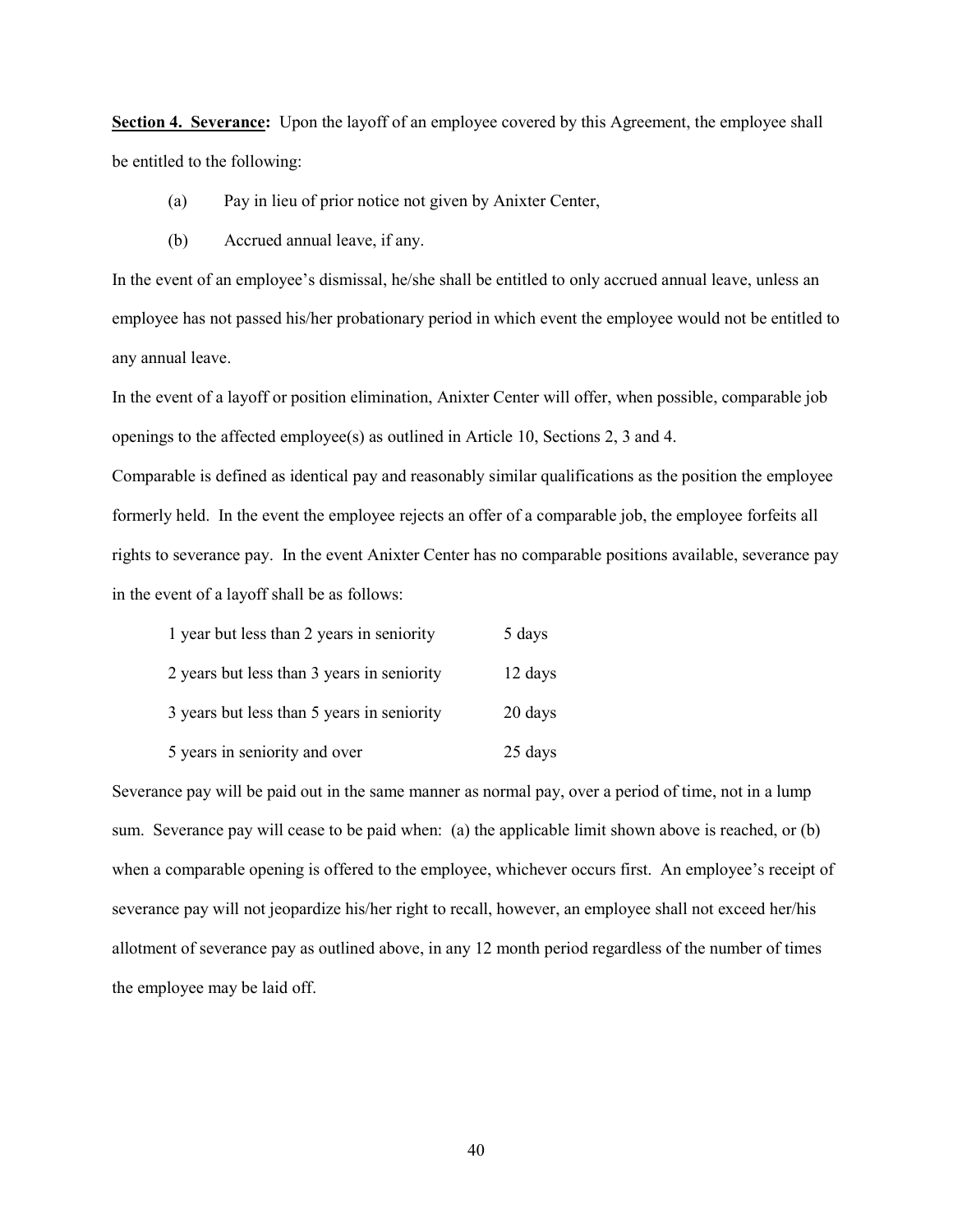Section 4. Severance: Upon the layoff of an employee covered by this Agreement, the employee shall be entitled to the following:

- (a) Pay in lieu of prior notice not given by Anixter Center,
- (b) Accrued annual leave, if any.

In the event of an employee's dismissal, he/she shall be entitled to only accrued annual leave, unless an employee has not passed his/her probationary period in which event the employee would not be entitled to any annual leave.

In the event of a layoff or position elimination, Anixter Center will offer, when possible, comparable job openings to the affected employee(s) as outlined in Article 10, Sections 2, 3 and 4.

Comparable is defined as identical pay and reasonably similar qualifications as the position the employee formerly held. In the event the employee rejects an offer of a comparable job, the employee forfeits all rights to severance pay. In the event Anixter Center has no comparable positions available, severance pay in the event of a layoff shall be as follows:

| 1 year but less than 2 years in seniority  | 5 days  |
|--------------------------------------------|---------|
| 2 years but less than 3 years in seniority | 12 days |
| 3 years but less than 5 years in seniority | 20 days |
| 5 years in seniority and over              | 25 days |

Severance pay will be paid out in the same manner as normal pay, over a period of time, not in a lump sum. Severance pay will cease to be paid when: (a) the applicable limit shown above is reached, or (b) when a comparable opening is offered to the employee, whichever occurs first. An employee's receipt of severance pay will not jeopardize his/her right to recall, however, an employee shall not exceed her/his allotment of severance pay as outlined above, in any 12 month period regardless of the number of times the employee may be laid off.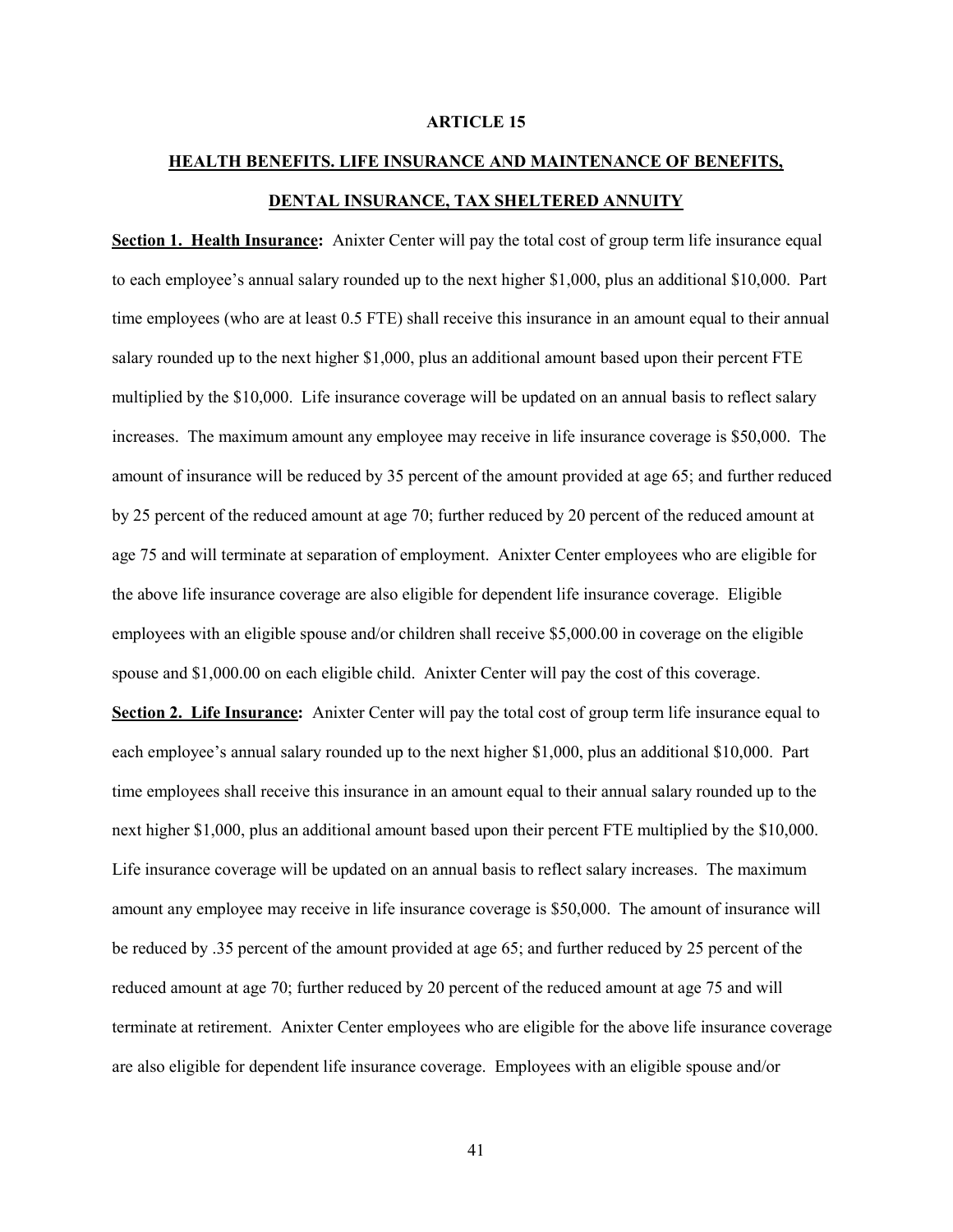#### ARTICLE 15

# HEALTH BENEFITS. LIFE INSURANCE AND MAINTENANCE OF BENEFITS, DENTAL INSURANCE, TAX SHELTERED ANNUITY

Section 1. Health Insurance: Anixter Center will pay the total cost of group term life insurance equal to each employee's annual salary rounded up to the next higher \$1,000, plus an additional \$10,000. Part time employees (who are at least 0.5 FTE) shall receive this insurance in an amount equal to their annual salary rounded up to the next higher \$1,000, plus an additional amount based upon their percent FTE multiplied by the \$10,000. Life insurance coverage will be updated on an annual basis to reflect salary increases. The maximum amount any employee may receive in life insurance coverage is \$50,000. The amount of insurance will be reduced by 35 percent of the amount provided at age 65; and further reduced by 25 percent of the reduced amount at age 70; further reduced by 20 percent of the reduced amount at age 75 and will terminate at separation of employment. Anixter Center employees who are eligible for the above life insurance coverage are also eligible for dependent life insurance coverage. Eligible employees with an eligible spouse and/or children shall receive \$5,000.00 in coverage on the eligible spouse and \$1,000.00 on each eligible child. Anixter Center will pay the cost of this coverage. Section 2. Life Insurance: Anixter Center will pay the total cost of group term life insurance equal to

each employee's annual salary rounded up to the next higher \$1,000, plus an additional \$10,000. Part time employees shall receive this insurance in an amount equal to their annual salary rounded up to the next higher \$1,000, plus an additional amount based upon their percent FTE multiplied by the \$10,000. Life insurance coverage will be updated on an annual basis to reflect salary increases. The maximum amount any employee may receive in life insurance coverage is \$50,000. The amount of insurance will be reduced by .35 percent of the amount provided at age 65; and further reduced by 25 percent of the reduced amount at age 70; further reduced by 20 percent of the reduced amount at age 75 and will terminate at retirement. Anixter Center employees who are eligible for the above life insurance coverage are also eligible for dependent life insurance coverage. Employees with an eligible spouse and/or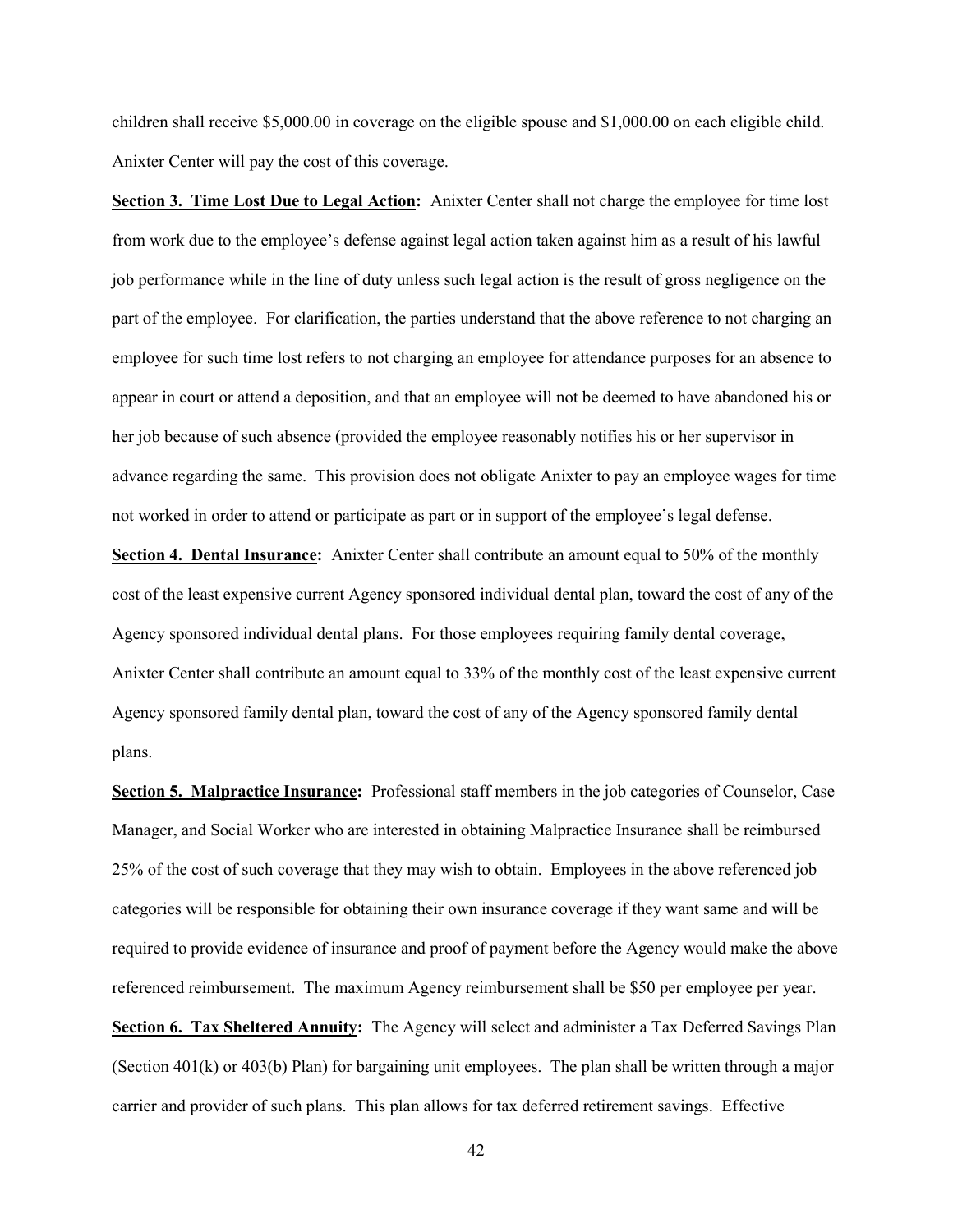children shall receive \$5,000.00 in coverage on the eligible spouse and \$1,000.00 on each eligible child. Anixter Center will pay the cost of this coverage.

Section 3. Time Lost Due to Legal Action: Anixter Center shall not charge the employee for time lost from work due to the employee's defense against legal action taken against him as a result of his lawful job performance while in the line of duty unless such legal action is the result of gross negligence on the part of the employee. For clarification, the parties understand that the above reference to not charging an employee for such time lost refers to not charging an employee for attendance purposes for an absence to appear in court or attend a deposition, and that an employee will not be deemed to have abandoned his or her job because of such absence (provided the employee reasonably notifies his or her supervisor in advance regarding the same. This provision does not obligate Anixter to pay an employee wages for time not worked in order to attend or participate as part or in support of the employee's legal defense.

Section 4. Dental Insurance: Anixter Center shall contribute an amount equal to 50% of the monthly cost of the least expensive current Agency sponsored individual dental plan, toward the cost of any of the Agency sponsored individual dental plans. For those employees requiring family dental coverage, Anixter Center shall contribute an amount equal to 33% of the monthly cost of the least expensive current Agency sponsored family dental plan, toward the cost of any of the Agency sponsored family dental plans.

Section 5. Malpractice Insurance: Professional staff members in the job categories of Counselor, Case Manager, and Social Worker who are interested in obtaining Malpractice Insurance shall be reimbursed 25% of the cost of such coverage that they may wish to obtain. Employees in the above referenced job categories will be responsible for obtaining their own insurance coverage if they want same and will be required to provide evidence of insurance and proof of payment before the Agency would make the above referenced reimbursement. The maximum Agency reimbursement shall be \$50 per employee per year. Section 6. Tax Sheltered Annuity: The Agency will select and administer a Tax Deferred Savings Plan (Section 401(k) or 403(b) Plan) for bargaining unit employees. The plan shall be written through a major carrier and provider of such plans. This plan allows for tax deferred retirement savings. Effective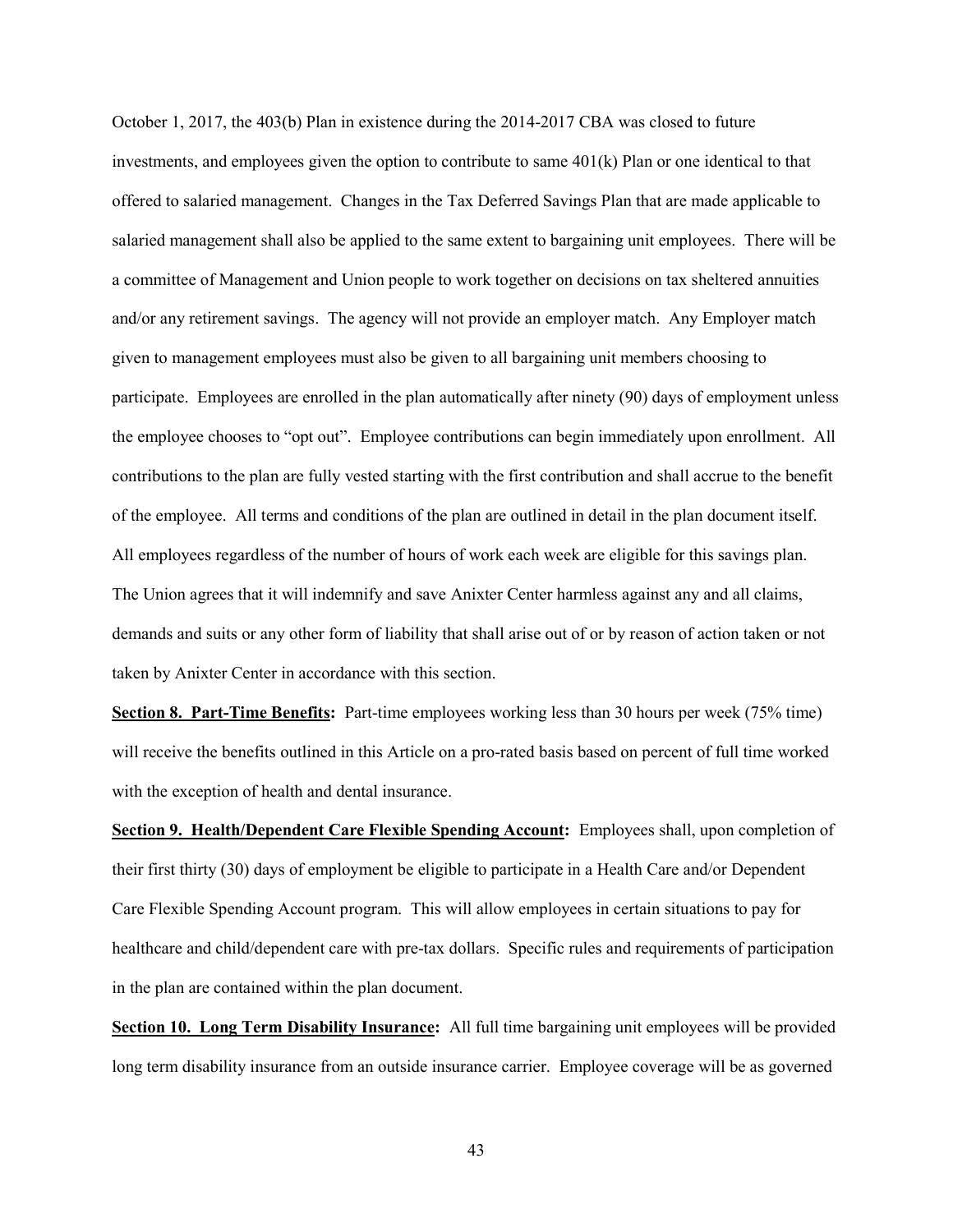October 1, 2017, the 403(b) Plan in existence during the 2014-2017 CBA was closed to future investments, and employees given the option to contribute to same 401(k) Plan or one identical to that offered to salaried management. Changes in the Tax Deferred Savings Plan that are made applicable to salaried management shall also be applied to the same extent to bargaining unit employees. There will be a committee of Management and Union people to work together on decisions on tax sheltered annuities and/or any retirement savings. The agency will not provide an employer match. Any Employer match given to management employees must also be given to all bargaining unit members choosing to participate. Employees are enrolled in the plan automatically after ninety (90) days of employment unless the employee chooses to "opt out". Employee contributions can begin immediately upon enrollment. All contributions to the plan are fully vested starting with the first contribution and shall accrue to the benefit of the employee. All terms and conditions of the plan are outlined in detail in the plan document itself. All employees regardless of the number of hours of work each week are eligible for this savings plan. The Union agrees that it will indemnify and save Anixter Center harmless against any and all claims, demands and suits or any other form of liability that shall arise out of or by reason of action taken or not taken by Anixter Center in accordance with this section.

Section 8. Part-Time Benefits: Part-time employees working less than 30 hours per week (75% time) will receive the benefits outlined in this Article on a pro-rated basis based on percent of full time worked with the exception of health and dental insurance.

Section 9. Health/Dependent Care Flexible Spending Account: Employees shall, upon completion of their first thirty (30) days of employment be eligible to participate in a Health Care and/or Dependent Care Flexible Spending Account program. This will allow employees in certain situations to pay for healthcare and child/dependent care with pre-tax dollars. Specific rules and requirements of participation in the plan are contained within the plan document.

Section 10. Long Term Disability Insurance: All full time bargaining unit employees will be provided long term disability insurance from an outside insurance carrier. Employee coverage will be as governed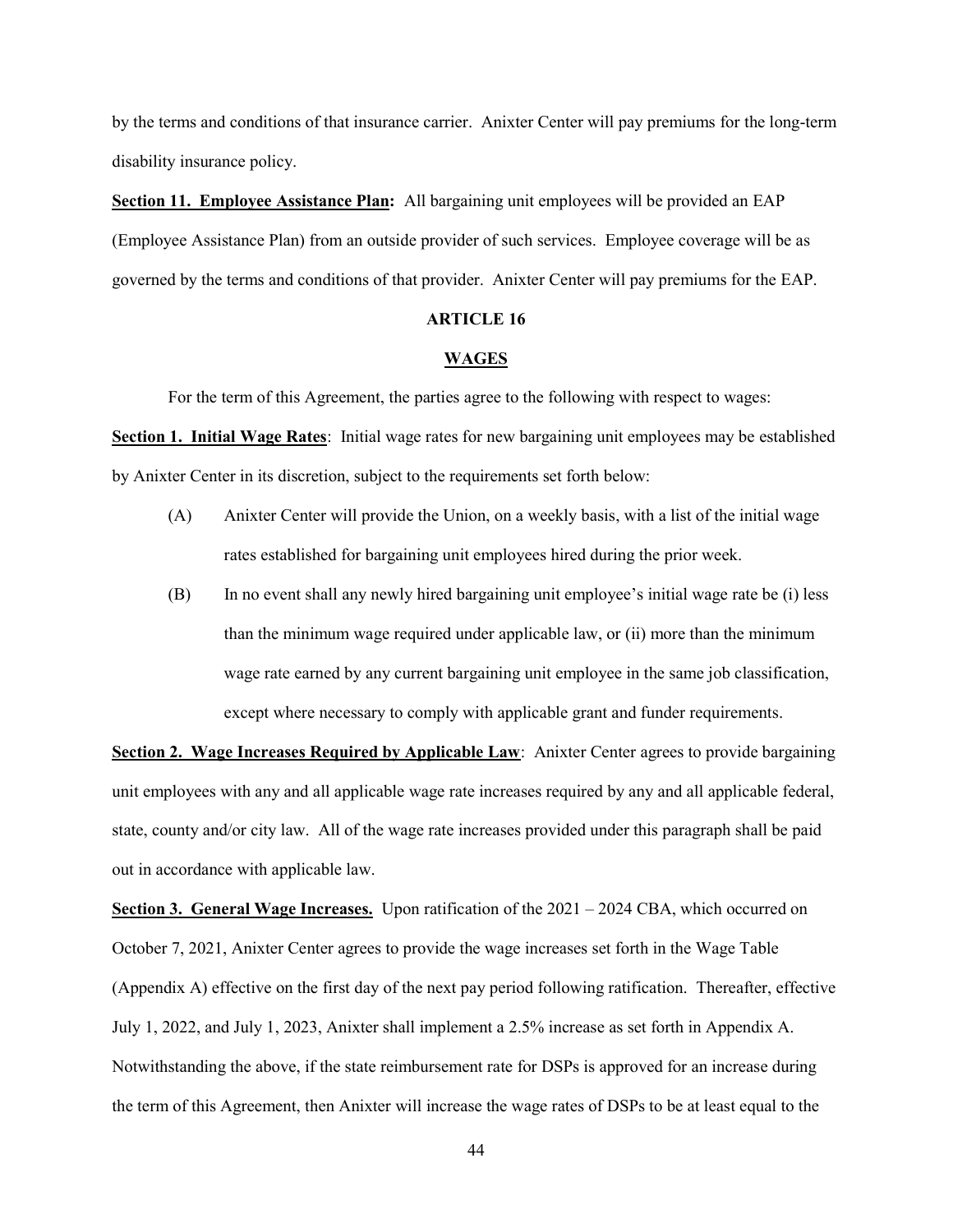by the terms and conditions of that insurance carrier. Anixter Center will pay premiums for the long-term disability insurance policy.

Section 11. Employee Assistance Plan: All bargaining unit employees will be provided an EAP (Employee Assistance Plan) from an outside provider of such services. Employee coverage will be as governed by the terms and conditions of that provider. Anixter Center will pay premiums for the EAP.

#### ARTICLE 16

#### **WAGES**

For the term of this Agreement, the parties agree to the following with respect to wages:

Section 1. Initial Wage Rates: Initial wage rates for new bargaining unit employees may be established by Anixter Center in its discretion, subject to the requirements set forth below:

- (A) Anixter Center will provide the Union, on a weekly basis, with a list of the initial wage rates established for bargaining unit employees hired during the prior week.
- (B) In no event shall any newly hired bargaining unit employee's initial wage rate be (i) less than the minimum wage required under applicable law, or (ii) more than the minimum wage rate earned by any current bargaining unit employee in the same job classification, except where necessary to comply with applicable grant and funder requirements.

Section 2. Wage Increases Required by Applicable Law: Anixter Center agrees to provide bargaining unit employees with any and all applicable wage rate increases required by any and all applicable federal, state, county and/or city law. All of the wage rate increases provided under this paragraph shall be paid out in accordance with applicable law.

**Section 3. General Wage Increases.** Upon ratification of the  $2021 - 2024$  CBA, which occurred on October 7, 2021, Anixter Center agrees to provide the wage increases set forth in the Wage Table (Appendix A) effective on the first day of the next pay period following ratification. Thereafter, effective July 1, 2022, and July 1, 2023, Anixter shall implement a 2.5% increase as set forth in Appendix A. Notwithstanding the above, if the state reimbursement rate for DSPs is approved for an increase during the term of this Agreement, then Anixter will increase the wage rates of DSPs to be at least equal to the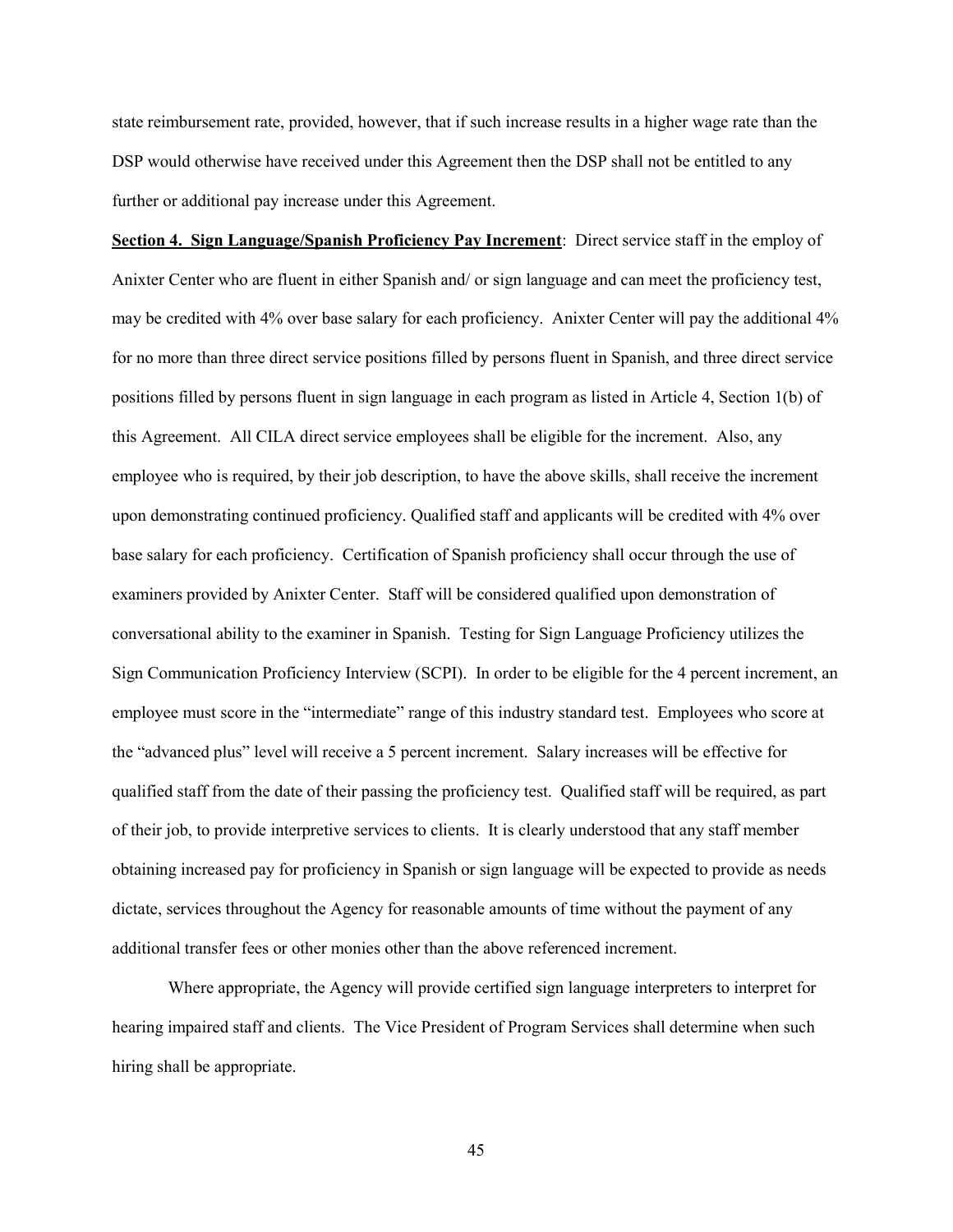state reimbursement rate, provided, however, that if such increase results in a higher wage rate than the DSP would otherwise have received under this Agreement then the DSP shall not be entitled to any further or additional pay increase under this Agreement.

Section 4. Sign Language/Spanish Proficiency Pay Increment: Direct service staff in the employ of Anixter Center who are fluent in either Spanish and/ or sign language and can meet the proficiency test, may be credited with 4% over base salary for each proficiency. Anixter Center will pay the additional 4% for no more than three direct service positions filled by persons fluent in Spanish, and three direct service positions filled by persons fluent in sign language in each program as listed in Article 4, Section 1(b) of this Agreement. All CILA direct service employees shall be eligible for the increment. Also, any employee who is required, by their job description, to have the above skills, shall receive the increment upon demonstrating continued proficiency. Qualified staff and applicants will be credited with 4% over base salary for each proficiency. Certification of Spanish proficiency shall occur through the use of examiners provided by Anixter Center. Staff will be considered qualified upon demonstration of conversational ability to the examiner in Spanish. Testing for Sign Language Proficiency utilizes the Sign Communication Proficiency Interview (SCPI). In order to be eligible for the 4 percent increment, an employee must score in the "intermediate" range of this industry standard test. Employees who score at the "advanced plus" level will receive a 5 percent increment. Salary increases will be effective for qualified staff from the date of their passing the proficiency test. Qualified staff will be required, as part of their job, to provide interpretive services to clients. It is clearly understood that any staff member obtaining increased pay for proficiency in Spanish or sign language will be expected to provide as needs dictate, services throughout the Agency for reasonable amounts of time without the payment of any additional transfer fees or other monies other than the above referenced increment.

Where appropriate, the Agency will provide certified sign language interpreters to interpret for hearing impaired staff and clients. The Vice President of Program Services shall determine when such hiring shall be appropriate.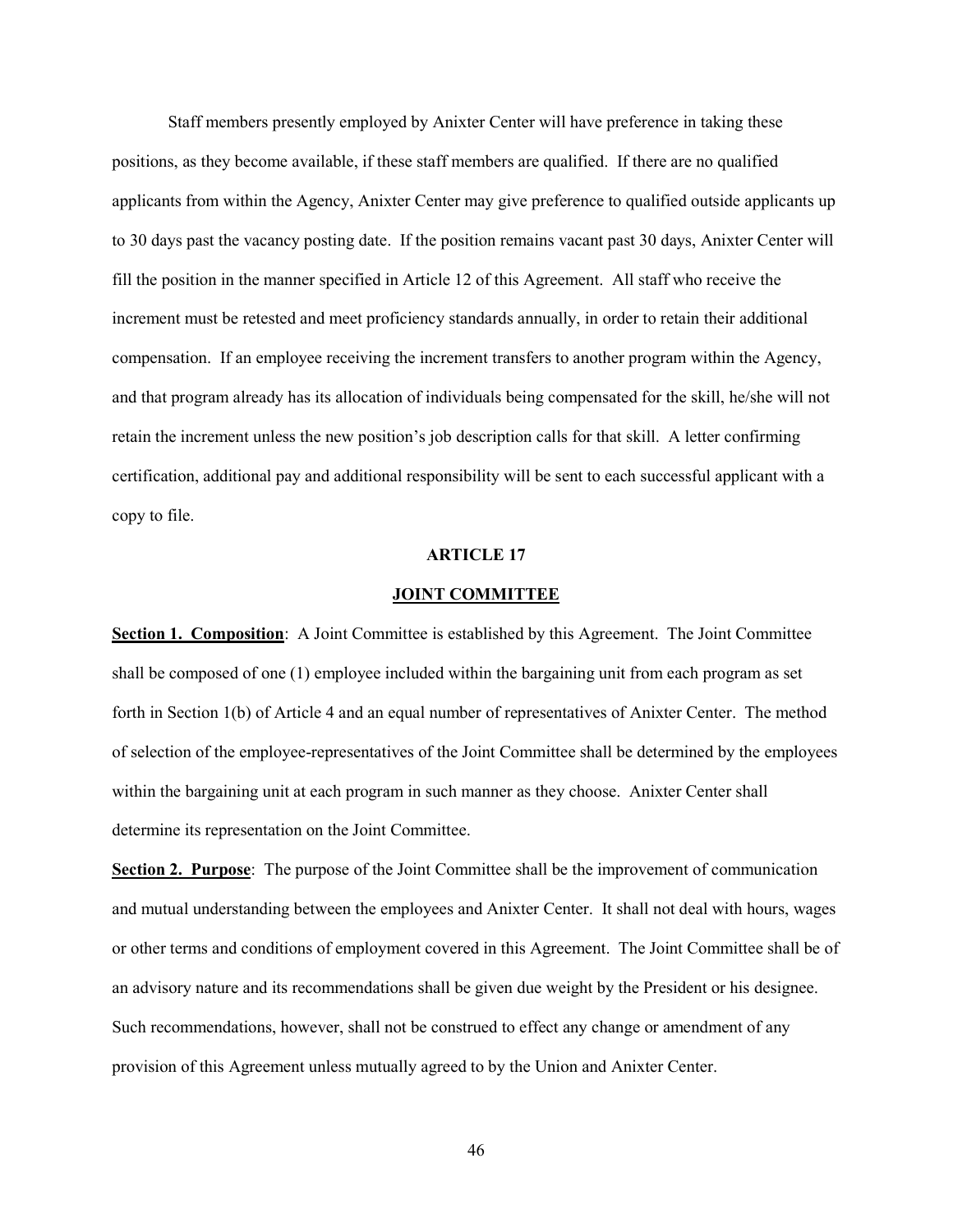Staff members presently employed by Anixter Center will have preference in taking these positions, as they become available, if these staff members are qualified. If there are no qualified applicants from within the Agency, Anixter Center may give preference to qualified outside applicants up to 30 days past the vacancy posting date. If the position remains vacant past 30 days, Anixter Center will fill the position in the manner specified in Article 12 of this Agreement. All staff who receive the increment must be retested and meet proficiency standards annually, in order to retain their additional compensation. If an employee receiving the increment transfers to another program within the Agency, and that program already has its allocation of individuals being compensated for the skill, he/she will not retain the increment unless the new position's job description calls for that skill. A letter confirming certification, additional pay and additional responsibility will be sent to each successful applicant with a copy to file.

#### ARTICLE 17

#### JOINT COMMITTEE

Section 1. Composition: A Joint Committee is established by this Agreement. The Joint Committee shall be composed of one (1) employee included within the bargaining unit from each program as set forth in Section 1(b) of Article 4 and an equal number of representatives of Anixter Center. The method of selection of the employee-representatives of the Joint Committee shall be determined by the employees within the bargaining unit at each program in such manner as they choose. Anixter Center shall determine its representation on the Joint Committee.

Section 2. Purpose: The purpose of the Joint Committee shall be the improvement of communication and mutual understanding between the employees and Anixter Center. It shall not deal with hours, wages or other terms and conditions of employment covered in this Agreement. The Joint Committee shall be of an advisory nature and its recommendations shall be given due weight by the President or his designee. Such recommendations, however, shall not be construed to effect any change or amendment of any provision of this Agreement unless mutually agreed to by the Union and Anixter Center.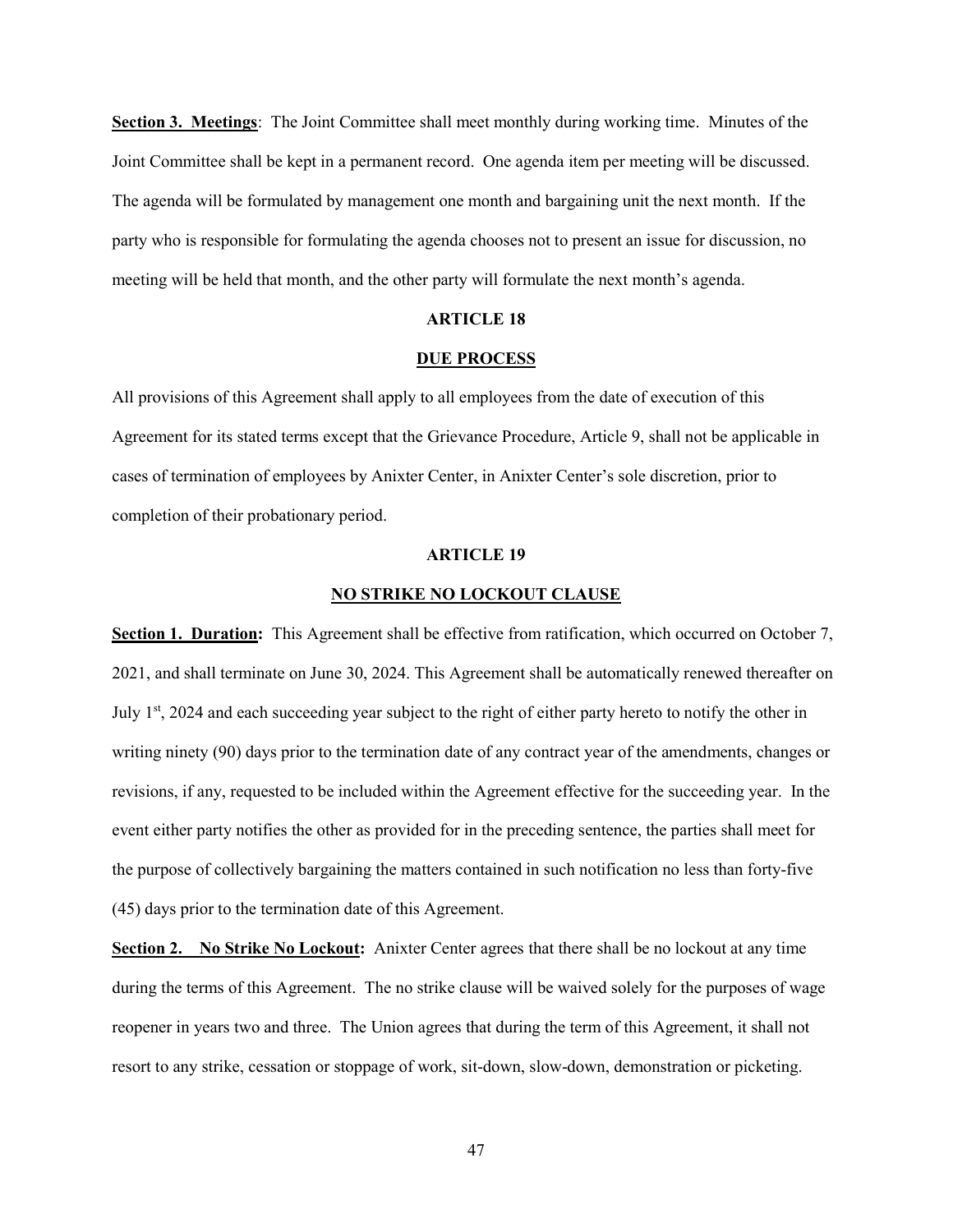Section 3. Meetings: The Joint Committee shall meet monthly during working time. Minutes of the Joint Committee shall be kept in a permanent record. One agenda item per meeting will be discussed. The agenda will be formulated by management one month and bargaining unit the next month. If the party who is responsible for formulating the agenda chooses not to present an issue for discussion, no meeting will be held that month, and the other party will formulate the next month's agenda.

#### ARTICLE 18

#### DUE PROCESS

All provisions of this Agreement shall apply to all employees from the date of execution of this Agreement for its stated terms except that the Grievance Procedure, Article 9, shall not be applicable in cases of termination of employees by Anixter Center, in Anixter Center's sole discretion, prior to completion of their probationary period.

#### ARTICLE 19

#### NO STRIKE NO LOCKOUT CLAUSE

Section 1. Duration: This Agreement shall be effective from ratification, which occurred on October 7, 2021, and shall terminate on June 30, 2024. This Agreement shall be automatically renewed thereafter on July 1<sup>st</sup>, 2024 and each succeeding year subject to the right of either party hereto to notify the other in writing ninety (90) days prior to the termination date of any contract year of the amendments, changes or revisions, if any, requested to be included within the Agreement effective for the succeeding year. In the event either party notifies the other as provided for in the preceding sentence, the parties shall meet for the purpose of collectively bargaining the matters contained in such notification no less than forty-five (45) days prior to the termination date of this Agreement.

Section 2. No Strike No Lockout: Anixter Center agrees that there shall be no lockout at any time during the terms of this Agreement. The no strike clause will be waived solely for the purposes of wage reopener in years two and three. The Union agrees that during the term of this Agreement, it shall not resort to any strike, cessation or stoppage of work, sit-down, slow-down, demonstration or picketing.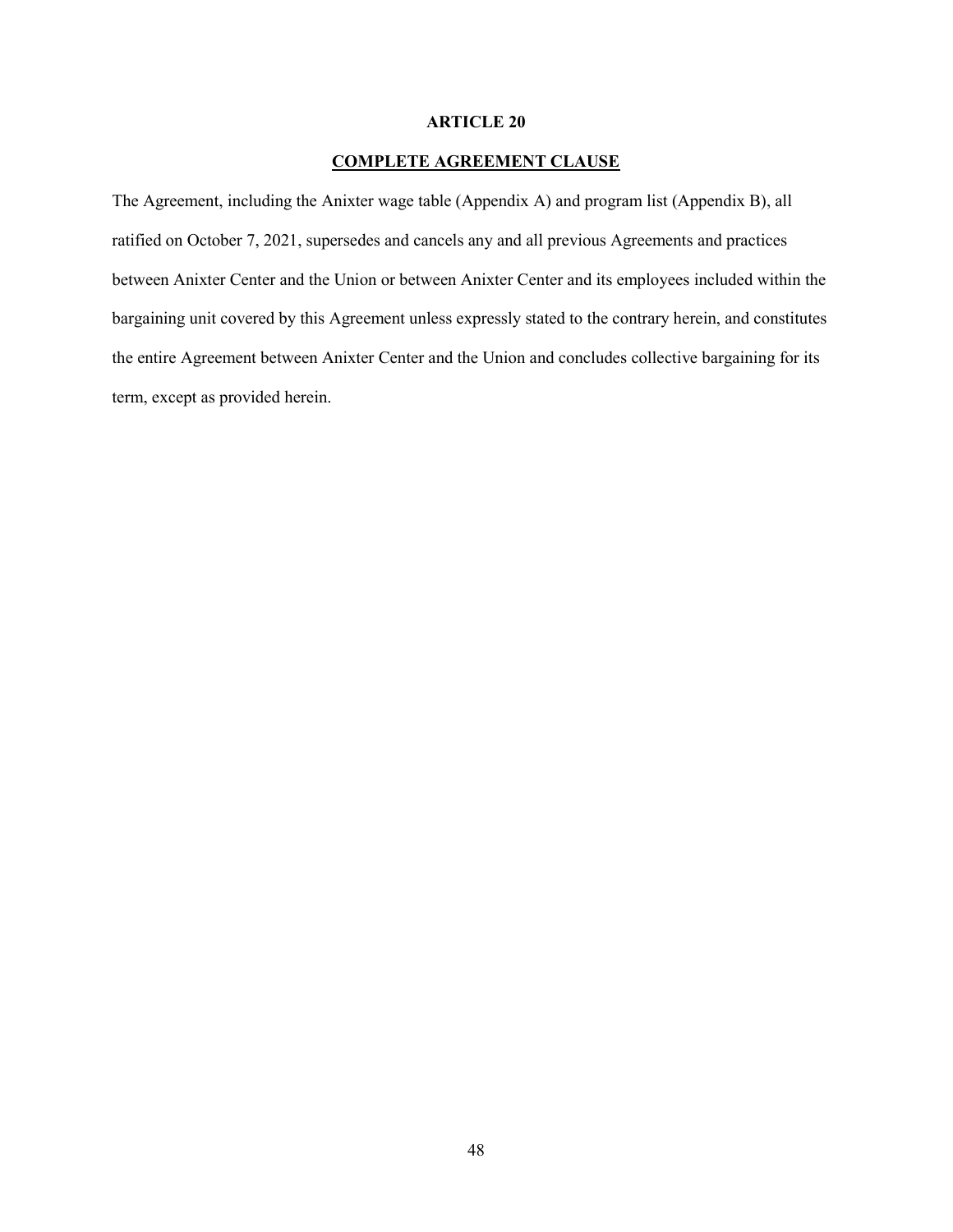#### ARTICLE 20

#### COMPLETE AGREEMENT CLAUSE

The Agreement, including the Anixter wage table (Appendix A) and program list (Appendix B), all ratified on October 7, 2021, supersedes and cancels any and all previous Agreements and practices between Anixter Center and the Union or between Anixter Center and its employees included within the bargaining unit covered by this Agreement unless expressly stated to the contrary herein, and constitutes the entire Agreement between Anixter Center and the Union and concludes collective bargaining for its term, except as provided herein.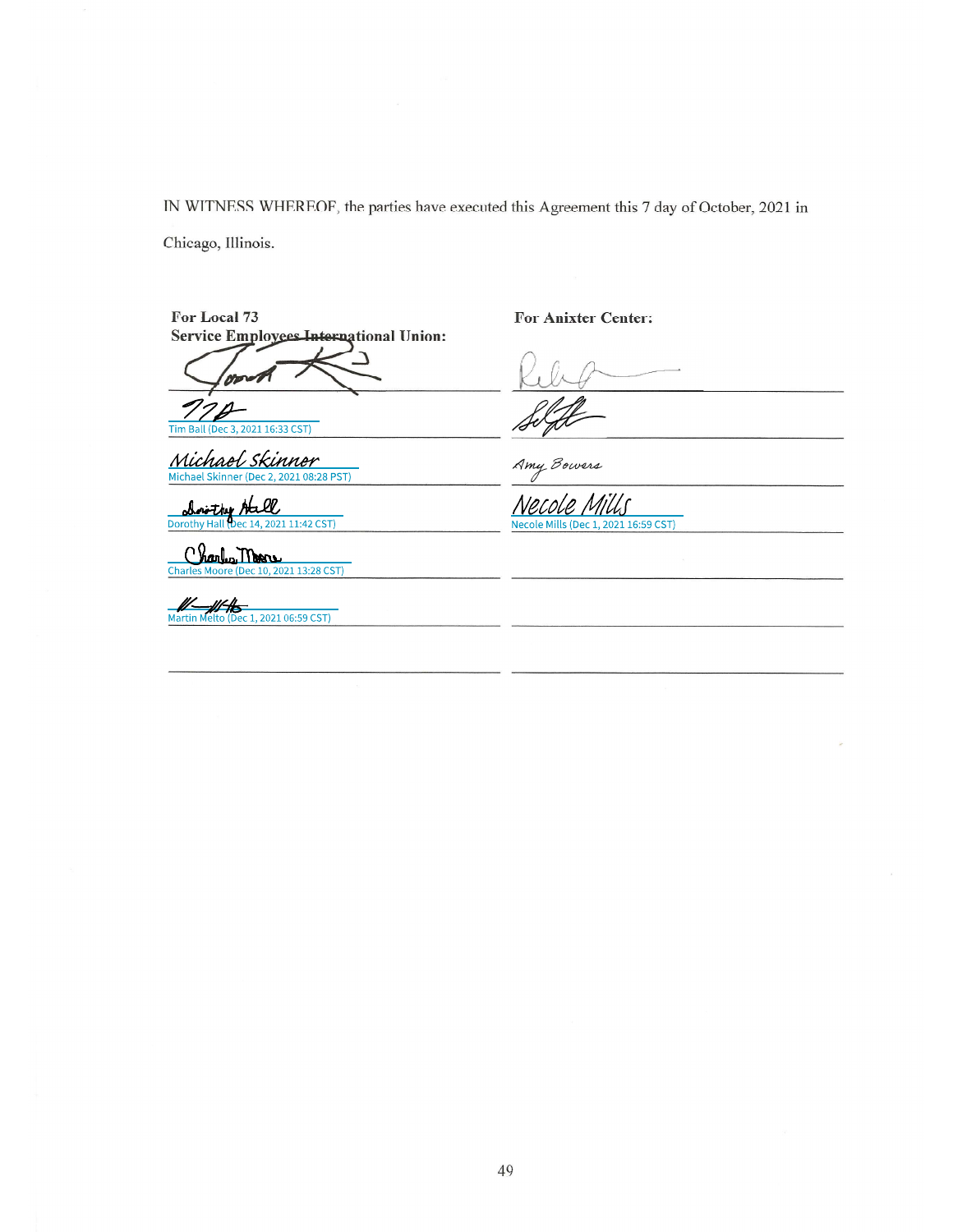IN WITNESS WHEREOF, the parties have executed this Agreement this 7 day of October, 2021 in

Chicago, Illinois.

For Local 73 Service Employees International Union:

or

Tim Ball (Dec 3, 2021 16:33 CST)

Michael Skinner

62l rithv ec 14, 2021 11:42 CST) **Dorothy Hall** 

Charles Moore (Dec 10, 2021 13:28 CST)

Martin Melto (Dec 1, 2021 06:59 CST)

**For Anixter Center:** 

Amy Bowers

Necol Necole Mills (Dec 1, 2021 16:59 CST)